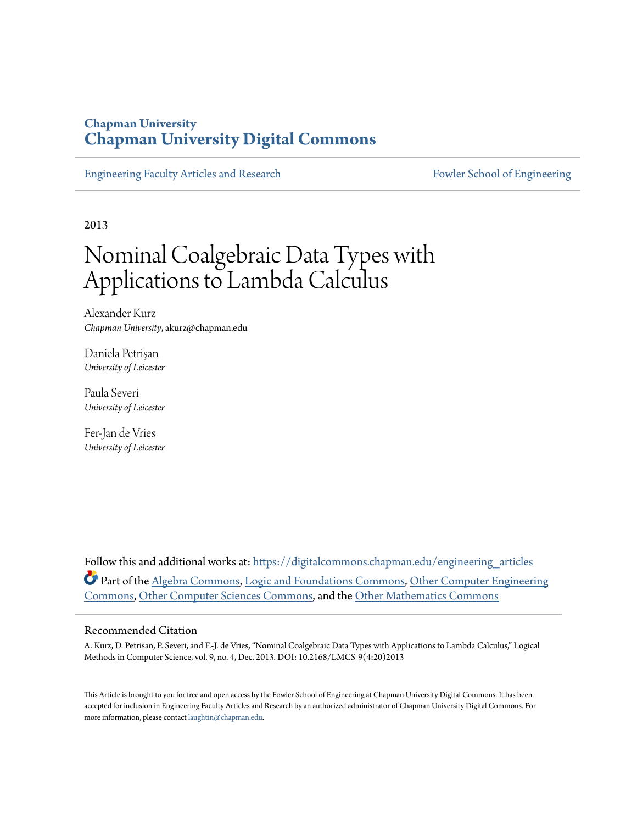## **Chapman University [Chapman University Digital Commons](https://digitalcommons.chapman.edu?utm_source=digitalcommons.chapman.edu%2Fengineering_articles%2F5&utm_medium=PDF&utm_campaign=PDFCoverPages)**

[Engineering Faculty Articles and Research](https://digitalcommons.chapman.edu/engineering_articles?utm_source=digitalcommons.chapman.edu%2Fengineering_articles%2F5&utm_medium=PDF&utm_campaign=PDFCoverPages) [Fowler School of Engineering](https://digitalcommons.chapman.edu/fowler_engineering?utm_source=digitalcommons.chapman.edu%2Fengineering_articles%2F5&utm_medium=PDF&utm_campaign=PDFCoverPages)

2013

# Nominal Coalgebraic Data Types with Applications to Lambda Calculus

Alexander Kurz *Chapman University*, akurz@chapman.edu

Daniela Petrişan *University of Leicester*

Paula Severi *University of Leicester*

Fer-Jan de Vries *University of Leicester*

Follow this and additional works at: [https://digitalcommons.chapman.edu/engineering\\_articles](https://digitalcommons.chapman.edu/engineering_articles?utm_source=digitalcommons.chapman.edu%2Fengineering_articles%2F5&utm_medium=PDF&utm_campaign=PDFCoverPages) Part of the [Algebra Commons,](http://network.bepress.com/hgg/discipline/175?utm_source=digitalcommons.chapman.edu%2Fengineering_articles%2F5&utm_medium=PDF&utm_campaign=PDFCoverPages) [Logic and Foundations Commons](http://network.bepress.com/hgg/discipline/182?utm_source=digitalcommons.chapman.edu%2Fengineering_articles%2F5&utm_medium=PDF&utm_campaign=PDFCoverPages), [Other Computer Engineering](http://network.bepress.com/hgg/discipline/265?utm_source=digitalcommons.chapman.edu%2Fengineering_articles%2F5&utm_medium=PDF&utm_campaign=PDFCoverPages) [Commons,](http://network.bepress.com/hgg/discipline/265?utm_source=digitalcommons.chapman.edu%2Fengineering_articles%2F5&utm_medium=PDF&utm_campaign=PDFCoverPages) [Other Computer Sciences Commons,](http://network.bepress.com/hgg/discipline/152?utm_source=digitalcommons.chapman.edu%2Fengineering_articles%2F5&utm_medium=PDF&utm_campaign=PDFCoverPages) and the [Other Mathematics Commons](http://network.bepress.com/hgg/discipline/185?utm_source=digitalcommons.chapman.edu%2Fengineering_articles%2F5&utm_medium=PDF&utm_campaign=PDFCoverPages)

#### Recommended Citation

A. Kurz, D. Petrisan, P. Severi, and F.-J. de Vries, "Nominal Coalgebraic Data Types with Applications to Lambda Calculus," Logical Methods in Computer Science, vol. 9, no. 4, Dec. 2013. DOI: 10.2168/LMCS-9(4:20)2013

This Article is brought to you for free and open access by the Fowler School of Engineering at Chapman University Digital Commons. It has been accepted for inclusion in Engineering Faculty Articles and Research by an authorized administrator of Chapman University Digital Commons. For more information, please contact [laughtin@chapman.edu](mailto:laughtin@chapman.edu).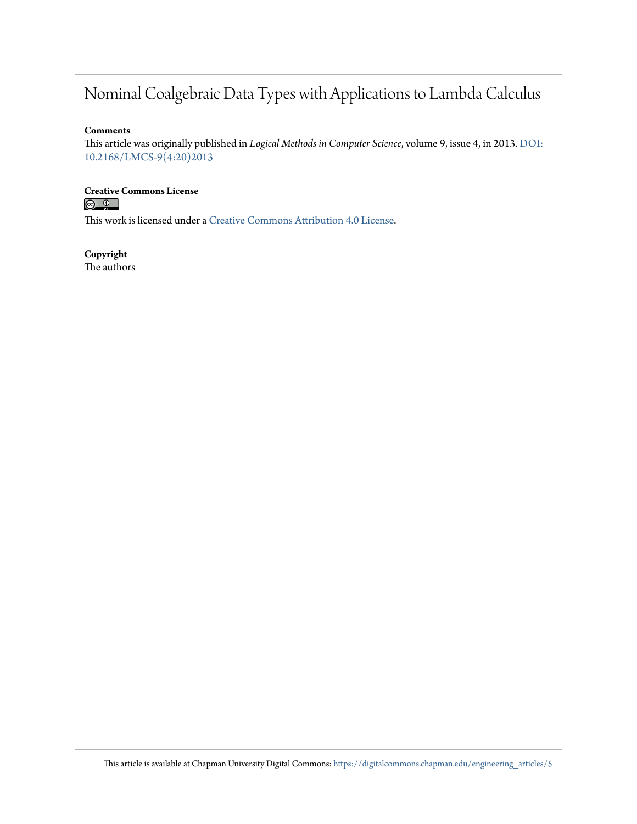## Nominal Coalgebraic Data Types with Applications to Lambda Calculus

#### **Comments**

This article was originally published in *Logical Methods in Computer Science*, volume 9, issue 4, in 2013. [DOI:](https://doi.org/10.2168/LMCS-9(4:20)2013) [10.2168/LMCS-9\(4:20\)2013](https://doi.org/10.2168/LMCS-9(4:20)2013)

## **Creative Commons License**<br> **<b>C** <u>**Q Q**</u>

This work is licensed under a [Creative Commons Attribution 4.0 License.](https://creativecommons.org/licenses/by/4.0/)

### **Copyright**

The authors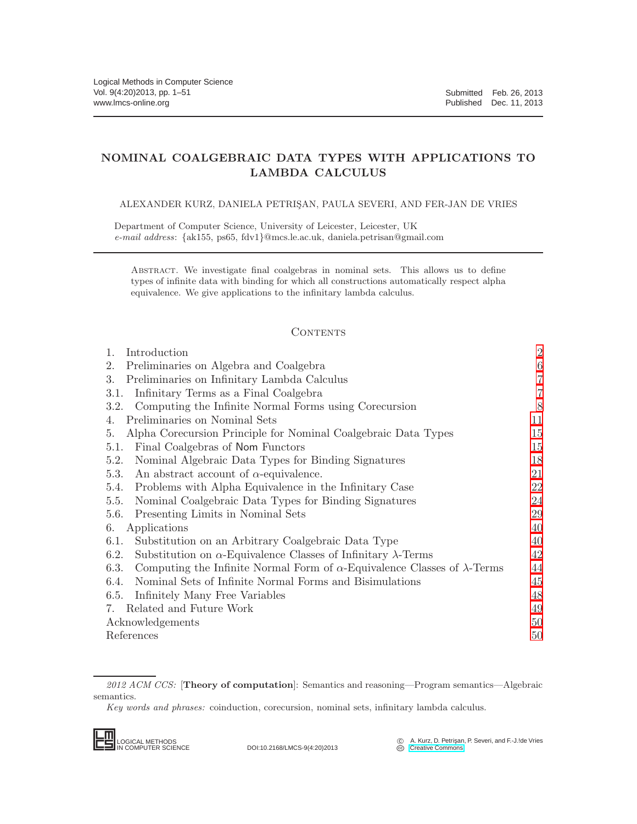### NOMINAL COALGEBRAIC DATA TYPES WITH APPLICATIONS TO LAMBDA CALCULUS

#### ALEXANDER KURZ, DANIELA PETRIS¸AN, PAULA SEVERI, AND FER-JAN DE VRIES

Department of Computer Science, University of Leicester, Leicester, UK *e-mail address*: {ak155, ps65, fdv1}@mcs.le.ac.uk, daniela.petrisan@gmail.com

Abstract. We investigate final coalgebras in nominal sets. This allows us to define types of infinite data with binding for which all constructions automatically respect alpha equivalence. We give applications to the infinitary lambda calculus.

#### **CONTENTS**

| 1.<br>Introduction                                                                              | $\sqrt{2}$ |
|-------------------------------------------------------------------------------------------------|------------|
| Preliminaries on Algebra and Coalgebra<br>2.                                                    | 6          |
| Preliminaries on Infinitary Lambda Calculus<br>3.                                               | 7          |
| Infinitary Terms as a Final Coalgebra<br>3.1.                                                   | 7          |
| Computing the Infinite Normal Forms using Corecursion<br>3.2.                                   | 8          |
| Preliminaries on Nominal Sets<br>4.                                                             | 11         |
| Alpha Corecursion Principle for Nominal Coalgebraic Data Types<br>5.                            | 15         |
| Final Coalgebras of Nom Functors<br>5.1.                                                        | 15         |
| Nominal Algebraic Data Types for Binding Signatures<br>5.2.                                     | 18         |
| An abstract account of $\alpha$ -equivalence.<br>5.3.                                           | 21         |
| Problems with Alpha Equivalence in the Infinitary Case<br>5.4.                                  | 22         |
| Nominal Coalgebraic Data Types for Binding Signatures<br>5.5.                                   | 24         |
| 5.6.<br>Presenting Limits in Nominal Sets                                                       | 29         |
| Applications<br>6.                                                                              | 40         |
| Substitution on an Arbitrary Coalgebraic Data Type<br>6.1.                                      | 40         |
| Substitution on $\alpha$ -Equivalence Classes of Infinitary $\lambda$ -Terms<br>6.2.            | 42         |
| Computing the Infinite Normal Form of $\alpha$ -Equivalence Classes of $\lambda$ -Terms<br>6.3. | 44         |
| Nominal Sets of Infinite Normal Forms and Bisimulations<br>6.4.                                 | 45         |
| Infinitely Many Free Variables<br>6.5.                                                          | 48         |
| Related and Future Work<br>7.                                                                   | 49         |
| Acknowledgements                                                                                | 50         |
| References                                                                                      | 50         |

*Key words and phrases:* coinduction, corecursion, nominal sets, infinitary lambda calculus.



DOI:10.2168/LMCS-9(4:20)2013

C A. Kurz, D. Petrişan, P. Severi, and F.-J.!de Vries<br> **C** [Creative Commons](http://creativecommons.org/about/licenses)

*<sup>2012</sup> ACM CCS:* [Theory of computation]: Semantics and reasoning—Program semantics—Algebraic semantics.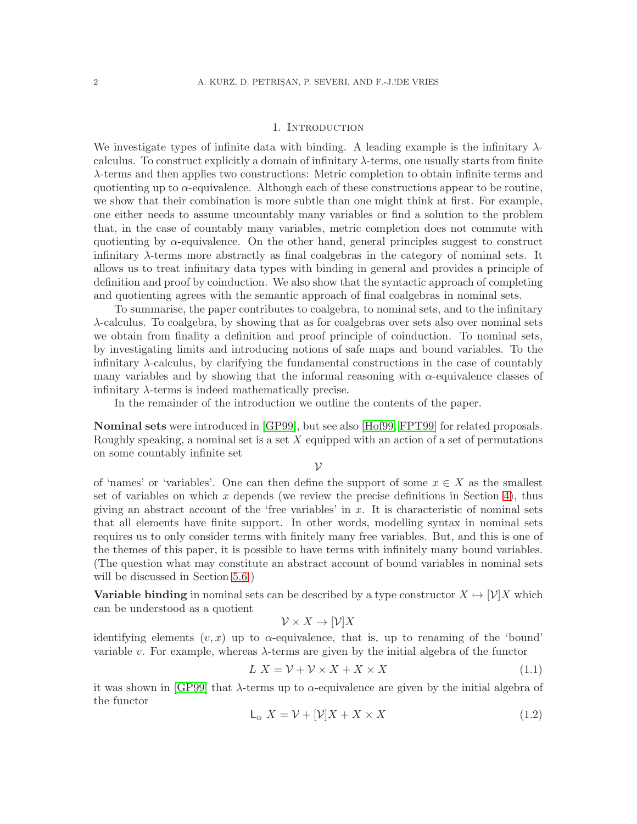#### 1. INTRODUCTION

<span id="page-3-0"></span>We investigate types of infinite data with binding. A leading example is the infinitary  $\lambda$ calculus. To construct explicitly a domain of infinitary  $\lambda$ -terms, one usually starts from finite λ-terms and then applies two constructions: Metric completion to obtain infinite terms and quotienting up to  $\alpha$ -equivalence. Although each of these constructions appear to be routine, we show that their combination is more subtle than one might think at first. For example, one either needs to assume uncountably many variables or find a solution to the problem that, in the case of countably many variables, metric completion does not commute with quotienting by  $\alpha$ -equivalence. On the other hand, general principles suggest to construct infinitary λ-terms more abstractly as final coalgebras in the category of nominal sets. It allows us to treat infinitary data types with binding in general and provides a principle of definition and proof by coinduction. We also show that the syntactic approach of completing and quotienting agrees with the semantic approach of final coalgebras in nominal sets.

To summarise, the paper contributes to coalgebra, to nominal sets, and to the infinitary λ-calculus. To coalgebra, by showing that as for coalgebras over sets also over nominal sets we obtain from finality a definition and proof principle of coinduction. To nominal sets, by investigating limits and introducing notions of safe maps and bound variables. To the infinitary λ-calculus, by clarifying the fundamental constructions in the case of countably many variables and by showing that the informal reasoning with  $\alpha$ -equivalence classes of infinitary  $\lambda$ -terms is indeed mathematically precise.

In the remainder of the introduction we outline the contents of the paper.

Nominal sets were introduced in [\[GP99\]](#page-52-0), but see also [\[Hof99,](#page-52-1) [FPT99\]](#page-52-2) for related proposals. Roughly speaking, a nominal set is a set  $X$  equipped with an action of a set of permutations on some countably infinite set

 $\mathcal V$ 

of 'names' or 'variables'. One can then define the support of some  $x \in X$  as the smallest set of variables on which x depends (we review the precise definitions in Section [4\)](#page-12-0), thus giving an abstract account of the 'free variables' in  $x$ . It is characteristic of nominal sets that all elements have finite support. In other words, modelling syntax in nominal sets requires us to only consider terms with finitely many free variables. But, and this is one of the themes of this paper, it is possible to have terms with infinitely many bound variables. (The question what may constitute an abstract account of bound variables in nominal sets will be discussed in Section [5.6.](#page-30-0))

**Variable binding** in nominal sets can be described by a type constructor  $X \mapsto [\mathcal{V}]X$  which can be understood as a quotient

$$
\mathcal{V} \times X \to [\mathcal{V}]X
$$

identifying elements  $(v, x)$  up to  $\alpha$ -equivalence, that is, up to renaming of the 'bound' variable v. For example, whereas  $\lambda$ -terms are given by the initial algebra of the functor

$$
L X = \mathcal{V} + \mathcal{V} \times X + X \times X \tag{1.1}
$$

it was shown in [\[GP99\]](#page-52-0) that  $\lambda$ -terms up to  $\alpha$ -equivalence are given by the initial algebra of the functor

<span id="page-3-1"></span>
$$
L_{\alpha} X = \mathcal{V} + [\mathcal{V}]X + X \times X \tag{1.2}
$$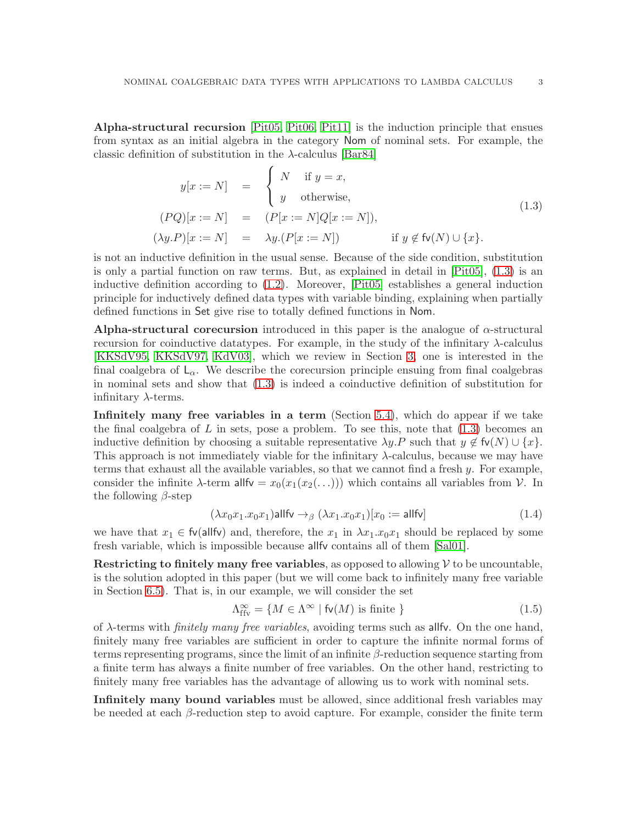Alpha-structural recursion [\[Pit05,](#page-53-0) [Pit06,](#page-53-1) [Pit11\]](#page-53-2) is the induction principle that ensues from syntax as an initial algebra in the category Nom of nominal sets. For example, the classic definition of substitution in the  $\lambda$ -calculus [\[Bar84\]](#page-52-3)

<span id="page-4-0"></span>
$$
y[x := N] = \begin{cases} N & \text{if } y = x, \\ y & \text{otherwise,} \end{cases}
$$
  
\n
$$
(PQ)[x := N] = (P[x := N]Q[x := N]),
$$
  
\n
$$
(\lambda y.P)[x := N] = \lambda y.(P[x := N]) \quad \text{if } y \notin \text{fv}(N) \cup \{x\}.
$$
  
\n(1.3)

is not an inductive definition in the usual sense. Because of the side condition, substitution is only a partial function on raw terms. But, as explained in detail in [\[Pit05\]](#page-53-0), [\(1.3\)](#page-4-0) is an inductive definition according to [\(1.2\)](#page-3-1). Moreover, [\[Pit05\]](#page-53-0) establishes a general induction principle for inductively defined data types with variable binding, explaining when partially defined functions in Set give rise to totally defined functions in Nom.

Alpha-structural corecursion introduced in this paper is the analogue of  $\alpha$ -structural recursion for coinductive datatypes. For example, in the study of the infinitary  $\lambda$ -calculus [\[KKSdV95,](#page-52-4) [KKSdV97,](#page-52-5) [KdV03\]](#page-52-6), which we review in Section [3,](#page-8-0) one is interested in the final coalgebra of  $\mathsf{L}_{\alpha}$ . We describe the corecursion principle ensuing from final coalgebras in nominal sets and show that [\(1.3\)](#page-4-0) is indeed a coinductive definition of substitution for infinitary  $\lambda$ -terms.

Infinitely many free variables in a term (Section [5.4\)](#page-23-0), which do appear if we take the final coalgebra of  $L$  in sets, pose a problem. To see this, note that  $(1.3)$  becomes an inductive definition by choosing a suitable representative  $\lambda y.P$  such that  $y \notin f(v) \cup \{x\}$ . This approach is not immediately viable for the infinitary  $\lambda$ -calculus, because we may have terms that exhaust all the available variables, so that we cannot find a fresh y. For example, consider the infinite  $\lambda$ -term allfv =  $x_0(x_1(x_2(\ldots)))$  which contains all variables from  $\mathcal V$ . In the following  $\beta$ -step

<span id="page-4-1"></span>
$$
(\lambda x_0 x_1.x_0 x_1) \text{allfv} \rightarrow_{\beta} (\lambda x_1.x_0 x_1)[x_0 := \text{allfv}]
$$
\n(1.4)

we have that  $x_1 \in \text{fv}(\text{allfv})$  and, therefore, the  $x_1$  in  $\lambda x_1 \cdot x_0 x_1$  should be replaced by some fresh variable, which is impossible because allfv contains all of them [\[Sal01\]](#page-53-3).

**Restricting to finitely many free variables**, as opposed to allowing  $V$  to be uncountable, is the solution adopted in this paper (but we will come back to infinitely many free variable in Section [6.5\)](#page-49-0). That is, in our example, we will consider the set

$$
\Lambda_{\text{ffv}}^{\infty} = \{ M \in \Lambda^{\infty} \mid \text{fv}(M) \text{ is finite } \}
$$
\n
$$
(1.5)
$$

of λ-terms with *finitely many free variables*, avoiding terms such as allfv. On the one hand, finitely many free variables are sufficient in order to capture the infinite normal forms of terms representing programs, since the limit of an infinite  $\beta$ -reduction sequence starting from a finite term has always a finite number of free variables. On the other hand, restricting to finitely many free variables has the advantage of allowing us to work with nominal sets.

Infinitely many bound variables must be allowed, since additional fresh variables may be needed at each  $\beta$ -reduction step to avoid capture. For example, consider the finite term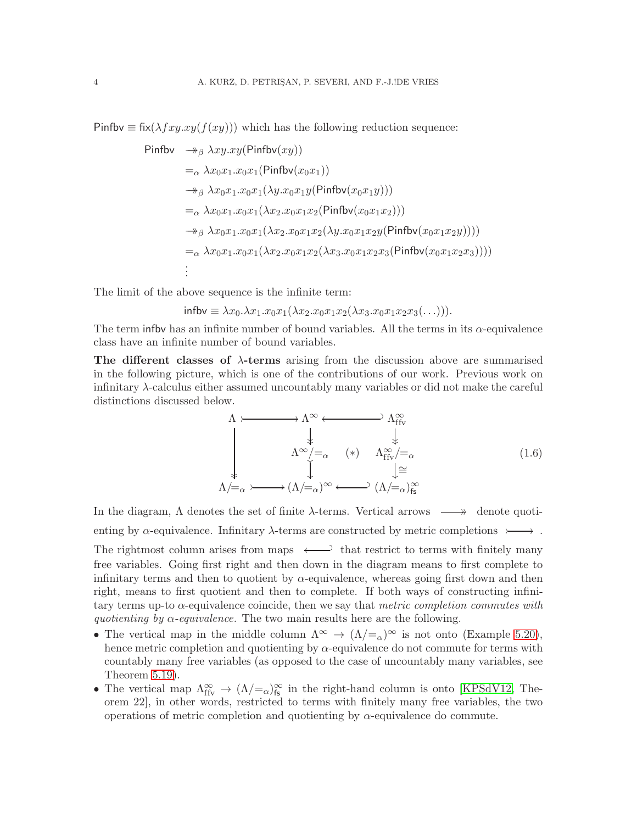Pinfbv  $\equiv$  fix( $\lambda fxyxy(f(xy))$ ) which has the following reduction sequence:

$$
\begin{aligned}\n\text{Pinfbv} &\quad \xrightarrow{\text{A}} \lambda xy. xy (\text{Pinfbv}(xy)) \\
&=_{\alpha} \lambda x_0 x_1.x_0 x_1 (\text{Pinfbv}(x_0 x_1)) \\
&\quad \xrightarrow{\text{A}} \lambda x_0 x_1.x_0 x_1 (\lambda y.x_0 x_1 y (\text{Pinfbv}(x_0 x_1 y))) \\
&=_{\alpha} \lambda x_0 x_1.x_0 x_1 (\lambda x_2.x_0 x_1 x_2 (\text{Pinfbv}(x_0 x_1 x_2))) \\
&\quad \xrightarrow{\text{A}} \lambda x_0 x_1.x_0 x_1 (\lambda x_2.x_0 x_1 x_2 (\lambda y.x_0 x_1 x_2 y (\text{Pinfbv}(x_0 x_1 x_2 y)))) \\
&=_{\alpha} \lambda x_0 x_1.x_0 x_1 (\lambda x_2.x_0 x_1 x_2 (\lambda x_3.x_0 x_1 x_2 x_3 (\text{Pinfbv}(x_0 x_1 x_2 x_3)))) \\
&\vdots\n\end{aligned}
$$

The limit of the above sequence is the infinite term:

$$
\mathsf{infolv} \equiv \lambda x_0.\lambda x_1.x_0x_1(\lambda x_2.x_0x_1x_2(\lambda x_3.x_0x_1x_2x_3(\ldots))).
$$

The term influx has an infinite number of bound variables. All the terms in its  $\alpha$ -equivalence class have an infinite number of bound variables.

The different classes of  $\lambda$ -terms arising from the discussion above are summarised in the following picture, which is one of the contributions of our work. Previous work on infinitary λ-calculus either assumed uncountably many variables or did not make the careful distinctions discussed below.

<span id="page-5-0"></span>
$$
\Lambda \rightarrow \Lambda^{\infty} \leftarrow \Lambda^{\infty} \downarrow \downarrow
$$
\n
$$
\downarrow \downarrow \downarrow
$$
\n
$$
\Lambda^{\infty}/=_\alpha \quad (*) \quad \Lambda^{\infty}_{ffv}/=_\alpha
$$
\n
$$
\downarrow \downarrow
$$
\n
$$
\Lambda \downarrow^{\infty}/=_\alpha \quad (*) \quad \Lambda^{\infty}_{ffv}/=_\alpha
$$
\n
$$
\downarrow^{\cong}
$$
\n
$$
\Lambda/=_\alpha \rightarrow \Lambda/=_\alpha)^{\infty} \leftarrow \Lambda/=_\alpha)^{\infty}_{fs}
$$
\n
$$
(1.6)
$$

In the diagram,  $\Lambda$  denotes the set of finite  $\lambda$ -terms. Vertical arrows  $\longrightarrow$  denote quotienting by  $\alpha$ -equivalence. Infinitary  $\lambda$ -terms are constructed by metric completions  $\rightarrow \rightarrow$ . The rightmost column arises from maps  $\longleftrightarrow$  that restrict to terms with finitely many free variables. Going first right and then down in the diagram means to first complete to infinitary terms and then to quotient by  $\alpha$ -equivalence, whereas going first down and then right, means to first quotient and then to complete. If both ways of constructing infinitary terms up-to α-equivalence coincide, then we say that *metric completion commutes with quotienting by* α*-equivalence.* The two main results here are the following.

- The vertical map in the middle column  $\Lambda^{\infty} \to (\Lambda/\epsilon_{\alpha})^{\infty}$  is not onto (Example [5.20\)](#page-23-1), hence metric completion and quotienting by  $\alpha$ -equivalence do not commute for terms with countably many free variables (as opposed to the case of uncountably many variables, see Theorem [5.19\)](#page-23-2).
- The vertical map  $\Lambda_{\text{ffv}}^{\infty} \to (\Lambda/\text{=}_{\alpha})_{\text{fs}}^{\infty}$  in the right-hand column is onto [\[KPSdV12,](#page-52-7) Theorem 22], in other words, restricted to terms with finitely many free variables, the two operations of metric completion and quotienting by  $\alpha$ -equivalence do commute.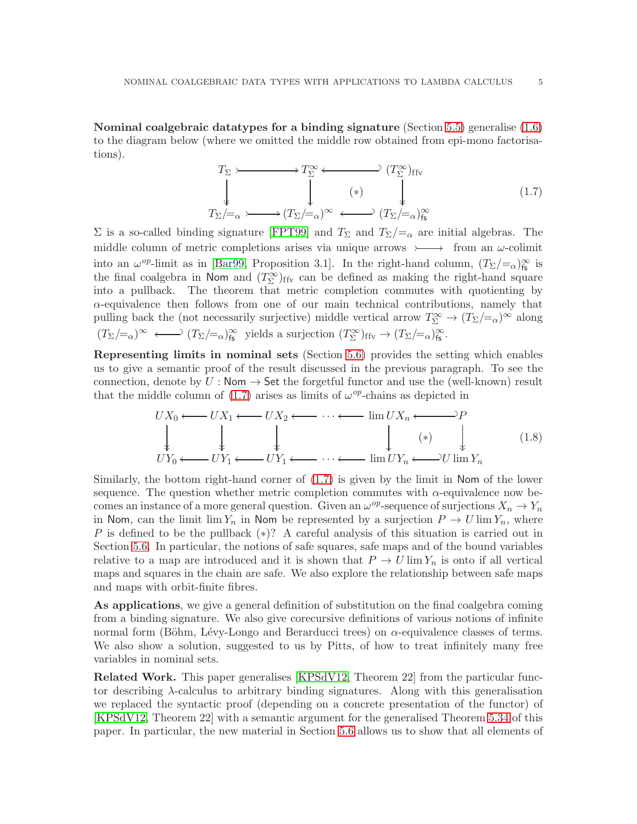Nominal coalgebraic datatypes for a binding signature (Section  $5.5$ ) generalise  $(1.6)$ to the diagram below (where we omitted the middle row obtained from epi-mono factorisations).

<span id="page-6-0"></span>
$$
T_{\Sigma} \longleftarrow \longrightarrow T_{\Sigma}^{\infty} \longleftarrow (T_{\Sigma})_{\text{ffv}}
$$
\n
$$
\downarrow \qquad \qquad \downarrow \qquad \qquad (1.7)
$$
\n
$$
T_{\Sigma}/\equiv_{\alpha} \longleftarrow (T_{\Sigma}/\equiv_{\alpha})^{\infty} \longleftarrow (T_{\Sigma}/\equiv_{\alpha})_{\text{fs}}^{\infty}
$$

Σ is a so-called binding signature [\[FPT99\]](#page-52-2) and  $T_{\Sigma}$  and  $T_{\Sigma}/=\alpha$  are initial algebras. The middle column of metric completions arises via unique arrows  $\rightarrow$  from an  $\omega$ -colimit into an  $\omega^{op}$ -limit as in [\[Bar99,](#page-52-8) Proposition 3.1]. In the right-hand column,  $(T_{\Sigma}/=_{\alpha})_{\rm fs}^{\infty}$  is the final coalgebra in Nom and  $(T_{\Sigma}^{\infty})_{\text{ffv}}$  can be defined as making the right-hand square into a pullback. The theorem that metric completion commutes with quotienting by α-equivalence then follows from one of our main technical contributions, namely that pulling back the (not necessarily surjective) middle vertical arrow  $T_{\Sigma}^{\infty} \to (T_{\Sigma}/=_\alpha)^{\infty}$  along  $(T_{\Sigma}/=_\alpha)^\infty \longleftrightarrow (T_{\Sigma}/=_\alpha)_{\text{fs}}^\infty$  yields a surjection  $(T_{\Sigma}^\infty)_{\text{ffv}} \to (T_{\Sigma}/=_\alpha)_{\text{fs}}^\infty$ .

Representing limits in nominal sets (Section [5.6\)](#page-30-0) provides the setting which enables us to give a semantic proof of the result discussed in the previous paragraph. To see the connection, denote by  $U : \mathsf{Nom} \to \mathsf{Set}$  the forgetful functor and use the (well-known) result that the middle column of [\(1.7\)](#page-6-0) arises as limits of  $\omega^{op}$ -chains as depicted in

$$
UX_0 \longleftarrow UX_1 \longleftarrow UX_2 \longleftarrow \cdots \longleftarrow \lim_{N} UX_n \longleftarrow \longrightarrow P
$$
  
\n
$$
\downarrow \qquad \qquad \downarrow \qquad \qquad \downarrow \qquad \qquad \downarrow \qquad \qquad \downarrow \qquad \qquad (1.8)
$$
  
\n
$$
UY_0 \longleftarrow UY_1 \longleftarrow UY_1 \longleftarrow \cdots \longleftarrow \lim_{N} UY_n \longleftarrow U \lim_{N} Y_n
$$

Similarly, the bottom right-hand corner of [\(1.7\)](#page-6-0) is given by the limit in Nom of the lower sequence. The question whether metric completion commutes with  $\alpha$ -equivalence now becomes an instance of a more general question. Given an  $\omega^{op}$ -sequence of surjections  $X_n \to Y_n$ in Nom, can the limit lim  $Y_n$  in Nom be represented by a surjection  $P \to U \lim Y_n$ , where P is defined to be the pullback  $(*)$ ? A careful analysis of this situation is carried out in Section [5.6.](#page-30-0) In particular, the notions of safe squares, safe maps and of the bound variables relative to a map are introduced and it is shown that  $P \to U \lim Y_n$  is onto if all vertical maps and squares in the chain are safe. We also explore the relationship between safe maps and maps with orbit-finite fibres.

As applications, we give a general definition of substitution on the final coalgebra coming from a binding signature. We also give corecursive definitions of various notions of infinite normal form (Böhm, Lévy-Longo and Berarducci trees) on  $\alpha$ -equivalence classes of terms. We also show a solution, suggested to us by Pitts, of how to treat infinitely many free variables in nominal sets.

Related Work. This paper generalises [\[KPSdV12,](#page-52-7) Theorem 22] from the particular functor describing λ-calculus to arbitrary binding signatures. Along with this generalisation we replaced the syntactic proof (depending on a concrete presentation of the functor) of [\[KPSdV12,](#page-52-7) Theorem 22] with a semantic argument for the generalised Theorem [5.34](#page-28-0) of this paper. In particular, the new material in Section [5.6](#page-30-0) allows us to show that all elements of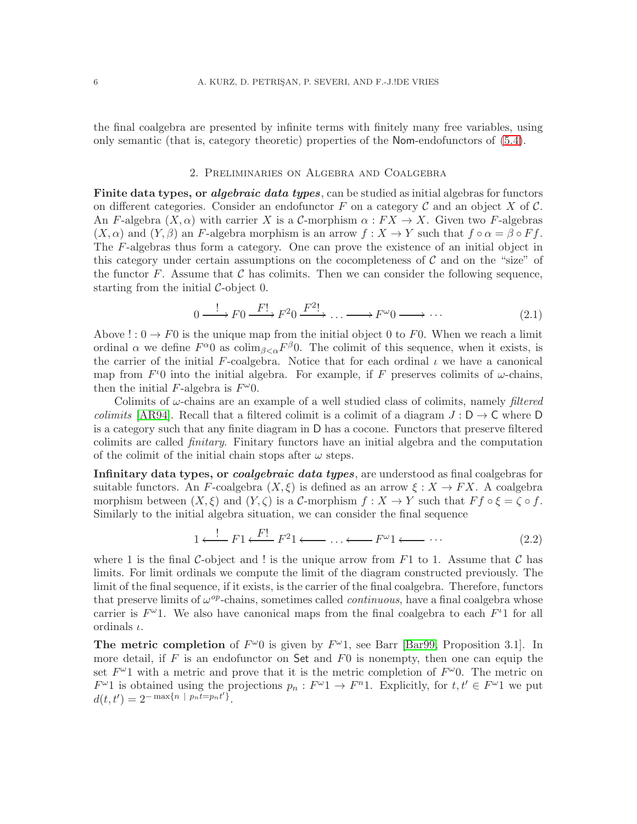<span id="page-7-0"></span>the final coalgebra are presented by infinite terms with finitely many free variables, using only semantic (that is, category theoretic) properties of the Nom-endofunctors of [\(5.4\)](#page-18-0).

#### 2. Preliminaries on Algebra and Coalgebra

**Finite data types, or algebraic data types**, can be studied as initial algebras for functors on different categories. Consider an endofunctor F on a category C and an object X of C. An F-algebra  $(X, \alpha)$  with carrier X is a C-morphism  $\alpha : FX \to X$ . Given two F-algebras  $(X, \alpha)$  and  $(Y, \beta)$  an F-algebra morphism is an arrow  $f : X \to Y$  such that  $f \circ \alpha = \beta \circ F f$ . The F-algebras thus form a category. One can prove the existence of an initial object in this category under certain assumptions on the cocompleteness of  $\mathcal C$  and on the "size" of the functor  $F$ . Assume that  $\mathcal C$  has colimits. Then we can consider the following sequence, starting from the initial  $\mathcal{C}\text{-object }0$ .

<span id="page-7-1"></span>
$$
0 \xrightarrow{\cdot} F0 \xrightarrow{F!} F^20 \xrightarrow{F^2!} \dots \xrightarrow{F^{\omega}0 \xrightarrow{\cdot} \dots \tag{2.1}
$$

Above ! :  $0 \rightarrow F0$  is the unique map from the initial object 0 to F0. When we reach a limit ordinal  $\alpha$  we define  $F^{\alpha}0$  as colim<sub> $\beta \leq \alpha} F^{\beta}0$ . The colimit of this sequence, when it exists, is</sub> the carrier of the initial F-coalgebra. Notice that for each ordinal  $\iota$  we have a canonical map from  $F<sup>t</sup>0$  into the initial algebra. For example, if F preserves colimits of  $\omega$ -chains, then the initial F-algebra is  $F^{\omega}0$ .

Colimits of ω-chains are an example of a well studied class of colimits, namely *filtered colimits* [\[AR94\]](#page-51-2). Recall that a filtered colimit is a colimit of a diagram  $J : D \to C$  where D is a category such that any finite diagram in D has a cocone. Functors that preserve filtered colimits are called *finitary*. Finitary functors have an initial algebra and the computation of the colimit of the initial chain stops after  $\omega$  steps.

Infinitary data types, or *coalgebraic data types*, are understood as final coalgebras for suitable functors. An F-coalgebra  $(X, \xi)$  is defined as an arrow  $\xi : X \to FX$ . A coalgebra morphism between  $(X, \xi)$  and  $(Y, \zeta)$  is a C-morphism  $f : X \to Y$  such that  $F f \circ \xi = \zeta \circ f$ . Similarly to the initial algebra situation, we can consider the final sequence

$$
1 \xleftarrow{!} F1 \xleftarrow{F!} F^2 1 \xleftarrow{!} \dots \xleftarrow{F^{\omega} 1 \xleftarrow{!} \dots
$$
 (2.2)

where 1 is the final C-object and ! is the unique arrow from  $F1$  to 1. Assume that C has limits. For limit ordinals we compute the limit of the diagram constructed previously. The limit of the final sequence, if it exists, is the carrier of the final coalgebra. Therefore, functors that preserve limits of  $\omega^{op}$ -chains, sometimes called *continuous*, have a final coalgebra whose carrier is  $F^{\omega}$ 1. We also have canonical maps from the final coalgebra to each  $F^{\iota}$ 1 for all ordinals  $\iota$ .

The metric completion of  $F^{\omega}0$  is given by  $F^{\omega}1$ , see Barr [\[Bar99,](#page-52-8) Proposition 3.1]. In more detail, if  $F$  is an endofunctor on Set and  $F_0$  is nonempty, then one can equip the set  $F^{\omega}$  with a metric and prove that it is the metric completion of  $F^{\omega}$ . The metric on  $F^{\omega}1$  is obtained using the projections  $p_n : F^{\omega}1 \to F^n1$ . Explicitly, for  $t, t' \in F^{\omega}1$  we put  $d(t, t') = 2^{-\max\{n \mid p_n \overline{t} = p_n t'\}}.$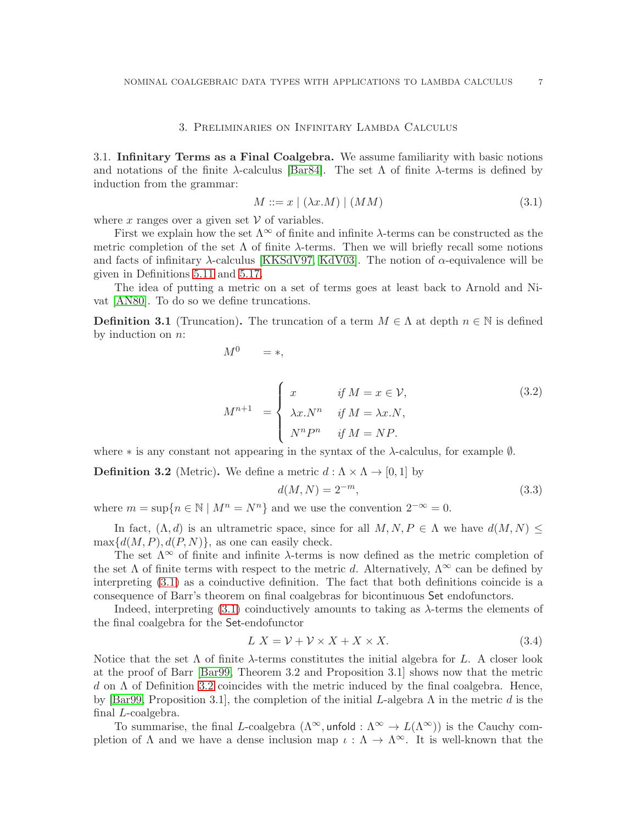#### 3. Preliminaries on Infinitary Lambda Calculus

<span id="page-8-1"></span><span id="page-8-0"></span>3.1. Infinitary Terms as a Final Coalgebra. We assume familiarity with basic notions and notations of the finite  $\lambda$ -calculus [\[Bar84\]](#page-52-3). The set  $\Lambda$  of finite  $\lambda$ -terms is defined by induction from the grammar:

<span id="page-8-2"></span>
$$
M ::= x \mid (\lambda x.M) \mid (MM) \tag{3.1}
$$

where x ranges over a given set  $V$  of variables.

First we explain how the set  $\Lambda^{\infty}$  of finite and infinite  $\lambda$ -terms can be constructed as the metric completion of the set  $\Lambda$  of finite  $\lambda$ -terms. Then we will briefly recall some notions and facts of infinitary  $\lambda$ -calculus [\[KKSdV97,](#page-52-5) [KdV03\]](#page-52-6). The notion of  $\alpha$ -equivalence will be given in Definitions [5.11](#page-20-0) and [5.17.](#page-23-3)

The idea of putting a metric on a set of terms goes at least back to Arnold and Nivat [\[AN80\]](#page-51-3). To do so we define truncations.

<span id="page-8-4"></span>**Definition 3.1** (Truncation). The truncation of a term  $M \in \Lambda$  at depth  $n \in \mathbb{N}$  is defined by induction on n:

$$
M^0 \quad = *,
$$

 $M^{n+1}$  =  $\sqrt{ }$  $\int$  $\overline{\mathcal{L}}$ x *if*  $M = x \in V$ ,  $\lambda x.N^n$  *if*  $M = \lambda x.N$ ,  $N^n P^n$  *if*  $M = NP$ . (3.2)

where  $*$  is any constant not appearing in the syntax of the  $\lambda$ -calculus, for example  $\emptyset$ .

<span id="page-8-3"></span>**Definition 3.2** (Metric). We define a metric  $d : \Lambda \times \Lambda \to [0, 1]$  by

$$
d(M, N) = 2^{-m},
$$
\n(3.3)

where  $m = \sup\{n \in \mathbb{N} \mid M^n = N^n\}$  and we use the convention  $2^{-\infty} = 0$ .

In fact,  $(\Lambda, d)$  is an ultrametric space, since for all  $M, N, P \in \Lambda$  we have  $d(M, N) \leq$  $\max\{d(M, P), d(P, N)\}\$ , as one can easily check.

The set  $\Lambda^{\infty}$  of finite and infinite  $\lambda$ -terms is now defined as the metric completion of the set  $\Lambda$  of finite terms with respect to the metric d. Alternatively,  $\Lambda^{\infty}$  can be defined by interpreting [\(3.1\)](#page-8-2) as a coinductive definition. The fact that both definitions coincide is a consequence of Barr's theorem on final coalgebras for bicontinuous Set endofunctors.

Indeed, interpreting  $(3.1)$  coinductively amounts to taking as  $\lambda$ -terms the elements of the final coalgebra for the Set-endofunctor

<span id="page-8-5"></span>
$$
L X = \mathcal{V} + \mathcal{V} \times X + X \times X. \tag{3.4}
$$

Notice that the set  $\Lambda$  of finite  $\lambda$ -terms constitutes the initial algebra for L. A closer look at the proof of Barr [\[Bar99,](#page-52-8) Theorem 3.2 and Proposition 3.1] shows now that the metric d on  $\Lambda$  of Definition [3.2](#page-8-3) coincides with the metric induced by the final coalgebra. Hence, by [\[Bar99,](#page-52-8) Proposition 3.1], the completion of the initial L-algebra  $\Lambda$  in the metric d is the final L-coalgebra.

To summarise, the final L-coalgebra  $(\Lambda^{\infty}, \text{unfold}: \Lambda^{\infty} \to L(\Lambda^{\infty}))$  is the Cauchy completion of  $\Lambda$  and we have a dense inclusion map  $\iota : \Lambda \to \Lambda^\infty$ . It is well-known that the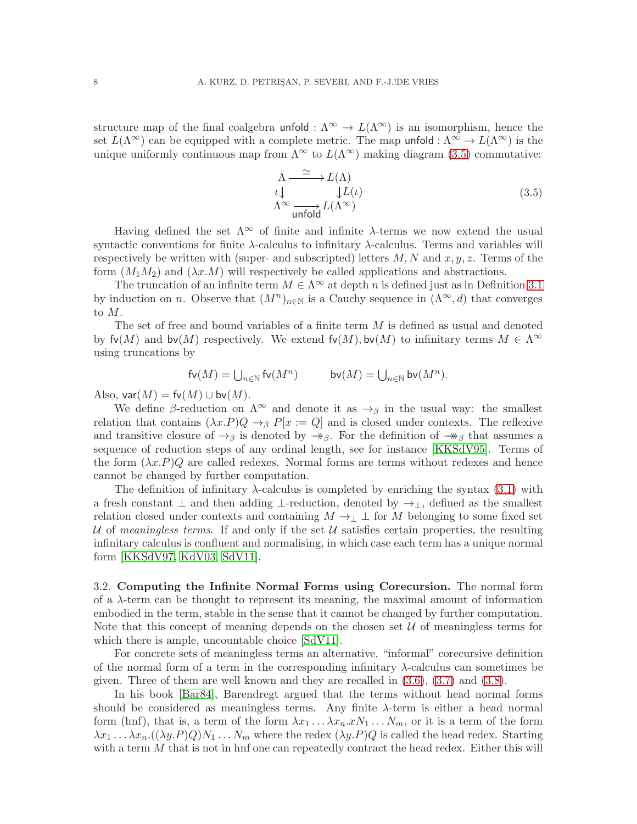structure map of the final coalgebra unfold :  $\Lambda^{\infty} \to L(\Lambda^{\infty})$  is an isomorphism, hence the set  $L(\Lambda^{\infty})$  can be equipped with a complete metric. The map unfold :  $\Lambda^{\infty} \to L(\Lambda^{\infty})$  is the unique uniformly continuous map from  $\Lambda^{\infty}$  to  $L(\Lambda^{\infty})$  making diagram [\(3.5\)](#page-9-1) commutative:

<span id="page-9-1"></span>
$$
\Lambda \xrightarrow{\simeq} L(\Lambda)
$$
  
\n
$$
\iota \downarrow \qquad \qquad \downarrow L(\iota)
$$
  
\n
$$
\Lambda^{\infty} \xrightarrow{\text{unfold}} L(\Lambda^{\infty})
$$
\n(3.5)

Having defined the set  $\Lambda^{\infty}$  of finite and infinite  $\lambda$ -terms we now extend the usual syntactic conventions for finite  $\lambda$ -calculus to infinitary  $\lambda$ -calculus. Terms and variables will respectively be written with (super- and subscripted) letters  $M, N$  and  $x, y, z$ . Terms of the form  $(M_1M_2)$  and  $(\lambda x.M)$  will respectively be called applications and abstractions.

The truncation of an infinite term  $M \in \Lambda^{\infty}$  at depth n is defined just as in Definition [3.1](#page-8-4) by induction on n. Observe that  $(M^n)_{n\in\mathbb{N}}$  is a Cauchy sequence in  $(\Lambda^\infty, d)$  that converges to M.

The set of free and bound variables of a finite term  $M$  is defined as usual and denoted by  $f\nu(M)$  and  $b\nu(M)$  respectively. We extend  $f\nu(M)$ ,  $b\nu(M)$  to infinitary terms  $M \in \Lambda^\infty$ using truncations by

$$
\mathsf{fv}(M) = \bigcup\nolimits_{n \in \mathbb{N}} \mathsf{fv}(M^n) \qquad \qquad \mathsf{bv}(M) = \bigcup\nolimits_{n \in \mathbb{N}} \mathsf{bv}(M^n).
$$

Also,  $\mathsf{var}(M) = \mathsf{fv}(M) \cup \mathsf{bv}(M)$ .

We define β-reduction on  $\Lambda^{\infty}$  and denote it as  $\rightarrow$ <sub>β</sub> in the usual way: the smallest relation that contains  $(\lambda x.P)Q \rightarrow_{\beta} P[x := Q]$  and is closed under contexts. The reflexive and transitive closure of  $\rightarrow$ <sub>β</sub> is denoted by  $\rightarrow$ <sub>β</sub>. For the definition of  $\rightarrow$ <sub>β</sub> that assumes a sequence of reduction steps of any ordinal length, see for instance [\[KKSdV95\]](#page-52-4). Terms of the form  $(\lambda x.P)Q$  are called redexes. Normal forms are terms without redexes and hence cannot be changed by further computation.

The definition of infinitary  $\lambda$ -calculus is completed by enriching the syntax [\(3.1\)](#page-8-2) with a fresh constant  $\perp$  and then adding  $\perp$ -reduction, denoted by  $\rightarrow_{\perp}$ , defined as the smallest relation closed under contexts and containing  $M \to \perp \perp$  for M belonging to some fixed set U of *meaningless terms*. If and only if the set U satisfies certain properties, the resulting infinitary calculus is confluent and normalising, in which case each term has a unique normal form [\[KKSdV97,](#page-52-5) [KdV03,](#page-52-6) [SdV11\]](#page-53-4).

<span id="page-9-0"></span>3.2. Computing the Infinite Normal Forms using Corecursion. The normal form of a  $\lambda$ -term can be thought to represent its meaning, the maximal amount of information embodied in the term, stable in the sense that it cannot be changed by further computation. Note that this concept of meaning depends on the chosen set  $U$  of meaningless terms for which there is ample, uncountable choice [\[SdV11\]](#page-53-4).

For concrete sets of meaningless terms an alternative, "informal" corecursive definition of the normal form of a term in the corresponding infinitary λ-calculus can sometimes be given. Three of them are well known and they are recalled in [\(3.6\)](#page-10-0), [\(3.7\)](#page-10-1) and [\(3.8\)](#page-11-0).

In his book [\[Bar84\]](#page-52-3), Barendregt argued that the terms without head normal forms should be considered as meaningless terms. Any finite  $\lambda$ -term is either a head normal form (hnf), that is, a term of the form  $\lambda x_1 \ldots \lambda x_n \ldots x_N$ , or it is a term of the form  $\lambda x_1 \ldots \lambda x_n$ .  $((\lambda y.P)Q)N_1 \ldots N_m$  where the redex  $(\lambda y.P)Q$  is called the head redex. Starting with a term  $M$  that is not in hnf one can repeatedly contract the head redex. Either this will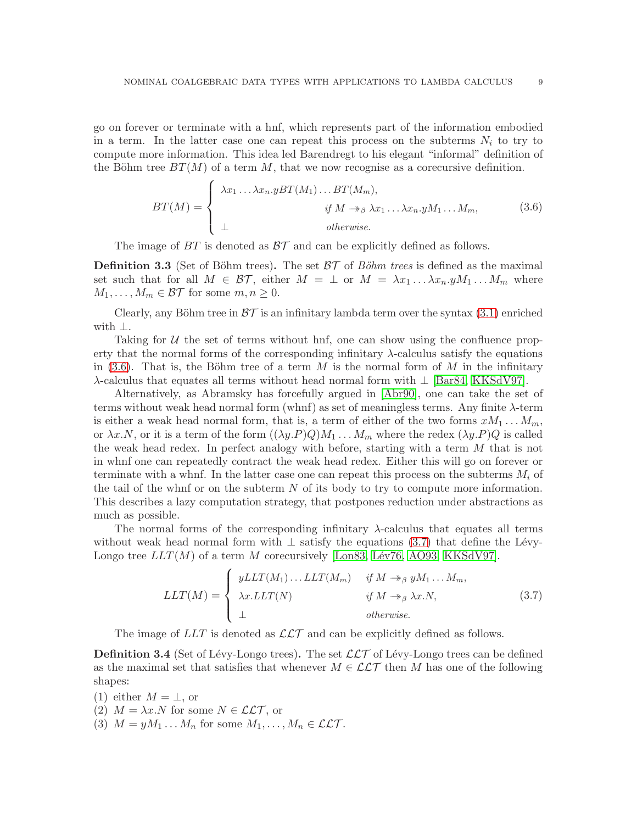go on forever or terminate with a hnf, which represents part of the information embodied in a term. In the latter case one can repeat this process on the subterms  $N_i$  to try to compute more information. This idea led Barendregt to his elegant "informal" definition of the Böhm tree  $BT(M)$  of a term M, that we now recognise as a corecursive definition.

<span id="page-10-0"></span>
$$
BT(M) = \begin{cases} \lambda x_1 \dots \lambda x_n . y BT(M_1) \dots BT(M_m), \\ \text{if } M \to_{\beta} \lambda x_1 \dots \lambda x_n . y M_1 \dots M_m, \\ \bot & otherwise. \end{cases} \tag{3.6}
$$

The image of  $BT$  is denoted as  $BT$  and can be explicitly defined as follows.

<span id="page-10-2"></span>**Definition 3.3** (Set of Böhm trees). The set  $BT$  of *Böhm trees* is defined as the maximal set such that for all  $M \in \mathcal{BT}$ , either  $M = \perp$  or  $M = \lambda x_1 \dots \lambda x_n y M_1 \dots M_m$  where  $M_1, \ldots, M_m \in \mathcal{BT}$  for some  $m, n \geq 0$ .

Clearly, any Böhm tree in  $\beta\mathcal{T}$  is an infinitary lambda term over the syntax [\(3.1\)](#page-8-2) enriched with ⊥.

Taking for  $U$  the set of terms without hnf, one can show using the confluence property that the normal forms of the corresponding infinitary  $\lambda$ -calculus satisfy the equations in [\(3.6\)](#page-10-0). That is, the Böhm tree of a term M is the normal form of M in the infinitary λ-calculus that equates all terms without head normal form with ⊥ [\[Bar84,](#page-52-3) [KKSdV97\]](#page-52-5).

Alternatively, as Abramsky has forcefully argued in [\[Abr90\]](#page-51-4), one can take the set of terms without weak head normal form (whnf) as set of meaningless terms. Any finite λ-term is either a weak head normal form, that is, a term of either of the two forms  $xM_1 \ldots M_m$ , or  $\lambda x.N$ , or it is a term of the form  $((\lambda y.P)Q)M_1 \dots M_m$  where the redex  $(\lambda y.P)Q$  is called the weak head redex. In perfect analogy with before, starting with a term M that is not in whnf one can repeatedly contract the weak head redex. Either this will go on forever or terminate with a whnf. In the latter case one can repeat this process on the subterms  $M_i$  of the tail of the whnf or on the subterm  $N$  of its body to try to compute more information. This describes a lazy computation strategy, that postpones reduction under abstractions as much as possible.

The normal forms of the corresponding infinitary  $\lambda$ -calculus that equates all terms without weak head normal form with  $\perp$  satisfy the equations [\(3.7\)](#page-10-1) that define the Lévy-Longo tree  $LLT(M)$  of a term M corecursively [Longs, Lév76, [AO93,](#page-51-5) [KKSdV97\]](#page-52-5).

<span id="page-10-1"></span>
$$
LLT(M) = \begin{cases} yLLT(M_1) \dots LLT(M_m) & \text{if } M \twoheadrightarrow_{\beta} yM_1 \dots M_m, \\ \lambda x.LLT(N) & \text{if } M \twoheadrightarrow_{\beta} \lambda x.N, \\ \bot & \text{otherwise.} \end{cases} \tag{3.7}
$$

The image of  $LLT$  is denoted as  $\mathcal{LLT}$  and can be explicitly defined as follows.

<span id="page-10-3"></span>**Definition 3.4** (Set of Lévy-Longo trees). The set  $\mathcal{LLT}$  of Lévy-Longo trees can be defined as the maximal set that satisfies that whenever  $M \in \mathcal{LLT}$  then M has one of the following shapes:

- (1) either  $M = \perp$ , or
- (2)  $M = \lambda x.N$  for some  $N \in \mathcal{LLT}$ , or
- (3)  $M = yM_1 \dots M_n$  for some  $M_1, \dots, M_n \in \mathcal{LLT}$ .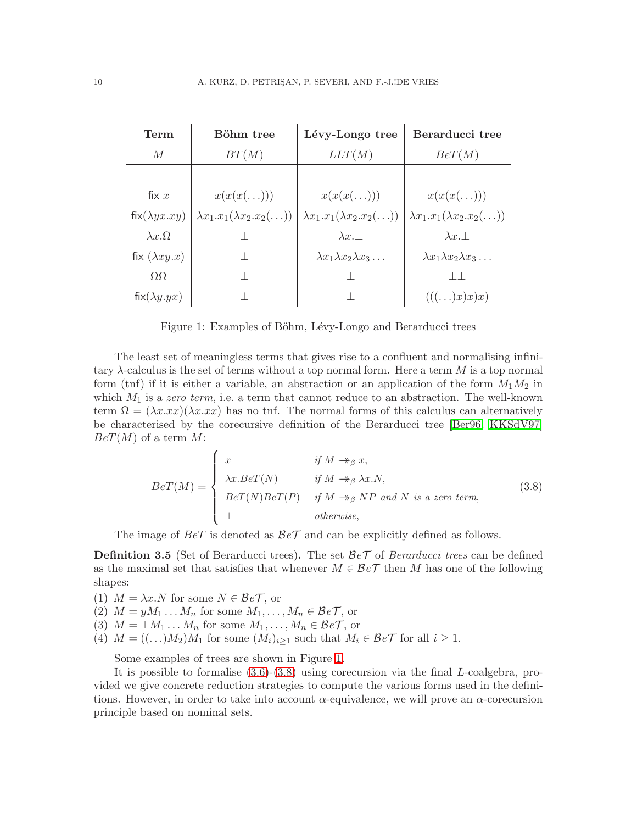| Term                 | Böhm tree                                  | Lévy-Longo tree                              | Berarducci tree                              |
|----------------------|--------------------------------------------|----------------------------------------------|----------------------------------------------|
| $\overline{M}$       | BT(M)                                      | LLT(M)                                       | BeT(M)                                       |
|                      |                                            |                                              |                                              |
| fix $x$              | $x(x(x(\ldots)))$                          | $x(x(x(\ldots)))$                            | $x(x(x(\ldots)))$                            |
| $fix(\lambda yx.xy)$ | $\lambda x_1.x_1(\lambda x_2.x_2(\ldots))$ | $\lambda x_1.x_1(\lambda x_2.x_2(\ldots))$   | $\lambda x_1.x_1(\lambda x_2.x_2(\ldots))$   |
| $\lambda x. \Omega$  |                                            | $\lambda x$ .                                | $\lambda x. \perp$                           |
| fix $(\lambda xy.x)$ |                                            | $\lambda x_1 \lambda x_2 \lambda x_3 \ldots$ | $\lambda x_1 \lambda x_2 \lambda x_3 \ldots$ |
| $\Omega$             |                                            |                                              |                                              |
| $fix(\lambda y.yx)$  |                                            |                                              | $(((\ldots)x)x)x)$                           |

<span id="page-11-1"></span>Figure 1: Examples of Böhm, Lévy-Longo and Berarducci trees

The least set of meaningless terms that gives rise to a confluent and normalising infinitary  $\lambda$ -calculus is the set of terms without a top normal form. Here a term M is a top normal form (tnf) if it is either a variable, an abstraction or an application of the form  $M_1M_2$  in which  $M_1$  is a *zero term*, i.e. a term that cannot reduce to an abstraction. The well-known term  $\Omega = (\lambda x . xx)(\lambda x . xx)$  has no tnf. The normal forms of this calculus can alternatively be characterised by the corecursive definition of the Berarducci tree [\[Ber96,](#page-52-9) [KKSdV97\]](#page-52-5)  $BeT(M)$  of a term M:

<span id="page-11-0"></span>
$$
BeT(M) = \begin{cases} x & \text{if } M \to_{\beta} x, \\ \lambda x.BeT(N) & \text{if } M \to_{\beta} \lambda x.N, \\ BeT(N)BeT(P) & \text{if } M \to_{\beta} NP \text{ and } N \text{ is a zero term,} \\ \bot & \text{otherwise,} \end{cases}
$$
(3.8)

The image of  $BeT$  is denoted as  $BeT$  and can be explicitly defined as follows.

<span id="page-11-2"></span>Definition 3.5 (Set of Berarducci trees). The set B*e*T of *Berarducci trees* can be defined as the maximal set that satisfies that whenever  $M \in \mathcal{B}e\mathcal{T}$  then M has one of the following shapes:

- (1)  $M = \lambda x.N$  for some  $N \in \mathcal{B}eT$ , or
- (2)  $M = yM_1 \dots M_n$  for some  $M_1, \dots, M_n \in \mathcal{B}e\mathcal{T}$ , or
- (3)  $M = \perp M_1 \ldots M_n$  for some  $M_1, \ldots, M_n \in \mathcal{B}e\mathcal{T}$ , or
- (4)  $M = ((\ldots)M_2)M_1$  for some  $(M_i)_{i>1}$  such that  $M_i \in \mathcal{B}e\mathcal{T}$  for all  $i \geq 1$ .

Some examples of trees are shown in Figure [1.](#page-11-1)

It is possible to formalise [\(3.6\)](#page-10-0)-[\(3.8\)](#page-11-0) using corecursion via the final L-coalgebra, provided we give concrete reduction strategies to compute the various forms used in the definitions. However, in order to take into account  $\alpha$ -equivalence, we will prove an  $\alpha$ -corecursion principle based on nominal sets.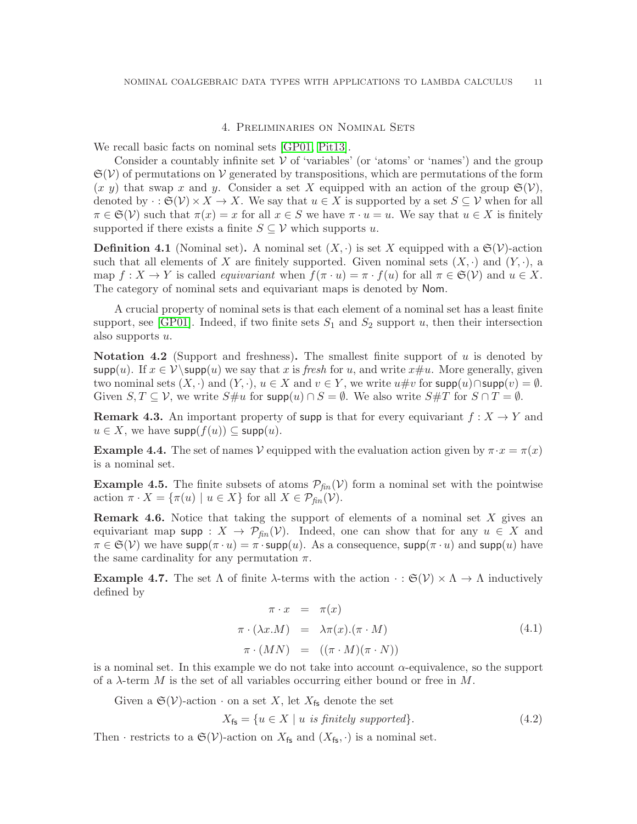#### 4. Preliminaries on Nominal Sets

<span id="page-12-0"></span>We recall basic facts on nominal sets [\[GP01,](#page-52-10) [Pit13\]](#page-53-7).

Consider a countably infinite set  $V$  of 'variables' (or 'atoms' or 'names') and the group  $\mathfrak{S}(\mathcal{V})$  of permutations on  $\mathcal{V}$  generated by transpositions, which are permutations of the form  $(x, y)$  that swap x and y. Consider a set X equipped with an action of the group  $\mathfrak{S}(\mathcal{V})$ , denoted by  $\cdot : \mathfrak{S}(\mathcal{V}) \times X \to X$ . We say that  $u \in X$  is supported by a set  $S \subseteq \mathcal{V}$  when for all  $\pi \in \mathfrak{S}(\mathcal{V})$  such that  $\pi(x) = x$  for all  $x \in S$  we have  $\pi \cdot u = u$ . We say that  $u \in X$  is finitely supported if there exists a finite  $S \subseteq V$  which supports u.

**Definition 4.1** (Nominal set). A nominal set  $(X, \cdot)$  is set X equipped with a  $\mathfrak{S}(\mathcal{V})$ -action such that all elements of X are finitely supported. Given nominal sets  $(X, \cdot)$  and  $(Y, \cdot)$ , a map  $f: X \to Y$  is called *equivariant* when  $f(\pi \cdot u) = \pi \cdot f(u)$  for all  $\pi \in \mathfrak{S}(\mathcal{V})$  and  $u \in X$ . The category of nominal sets and equivariant maps is denoted by Nom.

A crucial property of nominal sets is that each element of a nominal set has a least finite support, see [\[GP01\]](#page-52-10). Indeed, if two finite sets  $S_1$  and  $S_2$  support u, then their intersection also supports  $u$ .

**Notation 4.2** (Support and freshness). The smallest finite support of u is denoted by  $\text{supp}(u)$ . If  $x \in V \setminus \text{supp}(u)$  we say that x is *fresh* for u, and write  $x \neq u$ . More generally, given two nominal sets  $(X, \cdot)$  and  $(Y, \cdot), u \in X$  and  $v \in Y$ , we write  $u \# v$  for  $\textsf{supp}(u) \cap \textsf{supp}(v) = \emptyset$ . Given  $S, T \subseteq V$ , we write  $S \# u$  for  $\text{supp}(u) \cap S = \emptyset$ . We also write  $S \# T$  for  $S \cap T = \emptyset$ .

<span id="page-12-2"></span>**Remark 4.3.** An important property of supp is that for every equivariant  $f : X \to Y$  and  $u \in X$ , we have  $\textsf{supp}(f(u)) \subseteq \textsf{supp}(u)$ .

**Example 4.4.** The set of names V equipped with the evaluation action given by  $\pi \cdot x = \pi(x)$ is a nominal set.

**Example 4.5.** The finite subsets of atoms  $P_{fin}(\mathcal{V})$  form a nominal set with the pointwise action  $\pi \cdot X = {\pi(u) \mid u \in X}$  for all  $X \in \mathcal{P}_{\text{fin}}(\mathcal{V})$ .

<span id="page-12-5"></span>**Remark 4.6.** Notice that taking the support of elements of a nominal set  $X$  gives an equivariant map supp :  $X \to \mathcal{P}_{fin}(\mathcal{V})$ . Indeed, one can show that for any  $u \in X$  and  $\pi \in \mathfrak{S}(\mathcal{V})$  we have supp $(\pi \cdot u) = \pi \cdot \text{supp}(u)$ . As a consequence, supp $(\pi \cdot u)$  and supp $(u)$  have the same cardinality for any permutation  $\pi$ .

<span id="page-12-3"></span>**Example 4.7.** The set  $\Lambda$  of finite  $\lambda$ -terms with the action  $\cdot : \mathfrak{S}(\mathcal{V}) \times \Lambda \to \Lambda$  inductively defined by

<span id="page-12-1"></span>
$$
\pi \cdot x = \pi(x) \n\pi \cdot (\lambda x.M) = \lambda \pi(x).(\pi \cdot M) \n\pi \cdot (MN) = ((\pi \cdot M)(\pi \cdot N))
$$
\n(4.1)

is a nominal set. In this example we do not take into account  $\alpha$ -equivalence, so the support of a  $\lambda$ -term M is the set of all variables occurring either bound or free in M.

Given a  $\mathfrak{S}(\mathcal{V})$ -action  $\cdot$  on a set X, let  $X_{\mathsf{fs}}$  denote the set

<span id="page-12-4"></span>
$$
X_{\mathsf{fs}} = \{ u \in X \mid u \text{ is finitely supported} \}. \tag{4.2}
$$

Then · restricts to a  $\mathfrak{S}(\mathcal{V})$ -action on  $X_{\mathsf{fs}}$  and  $(X_{\mathsf{fs}},\cdot)$  is a nominal set.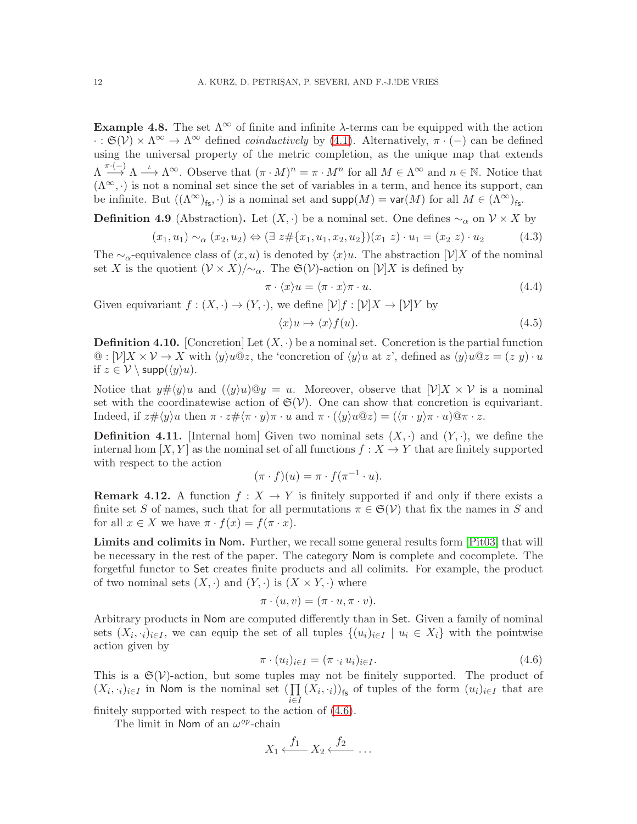Example 4.8. The set  $\Lambda^{\infty}$  of finite and infinite  $\lambda$ -terms can be equipped with the action  $\cdot : \mathfrak{S}(\mathcal{V}) \times \Lambda^{\infty} \to \Lambda^{\infty}$  defined *coinductively* by [\(4.1\)](#page-12-1). Alternatively,  $\pi \cdot (-)$  can be defined using the universal property of the metric completion, as the unique map that extends  $\Lambda \stackrel{\pi \cdot (-)}{\longrightarrow} \Lambda \stackrel{\iota}{\longrightarrow} \Lambda^{\infty}$ . Observe that  $(\pi \cdot M)^n = \pi \cdot M^n$  for all  $M \in \Lambda^{\infty}$  and  $n \in \mathbb{N}$ . Notice that  $(\Lambda^{\infty}, \cdot)$  is not a nominal set since the set of variables in a term, and hence its support, can be infinite. But  $((\Lambda^\infty)_{\text{fs}}, \cdot)$  is a nominal set and  $\text{supp}(M) = \text{var}(M)$  for all  $M \in (\Lambda^\infty)_{\text{fs}}$ .

<span id="page-13-3"></span>**Definition 4.9** (Abstraction). Let  $(X, \cdot)$  be a nominal set. One defines  $\sim_\alpha$  on  $\mathcal{V} \times X$  by

$$
(x_1, u_1) \sim_{\alpha} (x_2, u_2) \Leftrightarrow (\exists z \# \{x_1, u_1, x_2, u_2\})(x_1 \ z) \cdot u_1 = (x_2 \ z) \cdot u_2 \tag{4.3}
$$

The ∼α-equivalence class of  $(x, u)$  is denoted by  $\langle x \rangle u$ . The abstraction  $[\mathcal{V}]X$  of the nominal set X is the quotient  $(\mathcal{V} \times X)/{\sim_{\alpha}}$ . The  $\mathfrak{S}(\mathcal{V})$ -action on  $[\mathcal{V}]X$  is defined by

$$
\pi \cdot \langle x \rangle u = \langle \pi \cdot x \rangle \pi \cdot u. \tag{4.4}
$$

Given equivariant  $f : (X, \cdot) \to (Y, \cdot)$ , we define  $[\mathcal{V}]f : [\mathcal{V}]X \to [\mathcal{V}]Y$  by

$$
\langle x \rangle u \mapsto \langle x \rangle f(u). \tag{4.5}
$$

<span id="page-13-4"></span>**Definition 4.10.** [Concretion] Let  $(X, \cdot)$  be a nominal set. Concretion is the partial function  $\mathcal{Q}: [\mathcal{V}]X \times \mathcal{V} \to X$  with  $\langle y \rangle u \mathbb{Q}z$ , the 'concretion of  $\langle y \rangle u$  at z', defined as  $\langle y \rangle u \mathbb{Q}z = (z \ y) \cdot u$ if  $z \in V \setminus \text{supp}(\langle y \rangle u)$ .

Notice that  $y\# \langle y \rangle u$  and  $(\langle y \rangle u) \otimes y = u$ . Moreover, observe that  $[\mathcal{V}]X \times \mathcal{V}$  is a nominal set with the coordinatewise action of  $\mathfrak{S}(\mathcal{V})$ . One can show that concretion is equivariant. Indeed, if  $z\# \langle y \rangle u$  then  $\pi \cdot z\# \langle \pi \cdot y \rangle \pi \cdot u$  and  $\pi \cdot (\langle y \rangle u \mathbb{Q} z) = (\langle \pi \cdot y \rangle \pi \cdot u) \mathbb{Q} \pi \cdot z$ .

<span id="page-13-1"></span>**Definition 4.11.** [Internal hom] Given two nominal sets  $(X, \cdot)$  and  $(Y, \cdot)$ , we define the internal hom  $[X, Y]$  as the nominal set of all functions  $f : X \to Y$  that are finitely supported with respect to the action

$$
(\pi \cdot f)(u) = \pi \cdot f(\pi^{-1} \cdot u).
$$

<span id="page-13-2"></span>**Remark 4.12.** A function  $f: X \to Y$  is finitely supported if and only if there exists a finite set S of names, such that for all permutations  $\pi \in \mathfrak{S}(\mathcal{V})$  that fix the names in S and for all  $x \in X$  we have  $\pi \cdot f(x) = f(\pi \cdot x)$ .

Limits and colimits in Nom. Further, we recall some general results form [\[Pit03\]](#page-53-8) that will be necessary in the rest of the paper. The category Nom is complete and cocomplete. The forgetful functor to Set creates finite products and all colimits. For example, the product of two nominal sets  $(X, \cdot)$  and  $(Y, \cdot)$  is  $(X \times Y, \cdot)$  where

$$
\pi \cdot (u, v) = (\pi \cdot u, \pi \cdot v).
$$

Arbitrary products in Nom are computed differently than in Set. Given a family of nominal sets  $(X_i, j)_{i \in I}$ , we can equip the set of all tuples  $\{(u_i)_{i \in I} \mid u_i \in X_i\}$  with the pointwise action given by

<span id="page-13-0"></span>
$$
\pi \cdot (u_i)_{i \in I} = (\pi \cdot_i u_i)_{i \in I}.\tag{4.6}
$$

This is a  $\mathfrak{S}(\mathcal{V})$ -action, but some tuples may not be finitely supported. The product of  $(X_i, \cdot_i)_{i \in I}$  in Nom is the nominal set  $\left(\prod_i (X_i, \cdot_i)\right)_{\mathsf{fs}}$  of tuples of the form  $(u_i)_{i \in I}$  that are i∈I

finitely supported with respect to the action of [\(4.6\)](#page-13-0).

The limit in Nom of an  $\omega^{op}$ -chain

$$
X_1 \xleftarrow{f_1} X_2 \xleftarrow{f_2} \dots
$$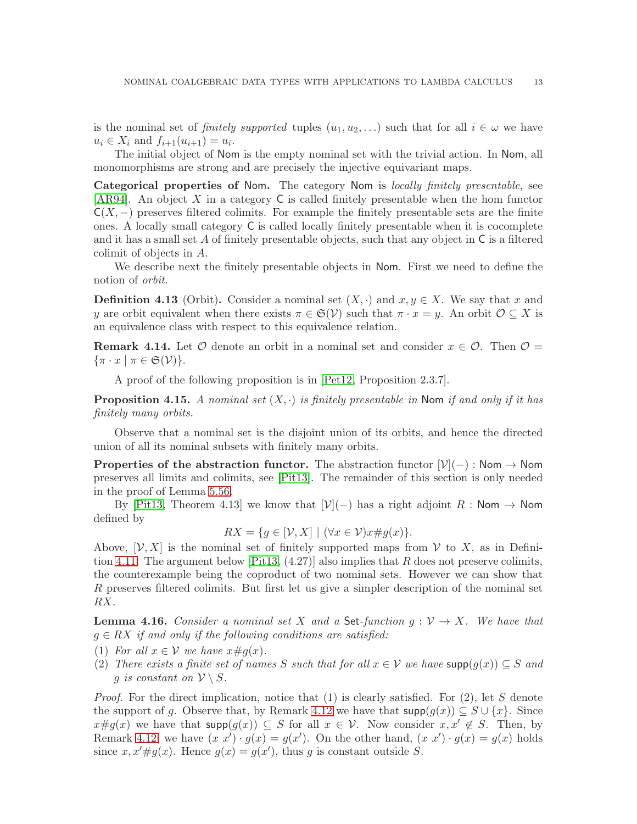is the nominal set of *finitely supported* tuples  $(u_1, u_2, \ldots)$  such that for all  $i \in \omega$  we have  $u_i \in X_i$  and  $f_{i+1}(u_{i+1}) = u_i$ .

The initial object of Nom is the empty nominal set with the trivial action. In Nom, all monomorphisms are strong and are precisely the injective equivariant maps.

Categorical properties of Nom. The category Nom is *locally finitely presentable*, see [\[AR94\]](#page-51-2). An object X in a category C is called finitely presentable when the hom functor  $C(X, -)$  preserves filtered colimits. For example the finitely presentable sets are the finite ones. A locally small category C is called locally finitely presentable when it is cocomplete and it has a small set  $A$  of finitely presentable objects, such that any object in  $C$  is a filtered colimit of objects in A.

We describe next the finitely presentable objects in Nom. First we need to define the notion of *orbit*.

**Definition 4.13** (Orbit). Consider a nominal set  $(X, \cdot)$  and  $x, y \in X$ . We say that x and y are orbit equivalent when there exists  $\pi \in \mathfrak{S}(\mathcal{V})$  such that  $\pi \cdot x = y$ . An orbit  $\mathcal{O} \subseteq X$  is an equivalence class with respect to this equivalence relation.

**Remark 4.14.** Let  $\mathcal O$  denote an orbit in a nominal set and consider  $x \in \mathcal O$ . Then  $\mathcal O =$  $\{\pi \cdot x \mid \pi \in \mathfrak{S}(\mathcal{V})\}.$ 

A proof of the following proposition is in [\[Pet12,](#page-53-9) Proposition 2.3.7].

**Proposition 4.15.** A nominal set  $(X, \cdot)$  is finitely presentable in Nom if and only if it has *finitely many orbits.*

Observe that a nominal set is the disjoint union of its orbits, and hence the directed union of all its nominal subsets with finitely many orbits.

**Properties of the abstraction functor.** The abstraction functor  $[\mathcal{V}](-)$ : Nom  $\rightarrow$  Nom preserves all limits and colimits, see [\[Pit13\]](#page-53-7). The remainder of this section is only needed in the proof of Lemma [5.56.](#page-36-0)

By [\[Pit13,](#page-53-7) Theorem 4.13] we know that  $[\mathcal{V}](-)$  has a right adjoint R : Nom  $\rightarrow$  Nom defined by

 $RX = \{q \in [\mathcal{V}, X] \mid (\forall x \in \mathcal{V})x \neq q(x)\}.$ 

Above,  $[V, X]$  is the nominal set of finitely supported maps from V to X, as in Defini-tion [4.11.](#page-13-1) The argument below [\[Pit13,](#page-53-7)  $(4.27)$ ] also implies that R does not preserve colimits, the counterexample being the coproduct of two nominal sets. However we can show that R preserves filtered colimits. But first let us give a simpler description of the nominal set RX.

<span id="page-14-0"></span>**Lemma 4.16.** *Consider a nominal set* X and a Set-function  $g: V \to X$ . We have that g ∈ RX *if and only if the following conditions are satisfied:*

- (1) *For all*  $x \in V$  *we have*  $x \# g(x)$ *.*
- (2) *There exists a finite set of names* S *such that for all*  $x \in V$  *we have*  $\text{supp}(g(x)) \subseteq S$  *and g* is constant on  $V \setminus S$ .

*Proof.* For the direct implication, notice that (1) is clearly satisfied. For (2), let S denote the support of g. Observe that, by Remark [4.12](#page-13-2) we have that  $\text{supp}(g(x)) \subseteq S \cup \{x\}$ . Since  $x\#g(x)$  we have that  $\text{supp}(g(x)) \subseteq S$  for all  $x \in V$ . Now consider  $x, x' \notin S$ . Then, by Remark [4.12,](#page-13-2) we have  $(x x') \cdot g(x) = g(x')$ . On the other hand,  $(x x') \cdot g(x) = g(x)$  holds since  $x, x' \# g(x)$ . Hence  $g(x) = g(x')$ , thus g is constant outside S.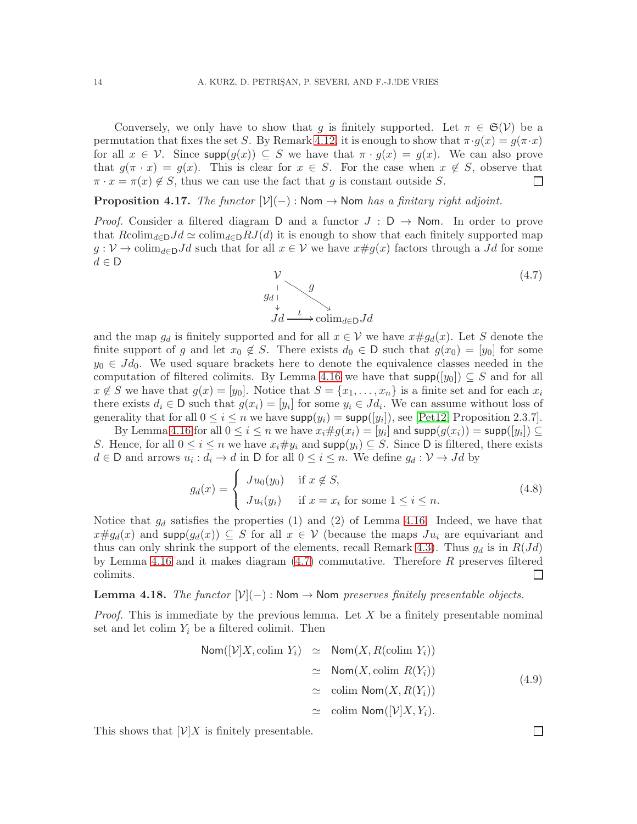Conversely, we only have to show that g is finitely supported. Let  $\pi \in \mathfrak{S}(\mathcal{V})$  be a permutation that fixes the set S. By Remark [4.12,](#page-13-2) it is enough to show that  $\pi \cdot g(x) = g(\pi \cdot x)$ for all  $x \in V$ . Since  $\textsf{supp}(g(x)) \subseteq S$  we have that  $\pi \cdot g(x) = g(x)$ . We can also prove that  $g(\pi \cdot x) = g(x)$ . This is clear for  $x \in S$ . For the case when  $x \notin S$ , observe that  $\pi \cdot x = \pi(x) \notin S$ , thus we can use the fact that g is constant outside S.  $\Box$ 

**Proposition 4.17.** *The functor*  $[\mathcal{V}](-)$  : Nom  $\rightarrow$  Nom *has a finitary right adjoint.* 

*Proof.* Consider a filtered diagram D and a functor  $J : D \rightarrow$  Nom. In order to prove that  $R \text{colim}_{d \in \mathcal{D}} Jd \simeq \text{colim}_{d \in \mathcal{D}} RJ(d)$  it is enough to show that each finitely supported map  $g: V \to \text{colim}_{d \in \mathcal{D}} Jd$  such that for all  $x \in V$  we have  $x \# g(x)$  factors through a Jd for some  $d \in \mathsf{D}$ 

<span id="page-15-0"></span>

and the map  $g_d$  is finitely supported and for all  $x \in V$  we have  $x \# g_d(x)$ . Let S denote the finite support of g and let  $x_0 \notin S$ . There exists  $d_0 \in D$  such that  $g(x_0) = [y_0]$  for some  $y_0 \in Jd_0$ . We used square brackets here to denote the equivalence classes needed in the computation of filtered colimits. By Lemma [4.16](#page-14-0) we have that  $\text{supp}([y_0]) \subseteq S$  and for all  $x \notin S$  we have that  $g(x) = [y_0]$ . Notice that  $S = \{x_1, \ldots, x_n\}$  is a finite set and for each  $x_i$ there exists  $d_i \in \mathsf{D}$  such that  $g(x_i) = [y_i]$  for some  $y_i \in Jd_i$ . We can assume without loss of generality that for all  $0 \le i \le n$  we have  $\text{supp}(y_i) = \text{supp}([y_i])$ , see [\[Pet12,](#page-53-9) Proposition 2.3.7].

By Lemma [4.16](#page-14-0) for all  $0 \le i \le n$  we have  $x_i \# g(x_i) = [y_i]$  and  $\mathsf{supp}(g(x_i)) = \mathsf{supp}([y_i]) \subseteq$ S. Hence, for all  $0 \le i \le n$  we have  $x_i \# y_i$  and  $\text{supp}(y_i) \subseteq S$ . Since D is filtered, there exists  $d \in \mathsf{D}$  and arrows  $u_i : d_i \to d$  in  $\mathsf{D}$  for all  $0 \leq i \leq n$ . We define  $g_d : \mathcal{V} \to Jd$  by

$$
g_d(x) = \begin{cases} Ju_0(y_0) & \text{if } x \notin S, \\ Ju_i(y_i) & \text{if } x = x_i \text{ for some } 1 \le i \le n. \end{cases}
$$
 (4.8)

Notice that  $g_d$  satisfies the properties (1) and (2) of Lemma [4.16.](#page-14-0) Indeed, we have that  $x \# g_d(x)$  and supp $(g_d(x)) \subseteq S$  for all  $x \in V$  (because the maps  $Ju_i$  are equivariant and thus can only shrink the support of the elements, recall Remark [4.3\)](#page-12-2). Thus  $g_d$  is in  $R(Jd)$ by Lemma [4.16](#page-14-0) and it makes diagram  $(4.7)$  commutative. Therefore R preserves filtered colimits.  $\Box$ 

<span id="page-15-1"></span>Lemma 4.18. *The functor*  $[\mathcal{V}](-)$  : Nom → Nom *preserves finitely presentable objects.* 

*Proof.* This is immediate by the previous lemma. Let X be a finitely presentable nominal set and let colim  $Y_i$  be a filtered colimit. Then

$$
\begin{array}{rcl}\n\text{Nom}([\mathcal{V}]X, \text{colim } Y_i) & \simeq & \text{Nom}(X, R(\text{colim } Y_i)) \\
& \simeq & \text{Nom}(X, \text{colim } R(Y_i)) \\
& \simeq & \text{colim } \text{Nom}(X, R(Y_i)) \\
& \simeq & \text{colim } \text{Nom}([\mathcal{V}]X, Y_i).\n\end{array} \tag{4.9}
$$

This shows that  $[\mathcal{V}]X$  is finitely presentable.

 $\Box$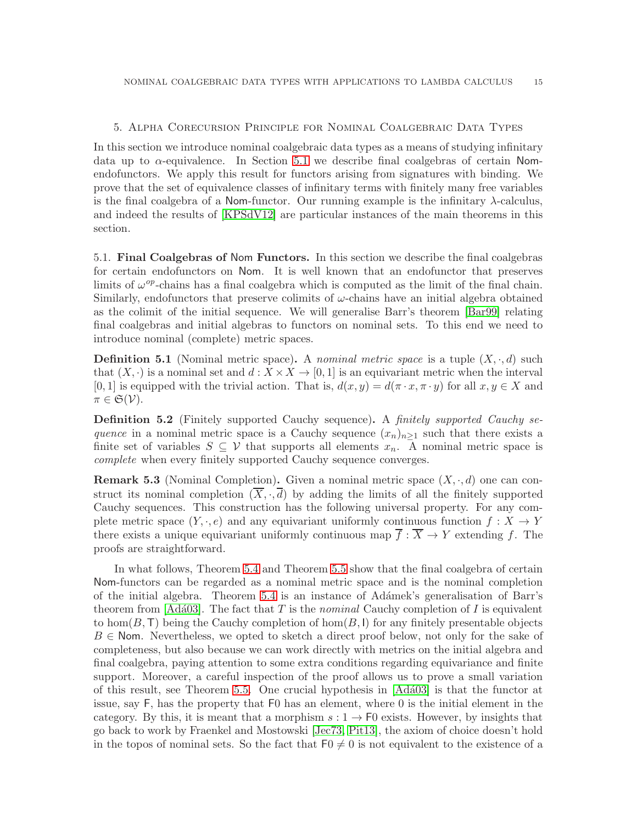#### <span id="page-16-0"></span>5. Alpha Corecursion Principle for Nominal Coalgebraic Data Types

In this section we introduce nominal coalgebraic data types as a means of studying infinitary data up to  $\alpha$ -equivalence. In Section [5.1](#page-16-1) we describe final coalgebras of certain Nomendofunctors. We apply this result for functors arising from signatures with binding. We prove that the set of equivalence classes of infinitary terms with finitely many free variables is the final coalgebra of a Nom-functor. Our running example is the infinitary  $\lambda$ -calculus, and indeed the results of [\[KPSdV12\]](#page-52-7) are particular instances of the main theorems in this section.

<span id="page-16-1"></span>5.1. Final Coalgebras of Nom Functors. In this section we describe the final coalgebras for certain endofunctors on Nom. It is well known that an endofunctor that preserves limits of  $\omega^{op}$ -chains has a final coalgebra which is computed as the limit of the final chain. Similarly, endofunctors that preserve colimits of  $\omega$ -chains have an initial algebra obtained as the colimit of the initial sequence. We will generalise Barr's theorem [\[Bar99\]](#page-52-8) relating final coalgebras and initial algebras to functors on nominal sets. To this end we need to introduce nominal (complete) metric spaces.

**Definition 5.1** (Nominal metric space). A *nominal metric space* is a tuple  $(X, \cdot, d)$  such that  $(X, \cdot)$  is a nominal set and  $d : X \times X \to [0, 1]$  is an equivariant metric when the interval  $[0, 1]$  is equipped with the trivial action. That is,  $d(x, y) = d(\pi \cdot x, \pi \cdot y)$  for all  $x, y \in X$  and  $\pi \in \mathfrak{S}(\mathcal{V}).$ 

Definition 5.2 (Finitely supported Cauchy sequence). A *finitely supported Cauchy sequence* in a nominal metric space is a Cauchy sequence  $(x_n)_{n>1}$  such that there exists a finite set of variables  $S \subseteq V$  that supports all elements  $x_n$ . A nominal metric space is *complete* when every finitely supported Cauchy sequence converges.

**Remark 5.3** (Nominal Completion). Given a nominal metric space  $(X, \cdot, d)$  one can construct its nominal completion  $(\overline{X}, \cdot, \overline{d})$  by adding the limits of all the finitely supported Cauchy sequences. This construction has the following universal property. For any complete metric space  $(Y, \cdot, e)$  and any equivariant uniformly continuous function  $f : X \to Y$ there exists a unique equivariant uniformly continuous map  $\overline{f} : \overline{X} \to Y$  extending f. The proofs are straightforward.

In what follows, Theorem [5.4](#page-17-0) and Theorem [5.5](#page-18-1) show that the final coalgebra of certain Nom-functors can be regarded as a nominal metric space and is the nominal completion of the initial algebra. Theorem [5.4](#page-17-0) is an instance of Ad´amek's generalisation of Barr's theorem from [Adá03]. The fact that  $T$  is the *nominal* Cauchy completion of  $I$  is equivalent to hom $(B, T)$  being the Cauchy completion of hom $(B, I)$  for any finitely presentable objects  $B \in$  Nom. Nevertheless, we opted to sketch a direct proof below, not only for the sake of completeness, but also because we can work directly with metrics on the initial algebra and final coalgebra, paying attention to some extra conditions regarding equivariance and finite support. Moreover, a careful inspection of the proof allows us to prove a small variation of this result, see Theorem [5.5.](#page-18-1) One crucial hypothesis in [\[Ad´a03\]](#page-51-6) is that the functor at issue, say F, has the property that F0 has an element, where 0 is the initial element in the category. By this, it is meant that a morphism  $s: 1 \to F0$  exists. However, by insights that go back to work by Fraenkel and Mostowski [\[Jec73,](#page-52-11) [Pit13\]](#page-53-7), the axiom of choice doesn't hold in the topos of nominal sets. So the fact that  $F_0 \neq 0$  is not equivalent to the existence of a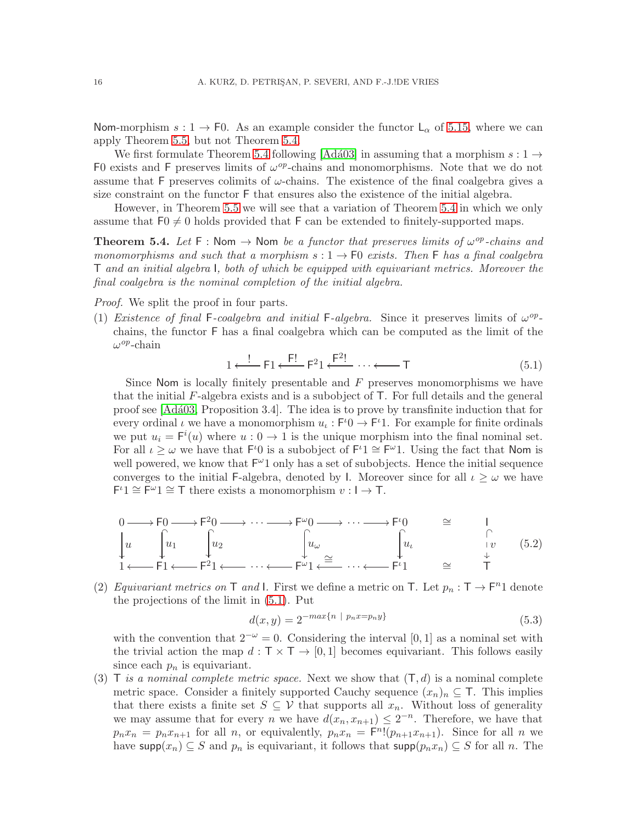Nom-morphism  $s: 1 \to F0$ . As an example consider the functor  $L_{\alpha}$  of [5.15,](#page-21-0) where we can apply Theorem [5.5,](#page-18-1) but not Theorem [5.4.](#page-17-0)

We first formulate Theorem [5.4](#page-17-0) following [Adá03] in assuming that a morphism  $s: 1 \rightarrow$ F0 exists and F preserves limits of  $\omega^{op}$ -chains and monomorphisms. Note that we do not assume that F preserves colimits of  $\omega$ -chains. The existence of the final coalgebra gives a size constraint on the functor F that ensures also the existence of the initial algebra.

However, in Theorem [5.5](#page-18-1) we will see that a variation of Theorem [5.4](#page-17-0) in which we only assume that  $F_0 \neq 0$  holds provided that F can be extended to finitely-supported maps.

<span id="page-17-0"></span>**Theorem 5.4.** Let  $F : \mathbb{N}$ om  $\rightarrow \mathbb{N}$ om *be a functor that preserves limits of*  $\omega^{op}$ -chains and *monomorphisms and such that a morphism*  $s: 1 \rightarrow F0$  *exists. Then* F *has a final coalgebra* T *and an initial algebra* I*, both of which be equipped with equivariant metrics. Moreover the final coalgebra is the nominal completion of the initial algebra.*

*Proof.* We split the proof in four parts.

(1) *Existence of final* F-coalgebra and initial F-algebra. Since it preserves limits of  $\omega^{op}$ chains, the functor F has a final coalgebra which can be computed as the limit of the  $\omega^{op}$ -chain

<span id="page-17-1"></span>
$$
1 \xleftarrow{!} \mathsf{F}1 \xleftarrow{!} \mathsf{F}21 \xleftarrow{!} \cdots \xleftarrow{!} \mathsf{T}
$$
\n
$$
(5.1)
$$

Since Nom is locally finitely presentable and  $F$  preserves monomorphisms we have that the initial  $F$ -algebra exists and is a subobject of  $T$ . For full details and the general proof see [\[Ad´a03,](#page-51-6) Proposition 3.4]. The idea is to prove by transfinite induction that for every ordinal  $\iota$  we have a monomorphism  $u_{\iota} : F^{\iota} \to F^{\iota}$ . For example for finite ordinals we put  $u_i = F^i(u)$  where  $u: 0 \to 1$  is the unique morphism into the final nominal set. For all  $\iota \geq \omega$  we have that  $\mathsf{F}^{\iota}0$  is a subobject of  $\mathsf{F}^{\iota}1 \cong \mathsf{F}^{\omega}1$ . Using the fact that Nom is well powered, we know that  $F^{\omega}1$  only has a set of subobjects. Hence the initial sequence converges to the initial F-algebra, denoted by I. Moreover since for all  $\iota \geq \omega$  we have  $F^{\iota}1 \cong \overline{F}^{\omega}1 \cong T$  there exists a monomorphism  $v: I \to T$ .

<span id="page-17-2"></span>
$$
\begin{array}{ccc}\n0 & \longrightarrow \text{F0} \longrightarrow \text{F}^2 0 \longrightarrow \cdots \longrightarrow \text{F}^\omega 0 \longrightarrow \cdots \longrightarrow \text{F}^\iota 0 \\
\downarrow u & \downarrow u_1 \\
1 & \downarrow u_2 \\
1 & \longleftarrow \text{F1} \longleftarrow \text{F}^2 1 \longleftarrow \cdots \longleftarrow \text{F}^\omega 1 \longleftarrow \cdots \longleftarrow \text{F}^\iota 1 \longrightarrow \cdots \longrightarrow \text{F}^\iota 1 \longrightarrow \cdots \longrightarrow \text{F}^\iota 1\n\end{array}\right)
$$
\n
$$
\begin{array}{ccc}\n\downarrow & & \downarrow & \\
\downarrow u & & \downarrow v & (5.2) \\
\downarrow & & \downarrow & \downarrow v & (5.2)\n\end{array}
$$

(2) *Equivariant metrics on* T *and* I. First we define a metric on T. Let  $p_n : T \to F^n1$  denote the projections of the limit in [\(5.1\)](#page-17-1). Put

$$
d(x,y) = 2^{-\max\{n \ | \ p_n x = p_n y\}}\tag{5.3}
$$

with the convention that  $2^{-\omega} = 0$ . Considering the interval [0, 1] as a nominal set with the trivial action the map  $d : \mathsf{T} \times \mathsf{T} \to [0,1]$  becomes equivariant. This follows easily since each  $p_n$  is equivariant.

(3) T *is a nominal complete metric space*. Next we show that  $(T, d)$  is a nominal complete metric space. Consider a finitely supported Cauchy sequence  $(x_n)_n \subseteq T$ . This implies that there exists a finite set  $S \subseteq V$  that supports all  $x_n$ . Without loss of generality we may assume that for every *n* we have  $d(x_n, x_{n+1}) \leq 2^{-n}$ . Therefore, we have that  $p_n x_n = p_n x_{n+1}$  for all n, or equivalently,  $p_n x_n = F^{n} (p_{n+1} x_{n+1})$ . Since for all n we have supp $(x_n) \subseteq S$  and  $p_n$  is equivariant, it follows that supp $(p_n x_n) \subseteq S$  for all n. The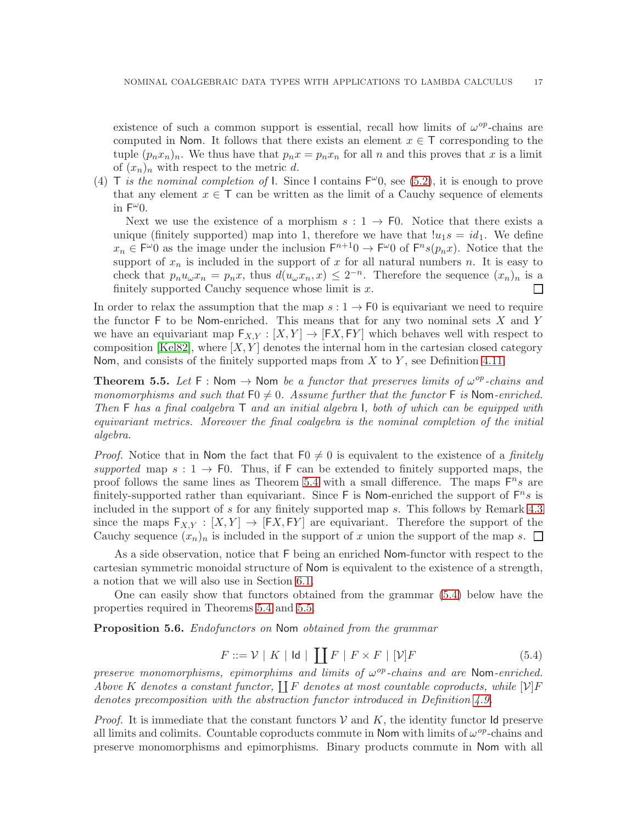existence of such a common support is essential, recall how limits of  $\omega^{op}$ -chains are computed in Nom. It follows that there exists an element  $x \in \mathsf{T}$  corresponding to the tuple  $(p_n x_n)_n$ . We thus have that  $p_n x = p_n x_n$  for all n and this proves that x is a limit of  $(x_n)_n$  with respect to the metric d.

(4) T *is the nominal completion of* l. Since I contains  $F^{\omega}0$ , see [\(5.2\)](#page-17-2), it is enough to prove that any element  $x \in \mathsf{T}$  can be written as the limit of a Cauchy sequence of elements in  $F^{\omega}0$ .

Next we use the existence of a morphism  $s: 1 \rightarrow F0$ . Notice that there exists a unique (finitely supported) map into 1, therefore we have that  $|u_1s = id_1$ . We define  $x_n \in F^{\omega}0$  as the image under the inclusion  $F^{n+1}0 \to F^{\omega}0$  of  $F^{n}s(p_n x)$ . Notice that the support of  $x_n$  is included in the support of x for all natural numbers n. It is easy to check that  $p_n u_\omega x_n = p_n x$ , thus  $d(u_\omega x_n, x) \leq 2^{-n}$ . Therefore the sequence  $(x_n)_n$  is a finitely supported Cauchy sequence whose limit is  $x$ . П

In order to relax the assumption that the map  $s: 1 \to F0$  is equivariant we need to require the functor  $F$  to be Nom-enriched. This means that for any two nominal sets  $X$  and  $Y$ we have an equivariant map  $F_{X,Y} : [X,Y] \to [FX, FY]$  which behaves well with respect to composition [\[Kel82\]](#page-52-12), where  $[X, Y]$  denotes the internal hom in the cartesian closed category Nom, and consists of the finitely supported maps from  $X$  to  $Y$ , see Definition [4.11.](#page-13-1)

<span id="page-18-1"></span>**Theorem 5.5.** Let  $F : \mathbb{N}$  om  $\rightarrow \mathbb{N}$  on *be a functor that preserves limits of*  $\omega^{op}$ -chains and *monomorphisms and such that*  $F0 \neq 0$ . Assume further that the functor F is Nom-enriched. *Then* F *has a final coalgebra* T *and an initial algebra* I*, both of which can be equipped with equivariant metrics. Moreover the final coalgebra is the nominal completion of the initial algebra.*

*Proof.* Notice that in Nom the fact that  $F_0 \neq 0$  is equivalent to the existence of a *finitely supported* map  $s: 1 \rightarrow F0$ . Thus, if F can be extended to finitely supported maps, the proof follows the same lines as Theorem [5.4](#page-17-0) with a small difference. The maps  $F^n s$  are finitely-supported rather than equivariant. Since  $\mathsf{F}$  is Nom-enriched the support of  $\mathsf{F}^n s$  is included in the support of s for any finitely supported map s. This follows by Remark [4.3](#page-12-2) since the maps  $F_{X,Y} : [X,Y] \to [FX, FY]$  are equivariant. Therefore the support of the Cauchy sequence  $(x_n)_n$  is included in the support of x union the support of the map s.  $\Box$ 

As a side observation, notice that F being an enriched Nom-functor with respect to the cartesian symmetric monoidal structure of Nom is equivalent to the existence of a strength, a notion that we will also use in Section [6.1.](#page-41-1)

One can easily show that functors obtained from the grammar [\(5.4\)](#page-18-0) below have the properties required in Theorems [5.4](#page-17-0) and [5.5.](#page-18-1)

<span id="page-18-2"></span>Proposition 5.6. *Endofunctors on* Nom *obtained from the grammar*

<span id="page-18-0"></span>
$$
F ::= \mathcal{V} \mid K \mid \mathsf{Id} \mid \coprod F \mid F \times F \mid [\mathcal{V}]F \tag{5.4}
$$

*preserve monomorphisms, epimorphims and limits of*  $ω^{op}$ -chains and are Nom-enriched. Above K denotes a constant functor,  $\prod F$  denotes at most countable coproducts, while  $[\mathcal{V}]F$ *denotes precomposition with the abstraction functor introduced in Definition [4.9.](#page-13-3)*

*Proof.* It is immediate that the constant functors  $V$  and  $K$ , the identity functor Id preserve all limits and colimits. Countable coproducts commute in Nom with limits of  $\omega^{op}$ -chains and preserve monomorphisms and epimorphisms. Binary products commute in Nom with all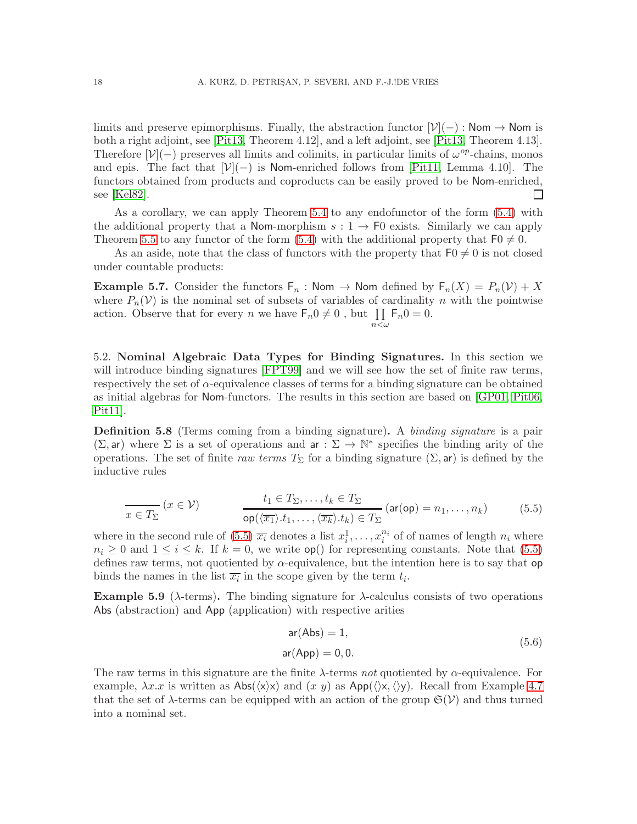limits and preserve epimorphisms. Finally, the abstraction functor  $[\mathcal{V}](-)$ : Nom  $\rightarrow$  Nom is both a right adjoint, see [\[Pit13,](#page-53-7) Theorem 4.12], and a left adjoint, see [\[Pit13,](#page-53-7) Theorem 4.13]. Therefore  $[\mathcal{V}](-)$  preserves all limits and colimits, in particular limits of  $\omega^{op}$ -chains, monos and epis. The fact that  $[\mathcal{V}](-)$  is Nom-enriched follows from [\[Pit11,](#page-53-2) Lemma 4.10]. The functors obtained from products and coproducts can be easily proved to be Nom-enriched, see [\[Kel82\]](#page-52-12).  $\Box$ 

As a corollary, we can apply Theorem [5.4](#page-17-0) to any endofunctor of the form [\(5.4\)](#page-18-0) with the additional property that a Nom-morphism  $s: 1 \rightarrow F0$  exists. Similarly we can apply Theorem [5.5](#page-18-1) to any functor of the form [\(5.4\)](#page-18-0) with the additional property that  $F0 \neq 0$ .

As an aside, note that the class of functors with the property that  $F_0 \neq 0$  is not closed under countable products:

**Example 5.7.** Consider the functors  $F_n$ : Nom  $\rightarrow$  Nom defined by  $F_n(X) = P_n(Y) + X$ where  $P_n(V)$  is the nominal set of subsets of variables of cardinality n with the pointwise action. Observe that for every *n* we have  $\mathsf{F}_n 0 \neq 0$ , but  $\prod \mathsf{F}_n 0 = 0$ .  $n<\omega$ 

<span id="page-19-0"></span>5.2. Nominal Algebraic Data Types for Binding Signatures. In this section we will introduce binding signatures [\[FPT99\]](#page-52-2) and we will see how the set of finite raw terms, respectively the set of  $\alpha$ -equivalence classes of terms for a binding signature can be obtained as initial algebras for Nom-functors. The results in this section are based on [\[GP01,](#page-52-10) [Pit06,](#page-53-1) [Pit11\]](#page-53-2).

<span id="page-19-3"></span>Definition 5.8 (Terms coming from a binding signature). A *binding signature* is a pair  $(\Sigma, \text{ar})$  where  $\Sigma$  is a set of operations and  $\text{ar} : \Sigma \to \mathbb{N}^*$  specifies the binding arity of the operations. The set of finite *raw terms*  $T_{\Sigma}$  for a binding signature  $(\Sigma, ar)$  is defined by the inductive rules

<span id="page-19-1"></span>
$$
\frac{t_1 \in T_{\Sigma}, \dots, t_k \in T_{\Sigma}}{\text{op}(\langle \overline{x_1} \rangle \cdot t_1, \dots, \langle \overline{x_k} \rangle \cdot t_k) \in T_{\Sigma}} (\text{ar}(\text{op}) = n_1, \dots, n_k)
$$
(5.5)

where in the second rule of [\(5.5\)](#page-19-1)  $\overline{x_i}$  denotes a list  $x_i^1, \ldots, x_i^{n_i}$  $i_i^{n_i}$  of of names of length  $n_i$  where  $n_i \geq 0$  and  $1 \leq i \leq k$ . If  $k = 0$ , we write  $\mathsf{op}(\mathsf{f})$  for representing constants. Note that [\(5.5\)](#page-19-1) defines raw terms, not quotiented by  $\alpha$ -equivalence, but the intention here is to say that op binds the names in the list  $\overline{x_i}$  in the scope given by the term  $t_i$ .

<span id="page-19-2"></span>Example 5.9 ( $\lambda$ -terms). The binding signature for  $\lambda$ -calculus consists of two operations Abs (abstraction) and App (application) with respective arities

$$
ar(Abs) = 1,
$$
  
ar(App) = 0, 0. (5.6)

The raw terms in this signature are the finite λ-terms *not* quotiented by α-equivalence. For example,  $\lambda x.x$  is written as  $\text{Abs}(\langle x \rangle \chi)$  and  $(x y)$  as  $\text{App}(\langle x, \langle y \rangle)$ . Recall from Example [4.7](#page-12-3) that the set of  $\lambda$ -terms can be equipped with an action of the group  $\mathfrak{S}(\mathcal{V})$  and thus turned into a nominal set.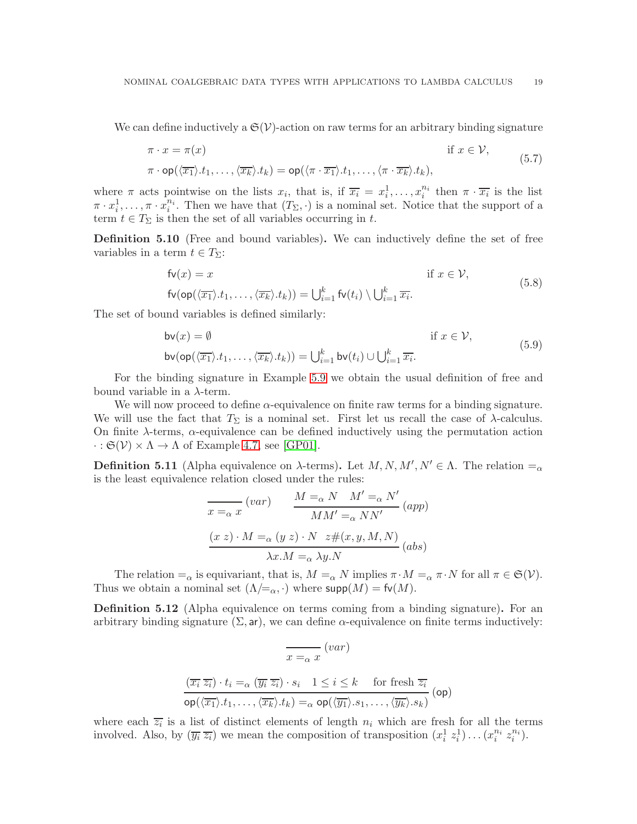We can define inductively a  $\mathfrak{S}(\mathcal{V})$ -action on raw terms for an arbitrary binding signature

$$
\pi \cdot x = \pi(x) \qquad \text{if } x \in \mathcal{V},
$$
  

$$
\pi \cdot \text{op}(\langle \overline{x_1} \rangle \cdot t_1, \dots, \langle \overline{x_k} \rangle \cdot t_k) = \text{op}(\langle \pi \cdot \overline{x_1} \rangle \cdot t_1, \dots, \langle \pi \cdot \overline{x_k} \rangle \cdot t_k),
$$
 (5.7)

where  $\pi$  acts pointwise on the lists  $x_i$ , that is, if  $\overline{x_i} = x_i^1, \ldots, x_i^{n_i}$  $i^{n_i}$  then  $\pi \cdot \overline{x_i}$  is the list  $\pi \cdot x_i^1, \ldots, \pi \cdot x_i^{n_i}$  $i<sup>n<sub>i</sub></sup>$ . Then we have that  $(T<sub>\Sigma</sub>, \cdot)$  is a nominal set. Notice that the support of a term  $t \in T_{\Sigma}$  is then the set of all variables occurring in t.

Definition 5.10 (Free and bound variables). We can inductively define the set of free variables in a term  $t \in T_{\Sigma}$ :

$$
f\mathbf{v}(x) = x \qquad \text{if } x \in \mathcal{V},
$$
  
\n
$$
f\mathbf{v}(\mathsf{op}(\langle \overline{x_1} \rangle \cdot t_1, \dots, \langle \overline{x_k} \rangle \cdot t_k)) = \bigcup_{i=1}^k f\mathbf{v}(t_i) \setminus \bigcup_{i=1}^k \overline{x_i}.
$$
\n
$$
(5.8)
$$

The set of bound variables is defined similarly:

$$
\mathsf{bv}(x) = \emptyset \qquad \text{if } x \in \mathcal{V},
$$
  
\n
$$
\mathsf{bv}(\mathsf{op}(\langle \overline{x_1} \rangle \cdot t_1, \dots, \langle \overline{x_k} \rangle \cdot t_k)) = \bigcup_{i=1}^k \mathsf{bv}(t_i) \cup \bigcup_{i=1}^k \overline{x_i}.
$$
 (5.9)

For the binding signature in Example [5.9](#page-19-2) we obtain the usual definition of free and bound variable in a  $\lambda$ -term.

We will now proceed to define  $\alpha$ -equivalence on finite raw terms for a binding signature. We will use the fact that  $T_{\Sigma}$  is a nominal set. First let us recall the case of  $\lambda$ -calculus. On finite  $\lambda$ -terms,  $\alpha$ -equivalence can be defined inductively using the permutation action  $\cdot : \mathfrak{S}(\mathcal{V}) \times \Lambda \to \Lambda$  of Example [4.7,](#page-12-3) see [\[GP01\]](#page-52-10).

<span id="page-20-0"></span>**Definition 5.11** (Alpha equivalence on  $\lambda$ -terms). Let  $M, N, M', N' \in \Lambda$ . The relation  $=_{\alpha}$ is the least equivalence relation closed under the rules:

$$
\frac{M}{x=a} \frac{(var)}{x} \frac{M' =_{\alpha} N \quad M' =_{\alpha} N'}{MM' =_{\alpha} NN'} \frac{(app)}{M M'} =_{\alpha} NN' \frac{(x z) \cdot M =_{\alpha} (y z) \cdot N \quad z \#(x, y, M, N)}{\lambda x \cdot M =_{\alpha} \lambda y \cdot N} \frac{(abs)}{}
$$

The relation  $=_\alpha$  is equivariant, that is,  $M =_{\alpha} N$  implies  $\pi \cdot M =_{\alpha} \pi \cdot N$  for all  $\pi \in \mathfrak{S}(\mathcal{V})$ . Thus we obtain a nominal set  $(\Lambda/\equiv_\alpha, \cdot)$  where  $\textsf{supp}(M) = \textsf{fv}(M)$ .

<span id="page-20-1"></span>**Definition 5.12** (Alpha equivalence on terms coming from a binding signature). For an arbitrary binding signature  $(\Sigma, ar)$ , we can define  $\alpha$ -equivalence on finite terms inductively:

$$
\frac{}{\overline{x =_{\alpha} x}}\ (var)
$$
\n
$$
\frac{}{\overline{(x_i \ z_i)} \cdot t_i =_{\alpha} (\overline{y_i} \ z_i) \cdot s_i \quad 1 \leq i \leq k \quad \text{ for fresh } \overline{z_i}}
$$
\n
$$
\frac{}{\text{op}(\overline{\langle x_1 \rangle} \cdot t_1, \dots, \overline{\langle x_k \rangle} \cdot t_k) =_{\alpha} \text{op}(\overline{\langle y_1 \rangle} \cdot s_1, \dots, \overline{\langle y_k \rangle} \cdot s_k)}\ (op)
$$

where each  $\overline{z_i}$  is a list of distinct elements of length  $n_i$  which are fresh for all the terms involved. Also, by  $(\overline{y_i}\ \overline{z_i})$  we mean the composition of transposition  $(x_i^1\ z_i^1)\dots(x_i^{n_i})$  $\begin{array}{c} n_i \\ i \end{array}$   $z_i^{n_i}$  $\binom{n_i}{i}$ .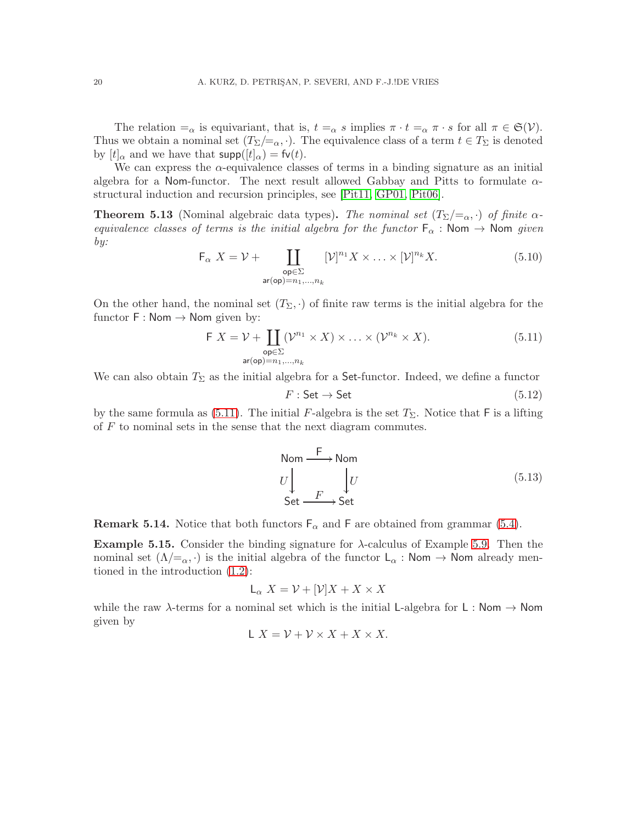The relation  $=\alpha$  is equivariant, that is,  $t =_{\alpha} s$  implies  $\pi \cdot t =_{\alpha} \pi \cdot s$  for all  $\pi \in \mathfrak{S}(\mathcal{V})$ . Thus we obtain a nominal set  $(T_{\Sigma}/=_{\alpha}, \cdot)$ . The equivalence class of a term  $t \in T_{\Sigma}$  is denoted by  $[t]_{\alpha}$  and we have that  $\text{supp}([t]_{\alpha}) = \text{fv}(t)$ .

We can express the  $\alpha$ -equivalence classes of terms in a binding signature as an initial algebra for a Nom-functor. The next result allowed Gabbay and Pitts to formulate  $\alpha$ structural induction and recursion principles, see [\[Pit11,](#page-53-2) [GP01,](#page-52-10) [Pit06\]](#page-53-1).

**Theorem 5.13** (Nominal algebraic data types). *The nominal set*  $(T_{\Sigma}/=_{\alpha}, \cdot)$  *of finite*  $\alpha$ *equivalence classes of terms is the initial algebra for the functor*  $F_{\alpha}$  : Nom  $\rightarrow$  Nom *given by:*

<span id="page-21-2"></span>
$$
\mathsf{F}_{\alpha} \ X = \mathcal{V} + \coprod_{\substack{\mathsf{op} \in \Sigma \\ \mathsf{ar}(\mathsf{op}) = n_1, \dots, n_k}} [\mathcal{V}]^{n_1} X \times \dots \times [\mathcal{V}]^{n_k} X. \tag{5.10}
$$

On the other hand, the nominal set  $(T_{\Sigma}, \cdot)$  of finite raw terms is the initial algebra for the functor  $F : \mathsf{Nom} \to \mathsf{Nom}$  given by:

<span id="page-21-1"></span>
$$
\mathsf{F}\ X = \mathcal{V} + \coprod_{\substack{\mathsf{op} \in \Sigma \\ \mathsf{ar}(\mathsf{op}) = n_1, \dots, n_k}} (\mathcal{V}^{n_1} \times X) \times \dots \times (\mathcal{V}^{n_k} \times X). \tag{5.11}
$$

We can also obtain  $T_{\Sigma}$  as the initial algebra for a Set-functor. Indeed, we define a functor

<span id="page-21-3"></span>
$$
F: \mathsf{Set} \to \mathsf{Set} \tag{5.12}
$$

by the same formula as [\(5.11\)](#page-21-1). The initial F-algebra is the set  $T_{\Sigma}$ . Notice that F is a lifting of  $F$  to nominal sets in the sense that the next diagram commutes.

$$
U \downarrow \qquad \qquad U
$$
  
\nSet  $\xrightarrow{F} \text{Set}$  (5.13)

**Remark 5.14.** Notice that both functors  $F_{\alpha}$  and F are obtained from grammar [\(5.4\)](#page-18-0).

<span id="page-21-0"></span>**Example 5.15.** Consider the binding signature for  $\lambda$ -calculus of Example [5.9.](#page-19-2) Then the nominal set  $(\Lambda/\mathbb{Z}_{\alpha},\cdot)$  is the initial algebra of the functor  $L_{\alpha}$ : Nom  $\rightarrow$  Nom already mentioned in the introduction [\(1.2\)](#page-3-1):

$$
L_{\alpha} X = \mathcal{V} + [\mathcal{V}]X + X \times X
$$

while the raw  $\lambda$ -terms for a nominal set which is the initial L-algebra for L : Nom  $\rightarrow$  Nom given by

$$
L X = \mathcal{V} + \mathcal{V} \times X + X \times X.
$$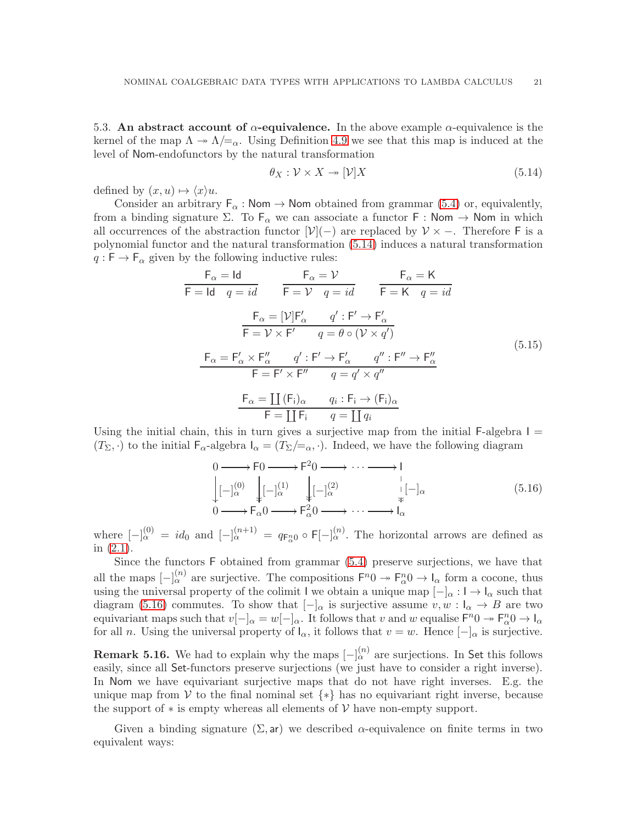<span id="page-22-0"></span>5.3. An abstract account of  $\alpha$ -equivalence. In the above example  $\alpha$ -equivalence is the kernel of the map  $\Lambda \to \Lambda/\mathbb{Z}_\alpha$ . Using Definition [4.9](#page-13-3) we see that this map is induced at the level of Nom-endofunctors by the natural transformation

<span id="page-22-1"></span>
$$
\theta_X : \mathcal{V} \times X \to [\mathcal{V}]X \tag{5.14}
$$

defined by  $(x, u) \mapsto \langle x \rangle u$ .

Consider an arbitrary  $F_{\alpha}$ : Nom  $\rightarrow$  Nom obtained from grammar [\(5.4\)](#page-18-0) or, equivalently, from a binding signature  $\Sigma$ . To  $F_{\alpha}$  we can associate a functor F : Nom  $\rightarrow$  Nom in which all occurrences of the abstraction functor  $[\mathcal{V}](-)$  are replaced by  $\mathcal{V} \times -$ . Therefore F is a polynomial functor and the natural transformation [\(5.14\)](#page-22-1) induces a natural transformation  $q : F \to F_\alpha$  given by the following inductive rules:

<span id="page-22-3"></span>
$$
F_{\alpha} = Id \t F_{\alpha} = \mathcal{V} \t F_{\alpha} = K
$$
  
\n
$$
F = Id \t q = id \t F = \mathcal{V} \t q = id \t F = K \t q = id
$$
  
\n
$$
F_{\alpha} = [\mathcal{V}]F'_{\alpha} \t q' : F' \to F'_{\alpha}
$$
  
\n
$$
F = \mathcal{V} \times F' \t q = \theta \circ (\mathcal{V} \times q')
$$
  
\n
$$
F_{\alpha} = F'_{\alpha} \times F''_{\alpha} \t q' : F' \to F'_{\alpha} \t q'' : F'' \to F''_{\alpha}
$$
  
\n
$$
F = F' \times F'' \t q = q' \times q''
$$
  
\n
$$
F_{\alpha} = \coprod (F_i)_{\alpha} \t q_i : F_i \to (F_i)_{\alpha}
$$
  
\n
$$
F = \coprod F_i \t q = \coprod q_i
$$
  
\n(5.15)

Using the initial chain, this in turn gives a surjective map from the initial F-algebra  $I =$  $(T_{\Sigma}, \cdot)$  to the initial  $\mathsf{F}_{\alpha}$ -algebra  $\mathsf{I}_{\alpha} = (T_{\Sigma}/\mathsf{I}_{\alpha}, \cdot)$ . Indeed, we have the following diagram

<span id="page-22-2"></span>
$$
\begin{array}{ccc}\n0 & \longrightarrow & \text{F0} \longrightarrow & \text{F}^2 0 \longrightarrow & \dots \longrightarrow & \text{I} \\
\downarrow & \downarrow & \downarrow & \downarrow & \downarrow & \downarrow & \downarrow \\
0 & \longrightarrow & \text{F}_{\alpha} 0 \longrightarrow & \text{F}_{\alpha}^2 0 \longrightarrow & \dots \longrightarrow & \text{I}_{\alpha}\n\end{array}\n\tag{5.16}
$$

where  $[-]_{\alpha}^{(0)} = id_0$  and  $[-]_{\alpha}^{(n+1)} = q_{F_{\alpha}^{n}0} \circ F_{[-]}_{\alpha}^{(n)}$ . The horizontal arrows are defined as in [\(2.1\)](#page-7-1).

Since the functors F obtained from grammar [\(5.4\)](#page-18-0) preserve surjections, we have that all the maps  $[-]_{\alpha}^{(n)}$  are surjective. The compositions  $F^n0 \to F_{\alpha}^n0 \to I_{\alpha}$  form a cocone, thus using the universal property of the colimit I we obtain a unique map  $[-]_{\alpha} : I \to I_{\alpha}$  such that diagram [\(5.16\)](#page-22-2) commutes. To show that  $\vert - \vert_{\alpha}$  is surjective assume  $v, w : \vert_{\alpha} \to B$  are two equivariant maps such that  $v[-]_{\alpha} = w[-]_{\alpha}$ . It follows that v and w equalise  $\mathsf{F}^n 0 \to \mathsf{F}^n_{\alpha} 0 \to \mathsf{I}_{\alpha}$ for all n. Using the universal property of  $I_{\alpha}$ , it follows that  $v = w$ . Hence  $[-]_{\alpha}$  is surjective.

**Remark 5.16.** We had to explain why the maps  $\lbrack - \rbrack_{\alpha}^{(n)}$  are surjections. In Set this follows easily, since all Set-functors preserve surjections (we just have to consider a right inverse). In Nom we have equivariant surjective maps that do not have right inverses. E.g. the unique map from V to the final nominal set  $\{*\}$  has no equivariant right inverse, because the support of  $*$  is empty whereas all elements of  $\mathcal V$  have non-empty support.

Given a binding signature  $(\Sigma, ar)$  we described  $\alpha$ -equivalence on finite terms in two equivalent ways: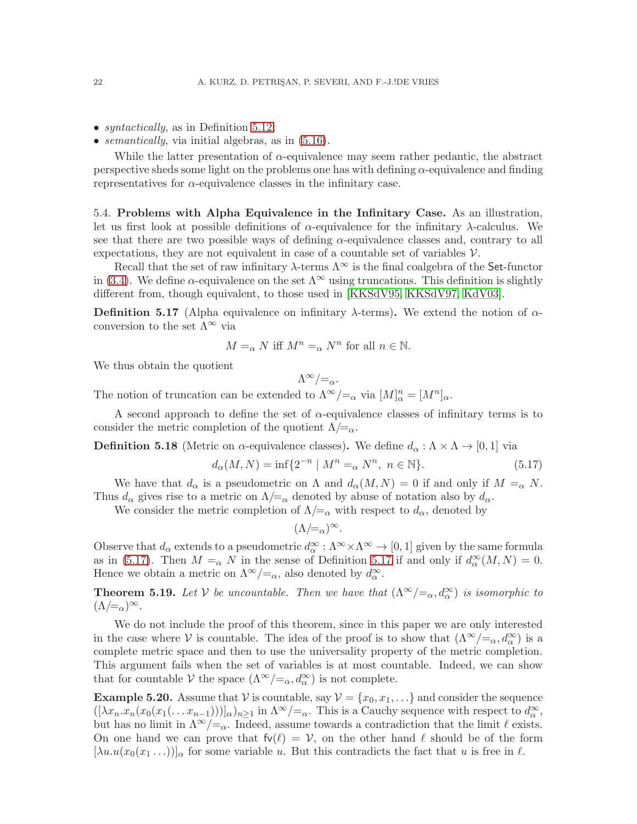- *syntactically*, as in Definition [5.12;](#page-20-1)
- *semantically*, via initial algebras, as in [\(5.16\)](#page-22-2).

While the latter presentation of  $\alpha$ -equivalence may seem rather pedantic, the abstract perspective sheds some light on the problems one has with defining  $\alpha$ -equivalence and finding representatives for  $\alpha$ -equivalence classes in the infinitary case.

<span id="page-23-0"></span>5.4. Problems with Alpha Equivalence in the Infinitary Case. As an illustration, let us first look at possible definitions of  $\alpha$ -equivalence for the infinitary  $\lambda$ -calculus. We see that there are two possible ways of defining  $\alpha$ -equivalence classes and, contrary to all expectations, they are not equivalent in case of a countable set of variables  $\mathcal V$ .

Recall that the set of raw infinitary  $\lambda$ -terms  $\Lambda^{\infty}$  is the final coalgebra of the Set-functor in [\(3.4\)](#page-8-5). We define  $\alpha$ -equivalence on the set  $\Lambda^{\infty}$  using truncations. This definition is slightly different from, though equivalent, to those used in [\[KKSdV95,](#page-52-4) [KKSdV97,](#page-52-5) [KdV03\]](#page-52-6).

<span id="page-23-3"></span>**Definition 5.17** (Alpha equivalence on infinitary  $\lambda$ -terms). We extend the notion of  $\alpha$ conversion to the set  $\Lambda^{\infty}$  via

$$
M =_{\alpha} N \text{ iff } M^n =_{\alpha} N^n \text{ for all } n \in \mathbb{N}.
$$

We thus obtain the quotient

$$
\Lambda^\infty/{=_\alpha}.
$$

The notion of truncation can be extended to  $\Lambda^{\infty}/=\alpha$  via  $[M]_{\alpha}^{n}=[M^{n}]_{\alpha}$ .

A second approach to define the set of  $\alpha$ -equivalence classes of infinitary terms is to consider the metric completion of the quotient  $\Lambda/\mathbf{=}_{\alpha}$ .

**Definition 5.18** (Metric on  $\alpha$ -equivalence classes). We define  $d_{\alpha} : \Lambda \times \Lambda \to [0, 1]$  via

<span id="page-23-4"></span>
$$
d_{\alpha}(M,N) = \inf \{ 2^{-n} \mid M^n =_{\alpha} N^n, \ n \in \mathbb{N} \}. \tag{5.17}
$$

We have that  $d_{\alpha}$  is a pseudometric on  $\Lambda$  and  $d_{\alpha}(M, N) = 0$  if and only if  $M =_{\alpha} N$ . Thus  $d_{\alpha}$  gives rise to a metric on  $\Lambda/\mathbf{=}_{\alpha}$  denoted by abuse of notation also by  $d_{\alpha}$ .

We consider the metric completion of  $\Lambda/\mathcal{L}_{\alpha}$  with respect to  $d_{\alpha}$ , denoted by

$$
(\Lambda/\!\!=_\alpha)^\infty.
$$

Observe that  $d_{\alpha}$  extends to a pseudometric  $d_{\alpha}^{\infty} : \Lambda^{\infty} \times \Lambda^{\infty} \to [0,1]$  given by the same formula as in [\(5.17\)](#page-23-4). Then  $M = \alpha N$  in the sense of Definition [5.17](#page-23-3) if and only if  $d_{\alpha}^{\infty}(M, N) = 0$ . Hence we obtain a metric on  $\Lambda^{\infty}/=_{\alpha}$ , also denoted by  $d_{\alpha}^{\infty}$ .

<span id="page-23-2"></span>**Theorem 5.19.** Let V be uncountable. Then we have that  $(\Lambda^{\infty}/=\alpha, d^{\infty}_{\alpha})$  is isomorphic to  $(\Lambda/\equiv_\alpha)^\infty$ .

We do not include the proof of this theorem, since in this paper we are only interested in the case where V is countable. The idea of the proof is to show that  $(\Lambda^{\infty}/=_\alpha, d^{\infty}_{\alpha})$  is a complete metric space and then to use the universality property of the metric completion. This argument fails when the set of variables is at most countable. Indeed, we can show that for countable  $V$  the space  $(\Lambda^{\infty}/=_\alpha, d^{\infty}_\alpha)$  is not complete.

<span id="page-23-1"></span>**Example 5.20.** Assume that V is countable, say  $V = \{x_0, x_1, ...\}$  and consider the sequence  $([ \lambda x_n.x_n(x_0(x_1(\ldots x_{n-1})))]_{\alpha})_{n\geq 1}$  in  $\Lambda^{\infty}/=_{\alpha}$ . This is a Cauchy sequence with respect to  $d_{\alpha}^{\infty}$ , but has no limit in  $\Lambda^{\infty}/\mathcal{I}_{\alpha}$ . Indeed, assume towards a contradiction that the limit  $\ell$  exists. On one hand we can prove that  $f\nu(\ell) = V$ , on the other hand  $\ell$  should be of the form  $[\lambda u.u(x_0(x_1 \ldots))]_{\alpha}$  for some variable u. But this contradicts the fact that u is free in  $\ell$ .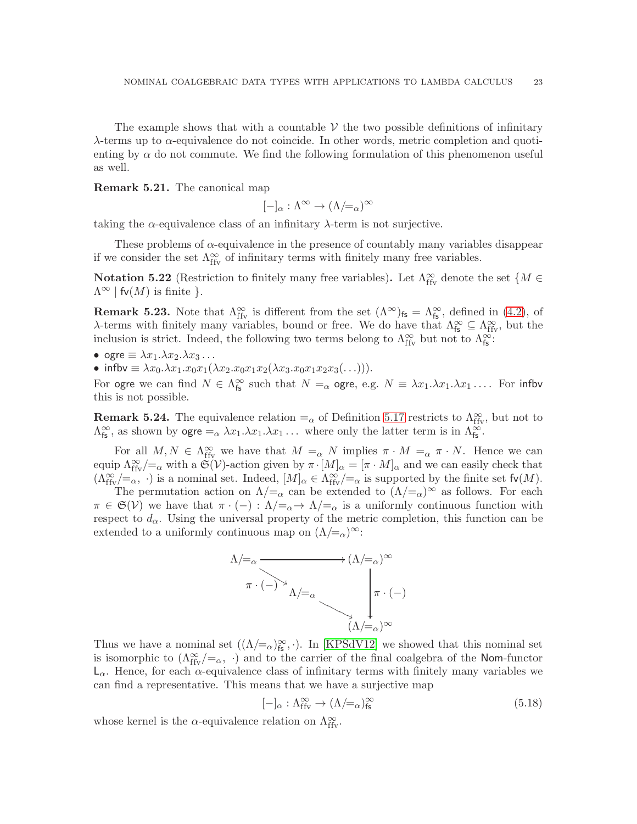The example shows that with a countable  $\mathcal V$  the two possible definitions of infinitary  $\lambda$ -terms up to  $\alpha$ -equivalence do not coincide. In other words, metric completion and quotienting by  $\alpha$  do not commute. We find the following formulation of this phenomenon useful as well.

Remark 5.21. The canonical map

$$
[-]_{\alpha} : \Lambda^{\infty} \to (\Lambda /_{\simeq \alpha})^{\infty}
$$

taking the  $\alpha$ -equivalence class of an infinitary  $\lambda$ -term is not surjective.

These problems of  $\alpha$ -equivalence in the presence of countably many variables disappear if we consider the set  $\Lambda_{\rm ffv}^\infty$  of infinitary terms with finitely many free variables.

Notation 5.22 (Restriction to finitely many free variables). Let  $\Lambda_{\text{ffv}}^{\infty}$  denote the set  $\{M \in$  $\Lambda^{\infty}$  | fv(M) is finite }.

**Remark 5.23.** Note that  $\Lambda_{\text{ffv}}^{\infty}$  is different from the set  $(\Lambda^{\infty})_{\text{fs}} = \Lambda_{\text{fs}}^{\infty}$ , defined in [\(4.2\)](#page-12-4), of  $\lambda$ -terms with finitely many variables, bound or free. We do have that  $\Lambda_{\mathsf{fs}}^{\infty} \subseteq \Lambda_{\text{ffv}}^{\infty}$ , but the inclusion is strict. Indeed, the following two terms belong to  $\Lambda_{\text{ffv}}^{\infty}$  but not to  $\Lambda_{\text{fs}}^{\infty}$ .

• ogre 
$$
\equiv \lambda x_1 \cdot \lambda x_2 \cdot \lambda x_3 \cdot \ldots
$$

• infbv  $\equiv \lambda x_0.\lambda x_1.x_0x_1(\lambda x_2.x_0x_1x_2(\lambda x_3.x_0x_1x_2x_3(\ldots))).$ 

For ogre we can find  $N \in \Lambda_{fs}^{\infty}$  such that  $N =_{\alpha}$  ogre, e.g.  $N \equiv \lambda x_1 \cdot \lambda x_1 \cdot \lambda x_1 \cdot \ldots$  For infbv this is not possible.

**Remark 5.24.** The equivalence relation  $=_{\alpha}$  of Definition [5.17](#page-23-3) restricts to  $\Lambda_{\text{ffv}}^{\infty}$ , but not to  $\Lambda_{\mathsf{fs}}^{\infty}$ , as shown by  $\mathsf{ogre} =_{\alpha} \lambda x_1 \cdot \lambda x_1 \cdot \lambda x_1 \cdot \ldots$  where only the latter term is in  $\Lambda_{\mathsf{fs}}^{\infty}$ .

For all  $M, N \in \Lambda^{\infty}_{\text{ffy}}$  we have that  $M =_{\alpha} N$  implies  $\pi \cdot M =_{\alpha} \pi \cdot N$ . Hence we can equip  $\Lambda_{\text{ffv}}^{\infty}/=\alpha$  with a  $\mathfrak{S}(\mathcal{V})$ -action given by  $\pi \cdot [M]_{\alpha} = [\pi \cdot M]_{\alpha}$  and we can easily check that  $(\Lambda_{\text{ffv}}^{\infty}/=\alpha, \cdot)$  is a nominal set. Indeed,  $[M]_{\alpha} \in \Lambda_{\text{ffv}}^{\infty}/=\alpha$  is supported by the finite set  $\text{fv}(M)$ .

The permutation action on  $\Lambda/\mathcal{Z}_{\alpha}$  can be extended to  $(\Lambda/\mathcal{Z}_{\alpha})^{\infty}$  as follows. For each  $\pi \in \mathfrak{S}(\mathcal{V})$  we have that  $\pi \cdot (-): \Lambda \neq_{\alpha} \rightarrow \Lambda \neq_{\alpha}$  is a uniformly continuous function with respect to  $d_{\alpha}$ . Using the universal property of the metric completion, this function can be extended to a uniformly continuous map on  $(\Lambda/\equiv_\alpha)^\infty$ :



Thus we have a nominal set  $((\Lambda/\simeq_{\alpha})^{\infty}_{fs}, \cdot)$ . In [\[KPSdV12\]](#page-52-7) we showed that this nominal set is isomorphic to  $(\Lambda_{\text{ffv}}^{\infty}/=_\alpha, \cdot)$  and to the carrier of the final coalgebra of the Nom-functor  $L_{\alpha}$ . Hence, for each  $\alpha$ -equivalence class of infinitary terms with finitely many variables we can find a representative. This means that we have a surjective map

<span id="page-24-0"></span>
$$
[-]_{\alpha} : \Lambda_{\text{ffv}}^{\infty} \to (\Lambda/\text{=}_{\alpha})_{\text{fs}}^{\infty} \tag{5.18}
$$

whose kernel is the  $\alpha$ -equivalence relation on  $\Lambda^\infty_{\text{ffv}}$ .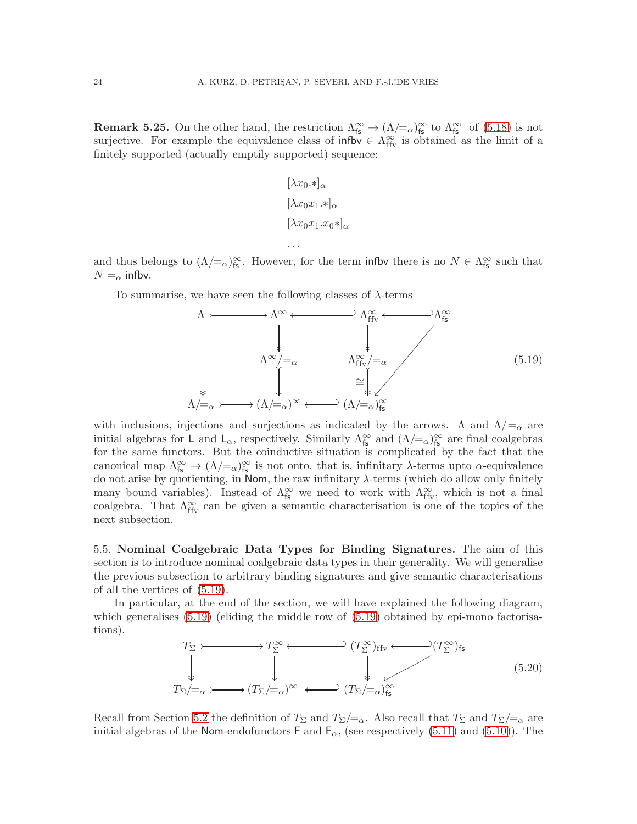<span id="page-25-2"></span>**Remark 5.25.** On the other hand, the restriction  $\Lambda_{\rm fs}^{\infty} \to (\Lambda/\simeq_{\Lambda/\rm fs}^{\infty})_{\rm fs}^{\infty}$  of [\(5.18\)](#page-24-0) is not surjective. For example the equivalence class of influ $\in \Lambda_{\text{ffv}}^{\infty}$  is obtained as the limit of a finitely supported (actually emptily supported) sequence:

$$
[\lambda x_0.*]_{\alpha}
$$
  

$$
[\lambda x_0x_1.*]_{\alpha}
$$
  

$$
[\lambda x_0x_1.x_0*]_{\alpha}
$$
  
...

and thus belongs to  $(\Lambda/\equiv_\alpha)_{\text{fs}}^{\infty}$ . However, for the term infbv there is no  $N \in \Lambda_{\text{fs}}^{\infty}$  such that  $N = \alpha$  infbv.

To summarise, we have seen the following classes of  $\lambda$ -terms

<span id="page-25-1"></span>

with inclusions, injections and surjections as indicated by the arrows.  $\Lambda$  and  $\Lambda/\mathbb{Z}_\alpha$  are initial algebras for L and  $L_{\alpha}$ , respectively. Similarly  $\Lambda_{fs}^{\infty}$  and  $(\Lambda/\equiv_{\alpha})_{fs}^{\infty}$  are final coalgebras for the same functors. But the coinductive situation is complicated by the fact that the canonical map  $\Lambda_{\text{fs}}^{\infty} \to (\Lambda/\text{K})_{\text{fs}}^{\infty}$  is not onto, that is, infinitary  $\lambda$ -terms upto  $\alpha$ -equivalence do not arise by quotienting, in Nom, the raw infinitary  $\lambda$ -terms (which do allow only finitely many bound variables). Instead of  $\Lambda_{fs}^{\infty}$  we need to work with  $\Lambda_{ffv}^{\infty}$ , which is not a final coalgebra. That  $\Lambda_{\text{ffv}}^{\infty}$  can be given a semantic characterisation is one of the topics of the next subsection.

<span id="page-25-0"></span>5.5. Nominal Coalgebraic Data Types for Binding Signatures. The aim of this section is to introduce nominal coalgebraic data types in their generality. We will generalise the previous subsection to arbitrary binding signatures and give semantic characterisations of all the vertices of [\(5.19\)](#page-25-1).

In particular, at the end of the section, we will have explained the following diagram, which generalises  $(5.19)$  (eliding the middle row of  $(5.19)$  obtained by epi-mono factorisations).

<span id="page-25-3"></span>
$$
T_{\Sigma} \longleftarrow T_{\Sigma}^{\infty} \longleftarrow (T_{\Sigma}^{\infty})_{\text{ffv}} \longleftarrow (T_{\Sigma}^{\infty})_{\text{fs}}
$$
\n
$$
T_{\Sigma} \longleftarrow (T_{\Sigma}/=_{\alpha})^{\infty} \longleftarrow (T_{\Sigma}/=_{\alpha})_{\text{fs}}^{\infty}
$$
\n
$$
(5.20)
$$

Recall from Section [5.2](#page-19-0) the definition of  $T_{\Sigma}$  and  $T_{\Sigma}/\equiv_{\alpha}$ . Also recall that  $T_{\Sigma}$  and  $T_{\Sigma}/\equiv_{\alpha}$  are initial algebras of the Nom-endofunctors F and  $F_{\alpha}$ , (see respectively [\(5.11\)](#page-21-1) and [\(5.10\)](#page-21-2)). The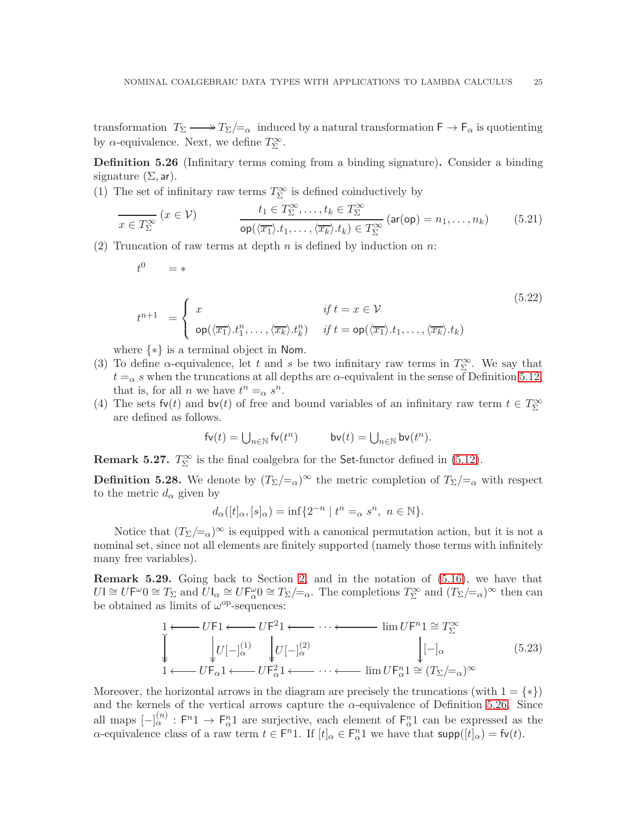transformation  $T_{\Sigma} \longrightarrow T_{\Sigma}/=_{\alpha}$  induced by a natural transformation  $\mathsf{F} \to \mathsf{F}_{\alpha}$  is quotienting by  $\alpha$ -equivalence. Next, we define  $T_{\Sigma}^{\infty}$ .

<span id="page-26-0"></span>Definition 5.26 (Infinitary terms coming from a binding signature). Consider a binding signature  $(\Sigma, ar)$ .

(1) The set of infinitary raw terms  $T_\Sigma^\infty$  is defined coinductively by

$$
\frac{t_1 \in T_{\Sigma}^{\infty}, \dots, t_k \in T_{\Sigma}^{\infty}}{\text{op}(\langle \overline{x_1} \rangle \cdot t_1, \dots, \langle \overline{x_k} \rangle \cdot t_k) \in T_{\Sigma}^{\infty}} \left(\text{ar}(\text{op}) = n_1, \dots, n_k\right) \tag{5.21}
$$

(2) Truncation of raw terms at depth  $n$  is defined by induction on  $n$ :

$$
t^0 = *
$$

$$
t^{n+1} = \begin{cases} x & \text{if } t = x \in \mathcal{V} \\ \text{op}(\langle \overline{x_1} \rangle \cdot t_1^n, \dots, \langle \overline{x_k} \rangle \cdot t_k^n) & \text{if } t = \text{op}(\langle \overline{x_1} \rangle \cdot t_1, \dots, \langle \overline{x_k} \rangle \cdot t_k) \end{cases} \tag{5.22}
$$

where {∗} is a terminal object in Nom.

- (3) To define  $\alpha$ -equivalence, let t and s be two infinitary raw terms in  $T_{\Sigma}^{\infty}$ . We say that  $t = \alpha$  s when the truncations at all depths are  $\alpha$ -equivalent in the sense of Definition [5.12,](#page-20-1) that is, for all *n* we have  $t^n =_\alpha s^n$ .
- (4) The sets  $f\nu(t)$  and  $b\nu(t)$  of free and bound variables of an infinitary raw term  $t \in T_{\Sigma}^{\infty}$ are defined as follows.

$$
\mathrm{fv}(t) = \bigcup_{n \in \mathbb{N}} \mathrm{fv}(t^n) \qquad \qquad \mathrm{bv}(t) = \bigcup_{n \in \mathbb{N}} \mathrm{bv}(t^n).
$$

**Remark 5.27.**  $T_{\Sigma}^{\infty}$  is the final coalgebra for the Set-functor defined in [\(5.12\)](#page-21-3).

**Definition 5.28.** We denote by  $(T_{\Sigma}/=_{\alpha})^{\infty}$  the metric completion of  $T_{\Sigma}/=_{\alpha}$  with respect to the metric  $d_{\alpha}$  given by

$$
d_{\alpha}([t]_{\alpha}, [s]_{\alpha}) = \inf \{ 2^{-n} \mid t^{n} =_{\alpha} s^{n}, \ n \in \mathbb{N} \}.
$$

Notice that  $(T_{\Sigma}/=_{\alpha})^{\infty}$  is equipped with a canonical permutation action, but it is not a nominal set, since not all elements are finitely supported (namely those terms with infinitely many free variables).

Remark 5.29. Going back to Section [2,](#page-7-0) and in the notation of [\(5.16\)](#page-22-2), we have that  $U \cong U \mathsf{F}^\omega 0 \cong T_\Sigma$  and  $\overline{U} \mathsf{I}_\alpha \cong U \mathsf{F}_\alpha^\omega 0 \cong T_\Sigma / =_\alpha$ . The completions  $T_\Sigma^\infty$  and  $(T_\Sigma / =_\alpha)^\infty$  then can be obtained as limits of  $\omega^{\rm op}$ -sequences:

<span id="page-26-1"></span>
$$
\begin{array}{ccc}\n1 & \longleftarrow & U \mathsf{F}^1 \longleftarrow & \cdots \longleftarrow & \lim U \mathsf{F}^n \mathbf{1} \cong T_\Sigma^\infty \\
\downarrow & \downarrow & U \left[ - \big]_\alpha^{(1)} & \downarrow & U \left[ - \big]_\alpha^{(2)} & \downarrow & \left[ - \big]_\alpha & (5.23) \right] \\
1 & \longleftarrow & U \mathsf{F}_\alpha \mathbf{1} \longleftarrow & U \mathsf{F}_\alpha^2 \mathbf{1} \longleftarrow & \cdots \longleftarrow & \lim U \mathsf{F}_\alpha^n \mathbf{1} \cong (T_\Sigma / =_\alpha)^\infty\n\end{array}
$$

Moreover, the horizontal arrows in the diagram are precisely the truncations (with  $1 = \{ * \}$ ) and the kernels of the vertical arrows capture the  $\alpha$ -equivalence of Definition [5.26.](#page-26-0) Since all maps  $[-]_{\alpha}^{(n)} : F^n1 \to F_{\alpha}^n1$  are surjective, each element of  $F_{\alpha}^n1$  can be expressed as the  $\alpha$ -equivalence class of a raw term  $t \in \mathsf{F}^n$ 1. If  $[t]_\alpha \in \mathsf{F}_\alpha^n$ 1 we have that  $\mathsf{supp}([t]_\alpha) = \mathsf{fv}(t)$ .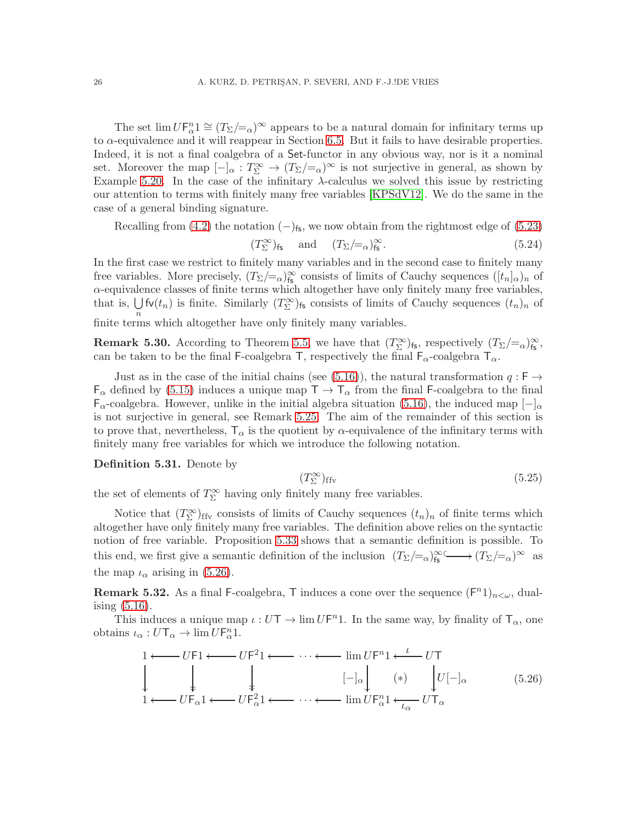The set  $\lim U F_\alpha^n 1 \cong (T_\Sigma /_{\alpha})^\infty$  appears to be a natural domain for infinitary terms up to  $\alpha$ -equivalence and it will reappear in Section [6.5.](#page-49-0) But it fails to have desirable properties. Indeed, it is not a final coalgebra of a Set-functor in any obvious way, nor is it a nominal set. Moreover the map  $[-]_{\alpha}: T_{\Sigma}^{\infty} \to (T_{\Sigma}/=_\alpha)^{\infty}$  is not surjective in general, as shown by Example [5.20.](#page-23-1) In the case of the infinitary  $\lambda$ -calculus we solved this issue by restricting our attention to terms with finitely many free variables [\[KPSdV12\]](#page-52-7). We do the same in the case of a general binding signature.

Recalling from [\(4.2\)](#page-12-4) the notation  $(-)_{fs}$ , we now obtain from the rightmost edge of [\(5.23\)](#page-26-1)

$$
(T_{\Sigma}^{\infty})_{\text{fs}}
$$
 and  $(T_{\Sigma}/=\alpha)_{\text{fs}}^{\infty}$ . (5.24)

In the first case we restrict to finitely many variables and in the second case to finitely many free variables. More precisely,  $(T_{\Sigma}/=_\alpha)_{\text{fs}}^{\infty}$  consists of limits of Cauchy sequences  $([t_n]_{\alpha})_n$  of  $\alpha$  -equivalence classes of finite terms which altogether have only finitely many free variables, that is,  $\bigcup$  fv $(t_n)$  is finite. Similarly  $(T_\Sigma^{\infty})$ <sub>fs</sub> consists of limits of Cauchy sequences  $(t_n)_n$  of finite terms which altogether have only finitely many variables.

**Remark 5.30.** According to Theorem [5.5,](#page-18-1) we have that  $(T^{\infty}_{\Sigma})_{fs}$ , respectively  $(T_{\Sigma}/=_\alpha)_{fs}^{\infty}$ , can be taken to be the final F-coalgebra T, respectively the final  $F_{\alpha}$ -coalgebra  $T_{\alpha}$ .

Just as in the case of the initial chains (see [\(5.16\)](#page-22-2)), the natural transformation  $q : F \rightarrow$  $F_{\alpha}$  defined by [\(5.15\)](#page-22-3) induces a unique map  $T \to T_{\alpha}$  from the final F-coalgebra to the final  $F_\alpha$ -coalgebra. However, unlike in the initial algebra situation [\(5.16\)](#page-22-2), the induced map  $[-]_\alpha$ is not surjective in general, see Remark [5.25.](#page-25-2) The aim of the remainder of this section is to prove that, nevertheless,  $T_{\alpha}$  is the quotient by  $\alpha$ -equivalence of the infinitary terms with finitely many free variables for which we introduce the following notation.

Definition 5.31. Denote by

$$
(T_{\Sigma}^{\infty})_{\text{ffv}} \tag{5.25}
$$

the set of elements of  $T^\infty_\Sigma$  having only finitely many free variables.

Notice that  $(T_{\Sigma}^{\infty})_{\text{ffv}}$  consists of limits of Cauchy sequences  $(t_n)_n$  of finite terms which altogether have only finitely many free variables. The definition above relies on the syntactic notion of free variable. Proposition [5.33](#page-28-1) shows that a semantic definition is possible. To this end, we first give a semantic definition of the inclusion  $(T_{\Sigma}/=_\alpha)_{\mathsf{fs}}^{\infty} \longrightarrow (T_{\Sigma}/=_\alpha)^{\infty}$  as the map  $\iota_{\alpha}$  arising in [\(5.26\)](#page-27-0).

**Remark 5.32.** As a final F-coalgebra, T induces a cone over the sequence  $(F<sup>n</sup>1)_{n<\omega}$ , dualising  $(5.16)$ .

This induces a unique map  $\iota: U \mathsf{T} \to \lim U \mathsf{F}^n$ 1. In the same way, by finality of  $\mathsf{T}_{\alpha}$ , one obtains  $\iota_{\alpha}: U\mathsf{T}_{\alpha}\to \lim U\mathsf{F}_{\alpha}^n1$ .

<span id="page-27-0"></span>
$$
1 \longleftarrow UF1 \longleftarrow UF^21 \longleftarrow \cdots \longleftarrow \lim_{L \to \infty} UF^n1 \longleftarrow UT
$$
\n
$$
\downarrow \qquad \qquad \downarrow \qquad [-]_{\alpha} \qquad (*) \qquad \downarrow U[-]_{\alpha} \qquad (5.26)
$$
\n
$$
1 \longleftarrow UF_{\alpha}1 \longleftarrow UF_{\alpha}^21 \longleftarrow \cdots \longleftarrow \lim_{L \to \infty} UF_{\alpha}^21 \longleftarrow \cdots \longleftarrow \lim_{L \to \infty} UT_{\alpha}
$$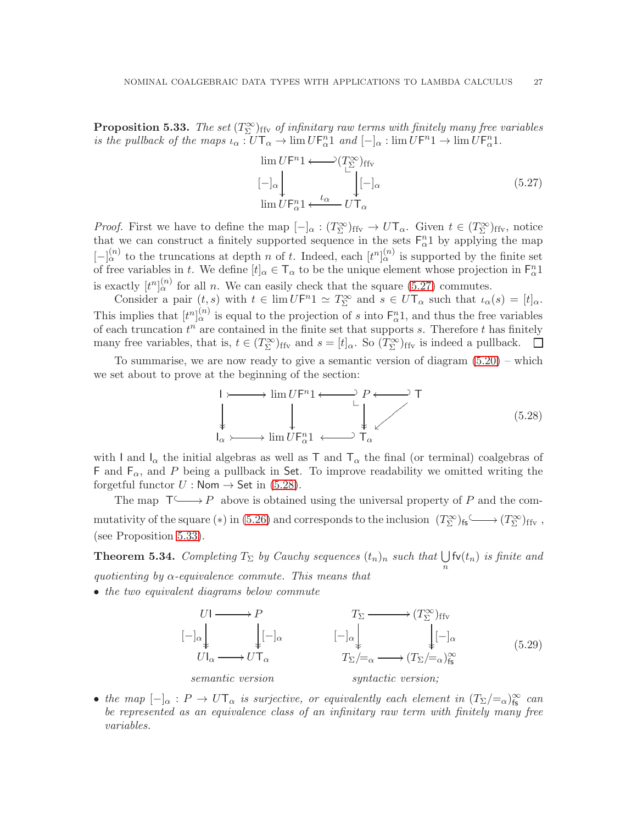<span id="page-28-1"></span>**Proposition 5.33.** The set  $(T_{\Sigma}^{\infty})_{\text{ffv}}$  of infinitary raw terms with finitely many free variables *is the pullback of the maps*  $\iota_{\alpha}: U \mathsf{T}_{\alpha} \to \lim U \mathsf{F}_{\alpha}^n 1$  and  $[-]_{\alpha}: \lim U \mathsf{F}^n 1 \to \lim U \mathsf{F}_{\alpha}^n 1$ .

<span id="page-28-2"></span>
$$
\lim_{\begin{subarray}{l}\|m\| \to \infty \\ \hline \text{lim } U \in \mathbb{R}^n \end{subarray}} \sum_{\begin{subarray}{l}\{\alpha \to \alpha\} \\ \hline \text{lim } U \in \mathbb{R}^n \end{subarray}} \sum_{\begin{subarray}{l}\{\alpha \to \alpha\} \\ \hline \text{lim } U \in \mathbb{R}^n \end{subarray}} \sum_{\begin{subarray}{l}\{\alpha \to \alpha\} \\ \hline \text{lim } U \in \mathbb{R}^n \end{subarray}} (5.27)
$$

*Proof.* First we have to define the map  $[-]_{\alpha} : (T_{\Sigma}^{\infty})_{\text{ffv}} \to U\mathsf{T}_{\alpha}$ . Given  $t \in (T_{\Sigma}^{\infty})_{\text{ffv}}$ , notice that we can construct a finitely supported sequence in the sets  $F_{\alpha}^{n}1$  by applying the map  $[-]_{\alpha}^{(n)}$  to the truncations at depth n of t. Indeed, each  $[t^{n}]_{\alpha}^{(n)}$  is supported by the finite set of free variables in t. We define  $[t]_{\alpha} \in T_{\alpha}$  to be the unique element whose projection in  $F_{\alpha}^{n}$ 1 is exactly  $[t^n]_{\alpha}^{(n)}$  for all n. We can easily check that the square [\(5.27\)](#page-28-2) commutes.

Consider a pair  $(t, s)$  with  $t \in \lim UF^{n}1 \simeq T_{\Sigma}^{\infty}$  and  $s \in UT_{\alpha}$  such that  $\iota_{\alpha}(s) = [t]_{\alpha}$ . This implies that  $[t^n]_{\alpha}^{(n)}$  is equal to the projection of s into  $\mathsf{F}_\alpha^n$ 1, and thus the free variables of each truncation  $t^n$  are contained in the finite set that supports s. Therefore t has finitely many free variables, that is,  $t \in (T_{\Sigma}^{\infty})_{\text{ffv}}$  and  $s = [t]_{\alpha}$ . So  $(T_{\Sigma}^{\infty})_{\text{ffv}}$  is indeed a pullback.  $\Box$ 

To summarise, we are now ready to give a semantic version of diagram  $(5.20)$  – which we set about to prove at the beginning of the section:

<span id="page-28-3"></span>
$$
I \rightarrow \text{lim } UF^{n}1 \longleftarrow P \longleftarrow T
$$
  
\n
$$
I_{\alpha} \rightarrow \text{lim } UF_{\alpha}^{n}1 \longleftarrow T_{\alpha}
$$
  
\n
$$
(5.28)
$$

with I and  $I_{\alpha}$  the initial algebras as well as T and  $T_{\alpha}$  the final (or terminal) coalgebras of F and  $F_{\alpha}$ , and P being a pullback in Set. To improve readability we omitted writing the forgetful functor  $U : \mathsf{Nom} \to \mathsf{Set}$  in [\(5.28\)](#page-28-3).

The map  $\mathsf{T} \longrightarrow P$  above is obtained using the universal property of P and the com-mutativity of the square (\*) in [\(5.26\)](#page-27-0) and corresponds to the inclusion  $(T^{\infty}_{\Sigma})_{fs} \longrightarrow (T^{\infty}_{\Sigma})_{ffv}$ , (see Proposition [5.33\)](#page-28-1).

<span id="page-28-0"></span>**Theorem 5.34.** *Completing*  $T_{\Sigma}$  *by Cauchy sequences*  $(t_n)_n$  *such that*  $\bigcup_n \mathbf{fv}(t_n)$  *is finite and quotienting by* α*-equivalence commute. This means that*

• *the two equivalent diagrams below commute*

<span id="page-28-4"></span>

• *the map*  $[-]_{\alpha}: P \to U T_{\alpha}$  *is surjective, or equivalently each element in*  $(T_{\Sigma}/=_{\alpha})_{\text{fs}}^{\infty}$  *can be represented as an equivalence class of an infinitary raw term with finitely many free variables.*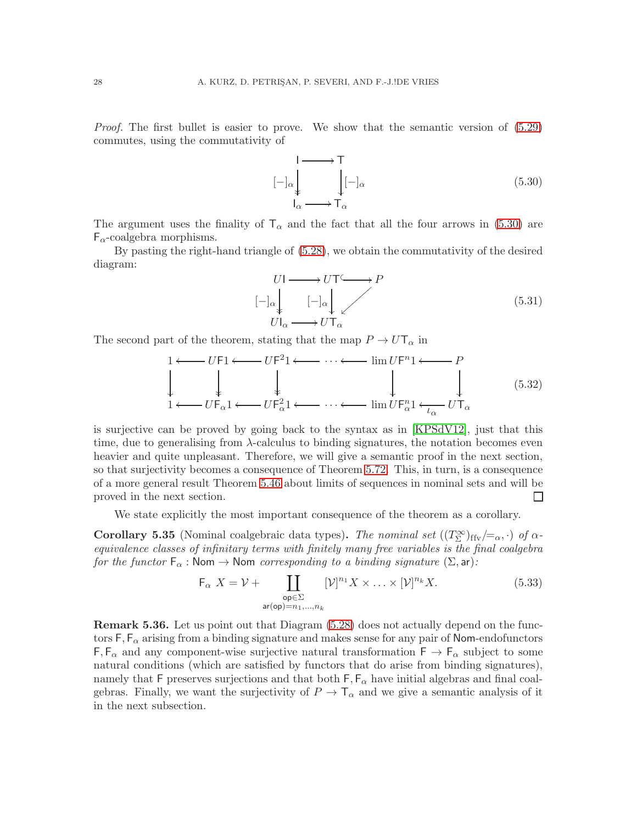*Proof.* The first bullet is easier to prove. We show that the semantic version of  $(5.29)$ commutes, using the commutativity of

<span id="page-29-0"></span>I  $[-]_\alpha$  $\frac{1}{2}$  $\top$  $[-]_\alpha$ ļ  $I_{\alpha} \longrightarrow T_{\alpha}$ (5.30)

The argument uses the finality of  $T_\alpha$  and the fact that all the four arrows in [\(5.30\)](#page-29-0) are  $F_\alpha$ -coalgebra morphisms.

By pasting the right-hand triangle of [\(5.28\)](#page-28-3), we obtain the commutativity of the desired diagram:

$$
U1 \longrightarrow U1 \longrightarrow P
$$
  
\n
$$
[-]_{\alpha} \downarrow \qquad [-]_{\alpha} \downarrow \qquad (5.31)
$$
  
\n
$$
U1_{\alpha} \longrightarrow U1_{\alpha}
$$

The second part of the theorem, stating that the map  $P \to U \mathsf{T}_{\alpha}$  in

<span id="page-29-1"></span>
$$
1 \longleftarrow UF1 \longleftarrow UF^21 \longleftarrow \cdots \longleftarrow \lim_{\omega} UF^n1 \longleftarrow P
$$
  
\n
$$
\downarrow \qquad \qquad \downarrow \qquad \qquad \downarrow \qquad \qquad \downarrow \qquad \qquad (5.32)
$$
  
\n
$$
1 \longleftarrow UF_{\alpha}1 \longleftarrow UF_{\alpha}^21 \longleftarrow \cdots \longleftarrow \lim_{\omega} UF_{\alpha}^n1 \longleftarrow UT_{\alpha}
$$

is surjective can be proved by going back to the syntax as in [\[KPSdV12\]](#page-52-7), just that this time, due to generalising from  $\lambda$ -calculus to binding signatures, the notation becomes even heavier and quite unpleasant. Therefore, we will give a semantic proof in the next section, so that surjectivity becomes a consequence of Theorem [5.72.](#page-41-2) This, in turn, is a consequence of a more general result Theorem [5.46](#page-32-0) about limits of sequences in nominal sets and will be proved in the next section.  $\Box$ 

We state explicitly the most important consequence of the theorem as a corollary.

<span id="page-29-2"></span>**Corollary 5.35** (Nominal coalgebraic data types). *The nominal set*  $((T_{\Sigma}^{\infty})_{\text{ffv}}/=_\alpha, \cdot)$  *of*  $\alpha$ *equivalence classes of infinitary terms with finitely many free variables is the final coalgebra for the functor*  $F_{\alpha}$ : Nom  $\rightarrow$  Nom *corresponding to a binding signature*  $(\Sigma, ar)$ :

$$
\mathsf{F}_{\alpha} \ X = \mathcal{V} + \coprod_{\substack{\mathsf{op} \in \Sigma \\ \operatorname{ar}(\mathsf{op}) = n_1, \dots, n_k}} [\mathcal{V}]^{n_1} X \times \dots \times [\mathcal{V}]^{n_k} X. \tag{5.33}
$$

Remark 5.36. Let us point out that Diagram [\(5.28\)](#page-28-3) does not actually depend on the functors  $F, F_\alpha$  arising from a binding signature and makes sense for any pair of Nom-endofunctors  $F, F_\alpha$  and any component-wise surjective natural transformation  $F \to F_\alpha$  subject to some natural conditions (which are satisfied by functors that do arise from binding signatures), namely that F preserves surjections and that both  $\mathsf{F}, \mathsf{F}_{\alpha}$  have initial algebras and final coalgebras. Finally, we want the surjectivity of  $P \to \mathsf{T}_{\alpha}$  and we give a semantic analysis of it in the next subsection.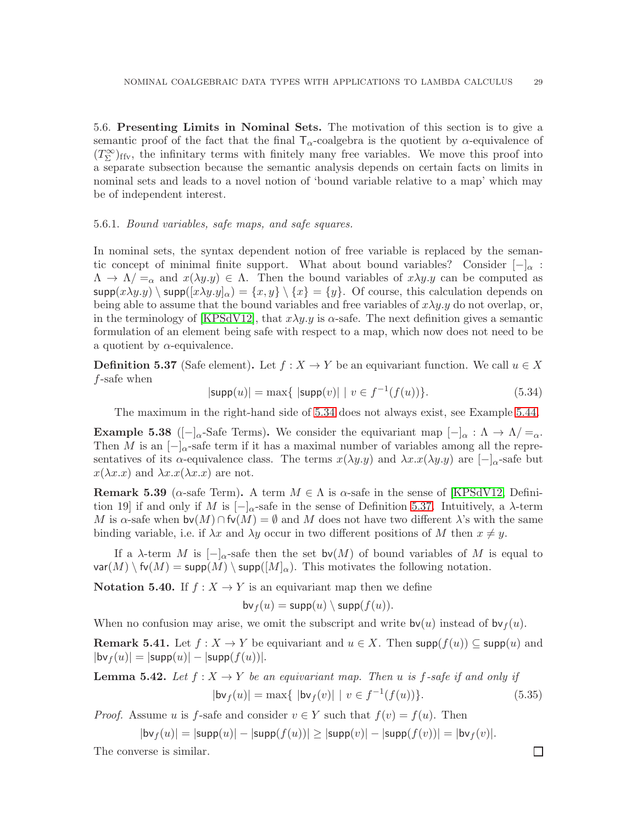<span id="page-30-0"></span>5.6. Presenting Limits in Nominal Sets. The motivation of this section is to give a semantic proof of the fact that the final  $T_{\alpha}$ -coalgebra is the quotient by  $\alpha$ -equivalence of  $(T_{\Sigma}^{\infty})_{\text{ffv}}$ , the infinitary terms with finitely many free variables. We move this proof into a separate subsection because the semantic analysis depends on certain facts on limits in nominal sets and leads to a novel notion of 'bound variable relative to a map' which may be of independent interest.

#### 5.6.1. *Bound variables, safe maps, and safe squares.*

In nominal sets, the syntax dependent notion of free variable is replaced by the semantic concept of minimal finite support. What about bound variables? Consider  $[-]_{\alpha}$ :  $\Lambda \to \Lambda / =_{\alpha}$  and  $x(\lambda y.y) \in \Lambda$ . Then the bound variables of  $x\lambda y.y$  can be computed as  $\textsf{supp}(x\lambda y.y) \setminus \textsf{supp}([x\lambda y.y]_{\alpha}) = \{x,y\} \setminus \{x\} = \{y\}.$  Of course, this calculation depends on being able to assume that the bound variables and free variables of  $x\lambda y.y$  do not overlap, or, in the terminology of [\[KPSdV12\]](#page-52-7), that  $x\lambda y.y$  is  $\alpha$ -safe. The next definition gives a semantic formulation of an element being safe with respect to a map, which now does not need to be a quotient by  $\alpha$ -equivalence.

<span id="page-30-2"></span>**Definition 5.37** (Safe element). Let  $f : X \to Y$  be an equivariant function. We call  $u \in X$ f-safe when

<span id="page-30-1"></span>
$$
|\textsf{supp}(u)| = \max\{|\textsf{supp}(v)| \mid v \in f^{-1}(f(u))\}.
$$
\n(5.34)

The maximum in the right-hand side of [5.34](#page-30-1) does not always exist, see Example [5.44.](#page-31-0)

**Example 5.38** ( $\lceil -\rceil_{\alpha}$ -Safe Terms). We consider the equivariant map  $\lceil -\rceil_{\alpha} : \Lambda \to \Lambda \rceil = \alpha$ . Then M is an  $[-]_{\alpha}$ -safe term if it has a maximal number of variables among all the representatives of its  $\alpha$ -equivalence class. The terms  $x(\lambda y.y)$  and  $\lambda x.x(\lambda y.y)$  are  $[-]_{\alpha}$ -safe but  $x(\lambda x.x)$  and  $\lambda x.x(\lambda x.x)$  are not.

**Remark 5.39** ( $\alpha$ -safe Term). A term  $M \in \Lambda$  is  $\alpha$ -safe in the sense of [\[KPSdV12,](#page-52-7) Definition 19] if and only if M is  $[-]_{\alpha}$ -safe in the sense of Definition [5.37.](#page-30-2) Intuitively, a  $\lambda$ -term M is  $\alpha$ -safe when  $\mathsf{bv}(M) \cap \mathsf{fv}(M) = \emptyset$  and M does not have two different  $\lambda$ 's with the same binding variable, i.e. if  $\lambda x$  and  $\lambda y$  occur in two different positions of M then  $x \neq y$ .

If a  $\lambda$ -term M is  $\lceil -\rceil_{\alpha}$ -safe then the set bv $(M)$  of bound variables of M is equal to  $var(M) \setminus fv(M) = supp(M) \setminus supp([M]_{\alpha})$ . This motivates the following notation.

**Notation 5.40.** If  $f: X \to Y$  is an equivariant map then we define

$$
\mathsf{bv}_f(u) = \mathsf{supp}(u) \setminus \mathsf{supp}(f(u)).
$$

When no confusion may arise, we omit the subscript and write  $\mathsf{bv}(u)$  instead of  $\mathsf{bv}_f(u)$ .

**Remark 5.41.** Let  $f: X \to Y$  be equivariant and  $u \in X$ . Then supp $(f(u)) \subseteq$  supp $(u)$  and  $|\mathsf{bv}_f(u)| = |\mathsf{supp}(u)| - |\mathsf{supp}(f(u))|$ .

**Lemma 5.42.** Let 
$$
f : X \to Y
$$
 be an equivariant map. Then u is f-safe if and only if  
\n
$$
|\mathsf{bv}_f(u)| = \max\{ |\mathsf{bv}_f(v)| \mid v \in f^{-1}(f(u)) \}. \tag{5.35}
$$

*Proof.* Assume u is f-safe and consider  $v \in Y$  such that  $f(v) = f(u)$ . Then

 $|{\sf bv}_f(u)| = |{\sf supp}(u)| - |{\sf supp}(f(u))| \geq |{\sf supp}(v)| - |{\sf supp}(f(v))| = |{\sf bv}_f(v)|.$ 

The converse is similar.

 $\Box$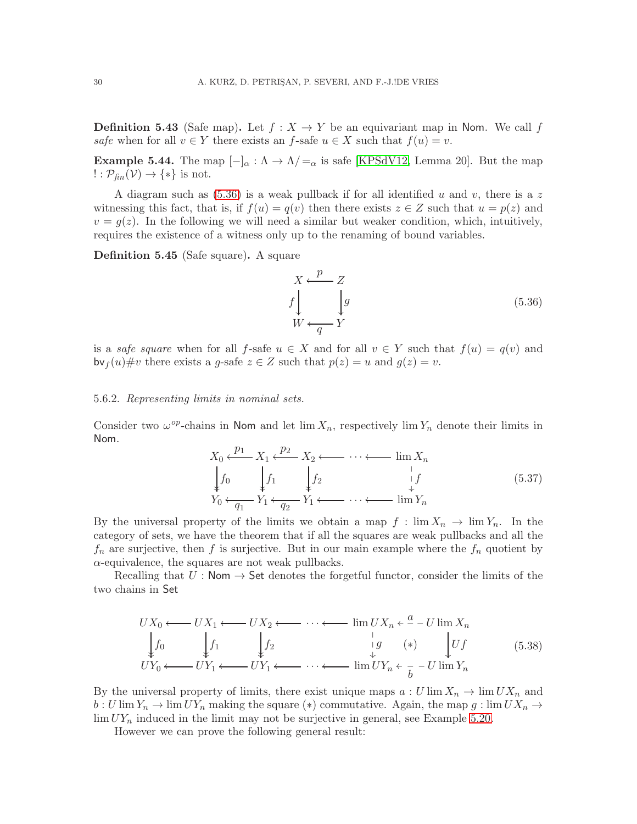**Definition 5.43** (Safe map). Let  $f : X \to Y$  be an equivariant map in Nom. We call f *safe* when for all  $v \in Y$  there exists an f-safe  $u \in X$  such that  $f(u) = v$ .

<span id="page-31-0"></span>**Example 5.44.** The map  $[-]_{\alpha} : \Lambda \to \Lambda / =_{\alpha}$  is safe [\[KPSdV12,](#page-52-7) Lemma 20]. But the map  $! : \mathcal{P}_{\text{fin}}(\mathcal{V}) \rightarrow {*}$  is not.

A diagram such as  $(5.36)$  is a weak pullback if for all identified u and v, there is a z witnessing this fact, that is, if  $f(u) = q(v)$  then there exists  $z \in Z$  such that  $u = p(z)$  and  $v = g(z)$ . In the following we will need a similar but weaker condition, which, intuitively, requires the existence of a witness only up to the renaming of bound variables.

Definition 5.45 (Safe square). A square

<span id="page-31-1"></span>
$$
X \leftarrow \mathcal{P} - Z
$$
  
\n
$$
f \downarrow \qquad \qquad \downarrow g
$$
  
\n
$$
W \leftarrow \frac{q}{Y}
$$
 (5.36)

is a *safe square* when for all f-safe  $u \in X$  and for all  $v \in Y$  such that  $f(u) = q(v)$  and  $\mathsf{bv}_f(u)\# v$  there exists a g-safe  $z \in Z$  such that  $p(z) = u$  and  $q(z) = v$ .

#### 5.6.2. *Representing limits in nominal sets.*

Consider two  $\omega^{op}$ -chains in Nom and let  $\lim X_n$ , respectively  $\lim Y_n$  denote their limits in Nom.

<span id="page-31-2"></span>
$$
X_0 \xleftarrow{p_1} X_1 \xleftarrow{p_2} X_2 \xleftarrow{\cdots} \xleftarrow{\cdots} \lim_{n} X_n
$$
  
\n
$$
\downarrow f_0 \qquad \qquad \downarrow f_1 \qquad \qquad \downarrow f_2 \qquad \qquad \downarrow f
$$
  
\n
$$
Y_0 \xleftarrow{q_1} Y_1 \xleftarrow{q_2} Y_1 \xleftarrow{\cdots} \cdots \xleftarrow{\cdots} \lim_{n} Y_n
$$
  
\n(5.37)

By the universal property of the limits we obtain a map  $f : \lim X_n \to \lim Y_n$ . In the category of sets, we have the theorem that if all the squares are weak pullbacks and all the  $f_n$  are surjective, then f is surjective. But in our main example where the  $f_n$  quotient by  $\alpha$ -equivalence, the squares are not weak pullbacks.

Recalling that  $U: \mathsf{Nom} \to \mathsf{Set}$  denotes the forgetful functor, consider the limits of the two chains in Set

$$
UX_0 \longleftarrow UX_1 \longleftarrow UX_2 \longleftarrow \cdots \longleftarrow \lim_{n \to \infty} UX_n \leftarrow \frac{a}{v} - U \lim_{n \to \infty} X_n
$$
  
\n
$$
\downarrow f_0 \qquad \qquad \downarrow f_1 \qquad \qquad \downarrow f_2 \qquad \qquad \downarrow g \qquad (*) \qquad \qquad \downarrow Uf \qquad (5.38)
$$
  
\n
$$
UY_0 \longleftarrow UY_1 \longleftarrow UY_1 \longleftarrow \cdots \longleftarrow \lim_{n \to \infty} UY_n \leftarrow \frac{b}{b} - U \lim_{n \to \infty} Y_n
$$

By the universal property of limits, there exist unique maps  $a: U \lim X_n \to \lim U X_n$  and  $b: U \lim Y_n \to \lim U Y_n$  making the square (\*) commutative. Again, the map  $g: \lim U X_n \to$  $\lim UV_n$  induced in the limit may not be surjective in general, see Example [5.20.](#page-23-1)

However we can prove the following general result: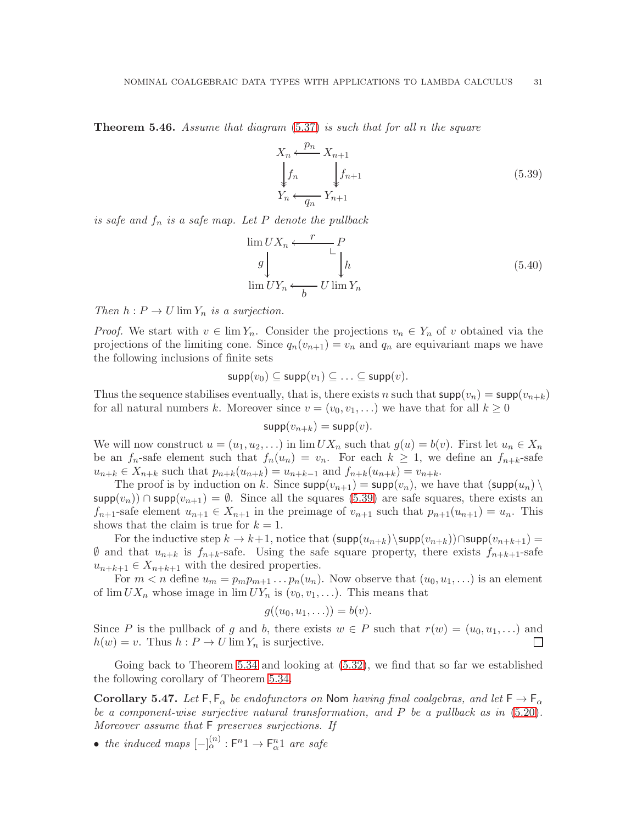<span id="page-32-0"></span>Theorem 5.46. *Assume that diagram* [\(5.37\)](#page-31-2) *is such that for all* n *the square*

<span id="page-32-1"></span>
$$
X_n \xleftarrow{p_n} X_{n+1}
$$
  
\n
$$
\downarrow f_n \qquad \qquad \downarrow f_{n+1}
$$
  
\n
$$
Y_n \xleftarrow{q_n} Y_{n+1}
$$
\n(5.39)

*is safe and* f<sup>n</sup> *is a safe map. Let* P *denote the pullback*

$$
\lim_{h \to 0} U X_n \xleftarrow{\begin{array}{c} P \\ \downarrow \\ \downarrow \\ \downarrow \\ \lim_{h \to 0} U Y_n \xleftarrow{\begin{array}{c} \downarrow \\ \downarrow \\ \downarrow \\ \downarrow \end{array}} \end{array}} \right} (5.40)
$$

*Then*  $h: P \to U \lim Y_n$  *is a surjection.* 

*Proof.* We start with  $v \in \lim Y_n$ . Consider the projections  $v_n \in Y_n$  of v obtained via the projections of the limiting cone. Since  $q_n(v_{n+1}) = v_n$  and  $q_n$  are equivariant maps we have the following inclusions of finite sets

$$
\mathsf{supp}(v_0) \subseteq \mathsf{supp}(v_1) \subseteq \ldots \subseteq \mathsf{supp}(v).
$$

Thus the sequence stabilises eventually, that is, there exists n such that  $\text{supp}(v_n) = \text{supp}(v_{n+k})$ for all natural numbers k. Moreover since  $v = (v_0, v_1, \ldots)$  we have that for all  $k \geq 0$ 

$$
\mathsf{supp}(v_{n+k}) = \mathsf{supp}(v).
$$

We will now construct  $u = (u_1, u_2, \ldots)$  in  $\lim UX_n$  such that  $g(u) = b(v)$ . First let  $u_n \in X_n$ be an  $f_n$ -safe element such that  $f_n(u_n) = v_n$ . For each  $k \geq 1$ , we define an  $f_{n+k}$ -safe  $u_{n+k} \in X_{n+k}$  such that  $p_{n+k}(u_{n+k}) = u_{n+k-1}$  and  $f_{n+k}(u_{n+k}) = v_{n+k}$ .

The proof is by induction on k. Since  $\text{supp}(v_{n+1}) = \text{supp}(v_n)$ , we have that  $(\text{supp}(u_n))$  $\text{supp}(v_n)$ ) ∩ supp $(v_{n+1}) = \emptyset$ . Since all the squares [\(5.39\)](#page-32-1) are safe squares, there exists an  $f_{n+1}$ -safe element  $u_{n+1} \in X_{n+1}$  in the preimage of  $v_{n+1}$  such that  $p_{n+1}(u_{n+1}) = u_n$ . This shows that the claim is true for  $k = 1$ .

For the inductive step  $k \to k+1$ , notice that  $(\textsf{supp}(u_{n+k})\setminus \textsf{supp}(v_{n+k}))\cap \textsf{supp}(v_{n+k+1}) =$  $\emptyset$  and that  $u_{n+k}$  is  $f_{n+k}$ -safe. Using the safe square property, there exists  $f_{n+k+1}$ -safe  $u_{n+k+1} \in X_{n+k+1}$  with the desired properties.

For  $m < n$  define  $u_m = p_m p_{m+1} \dots p_n(u_n)$ . Now observe that  $(u_0, u_1, \dots)$  is an element of  $\lim_{N} U X_n$  whose image in  $\lim_{N} U Y_n$  is  $(v_0, v_1, \ldots)$ . This means that

$$
g((u_0,u_1,\ldots))=b(v).
$$

Since P is the pullback of g and b, there exists  $w \in P$  such that  $r(w) = (u_0, u_1, \ldots)$  and  $h(w) = v$ . Thus  $h : P \to U \lim Y_n$  is surjective. П

Going back to Theorem [5.34](#page-28-0) and looking at  $(5.32)$ , we find that so far we established the following corollary of Theorem [5.34.](#page-28-0)

<span id="page-32-2"></span>Corollary 5.47. Let  $F, F_\alpha$  be endofunctors on Nom *having final coalgebras, and let*  $F \to F_\alpha$ *be a component-wise surjective natural transformation, and* P *be a pullback as in* [\(5.20\)](#page-25-3)*. Moreover assume that* F *preserves surjections. If*

• *the induced maps*  $\left[-\right]_{\alpha}^{(n)}$ :  $F^{n}1 \rightarrow F_{\alpha}^{n}1$  *are safe*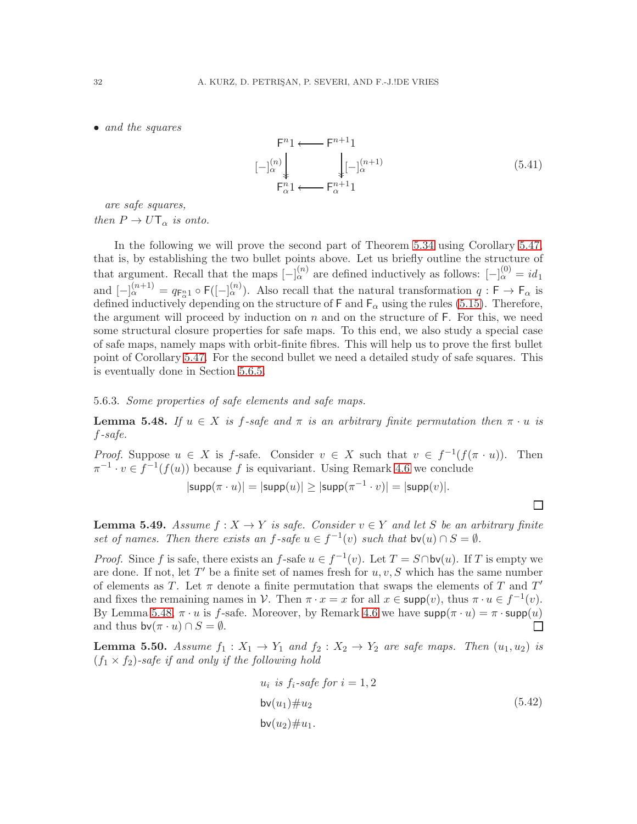• *and the squares*

$$
\begin{array}{ccc}\n\mathsf{F}^{n_1} \longleftarrow & \mathsf{F}^{n+1_1} \\
[-\vert_{\alpha}^{(n)} \vert & \vert_{\mathbf{L}}^{(n+1)} \\
\mathsf{F}^{n_1}_{\alpha} & \longleftarrow & \mathsf{F}^{n+1}_{\alpha} \\
\end{array} \tag{5.41}
$$

*are safe squares,*

*then*  $P \to U \mathsf{T}_{\alpha}$  *is onto.* 

In the following we will prove the second part of Theorem [5.34](#page-28-0) using Corollary [5.47,](#page-32-2) that is, by establishing the two bullet points above. Let us briefly outline the structure of that argument. Recall that the maps  $[-]_{\alpha}^{(n)}$  are defined inductively as follows:  $[-]_{\alpha}^{(0)} = id_1$ and  $[-]_{\alpha}^{(n+1)} = q_{\mathsf{F}_{\alpha}^{n}} \circ \mathsf{F}([-]_{\alpha}^{(n)})$ . Also recall that the natural transformation  $q : \mathsf{F} \to \mathsf{F}_{\alpha}$  is defined inductively depending on the structure of  $\mathsf{F}$  and  $\mathsf{F}_{\alpha}$  using the rules [\(5.15\)](#page-22-3). Therefore, the argument will proceed by induction on  $n$  and on the structure of  $F$ . For this, we need some structural closure properties for safe maps. To this end, we also study a special case of safe maps, namely maps with orbit-finite fibres. This will help us to prove the first bullet point of Corollary [5.47.](#page-32-2) For the second bullet we need a detailed study of safe squares. This is eventually done in Section [5.6.5.](#page-37-0)

5.6.3. *Some properties of safe elements and safe maps.*

<span id="page-33-0"></span>**Lemma 5.48.** *If*  $u \in X$  *is f-safe and*  $\pi$  *is an arbitrary finite permutation then*  $\pi \cdot u$  *is* f*-safe.*

*Proof.* Suppose  $u \in X$  is f-safe. Consider  $v \in X$  such that  $v \in f^{-1}(f(\pi \cdot u))$ . Then  $\pi^{-1} \cdot v \in f^{-1}(f(u))$  because f is equivariant. Using Remark [4.6](#page-12-5) we conclude

$$
|\mathsf{supp}(\pi \cdot u)| = |\mathsf{supp}(u)| \ge |\mathsf{supp}(\pi^{-1} \cdot v)| = |\mathsf{supp}(v)|.
$$

<span id="page-33-2"></span>**Lemma 5.49.** *Assume*  $f: X \to Y$  *is safe. Consider*  $v \in Y$  *and let* S *be an arbitrary finite* set of names. Then there exists an  $f$ -safe  $u \in f^{-1}(v)$  such that  $bv(u) \cap S = \emptyset$ .

*Proof.* Since f is safe, there exists an f-safe  $u \in f^{-1}(v)$ . Let  $T = S \cap bv(u)$ . If T is empty we are done. If not, let  $T'$  be a finite set of names fresh for  $u, v, S$  which has the same number of elements as T. Let  $\pi$  denote a finite permutation that swaps the elements of T and T' and fixes the remaining names in V. Then  $\pi \cdot x = x$  for all  $x \in \text{supp}(v)$ , thus  $\pi \cdot u \in f^{-1}(v)$ . By Lemma [5.48,](#page-33-0)  $\pi \cdot u$  is f-safe. Moreover, by Remark [4.6](#page-12-5) we have  $\text{supp}(\pi \cdot u) = \pi \cdot \text{supp}(u)$ and thus  $\mathsf{bv}(\pi \cdot u) \cap S = \emptyset$ . П

<span id="page-33-3"></span>**Lemma 5.50.** Assume  $f_1: X_1 \rightarrow Y_1$  and  $f_2: X_2 \rightarrow Y_2$  are safe maps. Then  $(u_1, u_2)$  is  $(f_1 \times f_2)$ -safe if and only if the following hold

<span id="page-33-1"></span>
$$
u_i \t is f_i-safe for i = 1, 2
$$
  
\n
$$
bv(u_1) \# u_2
$$
  
\n
$$
bv(u_2) \# u_1.
$$
\n(5.42)

 $\Box$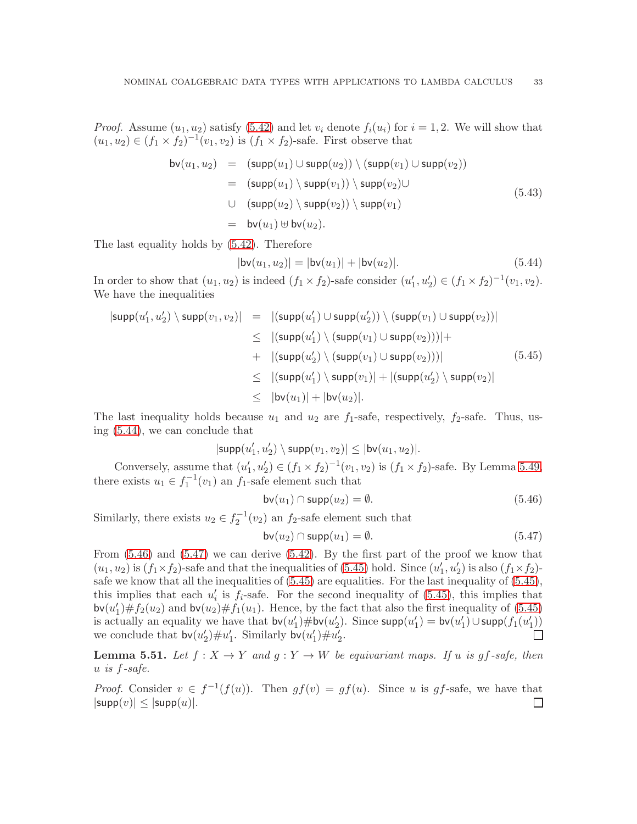*Proof.* Assume  $(u_1, u_2)$  satisfy [\(5.42\)](#page-33-1) and let  $v_i$  denote  $f_i(u_i)$  for  $i = 1, 2$ . We will show that  $(u_1, u_2) \in (f_1 \times f_2)^{-1}(v_1, v_2)$  is  $(f_1 \times f_2)$ -safe. First observe that

$$
bv(u_1, u_2) = (supp(u_1) \cup supp(u_2)) \setminus (supp(v_1) \cup supp(v_2))
$$
  
= (supp(u\_1) \setminus supp(v\_1)) \setminus supp(v\_2) \cup   
 \cup (supp(u\_2) \setminus supp(v\_2)) \setminus supp(v\_1)   
= bv(u\_1) \oplus bv(u\_2). (5.43)

The last equality holds by [\(5.42\)](#page-33-1). Therefore

<span id="page-34-0"></span>
$$
|\mathsf{bv}(u_1, u_2)| = |\mathsf{bv}(u_1)| + |\mathsf{bv}(u_2)|. \tag{5.44}
$$

In order to show that  $(u_1, u_2)$  is indeed  $(f_1 \times f_2)$ -safe consider  $(u'_1, u'_2) \in (f_1 \times f_2)^{-1}(v_1, v_2)$ . We have the inequalities

<span id="page-34-3"></span>
$$
|\text{supp}(u'_1, u'_2) \setminus \text{supp}(v_1, v_2)| = |(\text{supp}(u'_1) \cup \text{supp}(u'_2)) \setminus (\text{supp}(v_1) \cup \text{supp}(v_2))|
$$
  
\n
$$
\leq |(\text{supp}(u'_1) \setminus (\text{supp}(v_1) \cup \text{supp}(v_2)))| +
$$
  
\n
$$
+ |(\text{supp}(u'_2) \setminus (\text{supp}(v_1) \cup \text{supp}(v_2)))|
$$
  
\n
$$
\leq |(\text{supp}(u'_1) \setminus \text{supp}(v_1)| + |(\text{supp}(u'_2) \setminus \text{supp}(v_2)|
$$
  
\n
$$
\leq |\text{bv}(u_1)| + |\text{bv}(u_2)|.
$$
\n(5.45)

The last inequality holds because  $u_1$  and  $u_2$  are  $f_1$ -safe, respectively,  $f_2$ -safe. Thus, using [\(5.44\)](#page-34-0), we can conclude that

$$
|\textsf{supp}(u_1',u_2')\setminus \textsf{supp}(v_1,v_2)|\leq |\textsf{bv}(u_1,u_2)|.
$$

Conversely, assume that  $(u'_1, u'_2) \in (f_1 \times f_2)^{-1}(v_1, v_2)$  is  $(f_1 \times f_2)$ -safe. By Lemma [5.49,](#page-33-2) there exists  $u_1 \in f_1^{-1}(v_1)$  an  $f_1$ -safe element such that

<span id="page-34-1"></span>
$$
bv(u_1) \cap \text{supp}(u_2) = \emptyset. \tag{5.46}
$$

Similarly, there exists  $u_2 \in f_2^{-1}(v_2)$  an  $f_2$ -safe element such that

<span id="page-34-2"></span>
$$
bv(u_2) \cap \text{supp}(u_1) = \emptyset. \tag{5.47}
$$

From  $(5.46)$  and  $(5.47)$  we can derive  $(5.42)$ . By the first part of the proof we know that  $(u_1, u_2)$  is  $(f_1 \times f_2)$ -safe and that the inequalities of [\(5.45\)](#page-34-3) hold. Since  $(u'_1, u'_2)$  is also  $(f_1 \times f_2)$ safe we know that all the inequalities of  $(5.45)$  are equalities. For the last inequality of  $(5.45)$ , this implies that each  $u_i'$  is  $f_i$ -safe. For the second inequality of [\(5.45\)](#page-34-3), this implies that  $\mathsf{bv}(u_1') \# f_2(u_2)$  and  $\mathsf{bv}(u_2) \# f_1(u_1)$ . Hence, by the fact that also the first inequality of [\(5.45\)](#page-34-3) is actually an equality we have that  $\mathsf{bv}(u_1') \# \mathsf{bv}(u_2')$ . Since  $\mathsf{supp}(u_1') = \mathsf{bv}(u_1') \cup \mathsf{supp}(f_1(u_1'))$ we conclude that  $\mathsf{bv}(u_2') \# u_1'$ . Similarly  $\mathsf{bv}(u_1') \# u_2'$ .

<span id="page-34-4"></span>**Lemma 5.51.** Let  $f: X \to Y$  and  $g: Y \to W$  be equivariant maps. If u is gf-safe, then u *is* f*-safe.*

*Proof.* Consider  $v \in f^{-1}(f(u))$ . Then  $gf(v) = gf(u)$ . Since u is gf-safe, we have that  $|\textsf{supp}(v)| \leq |\textsf{supp}(u)|.$  $\Box$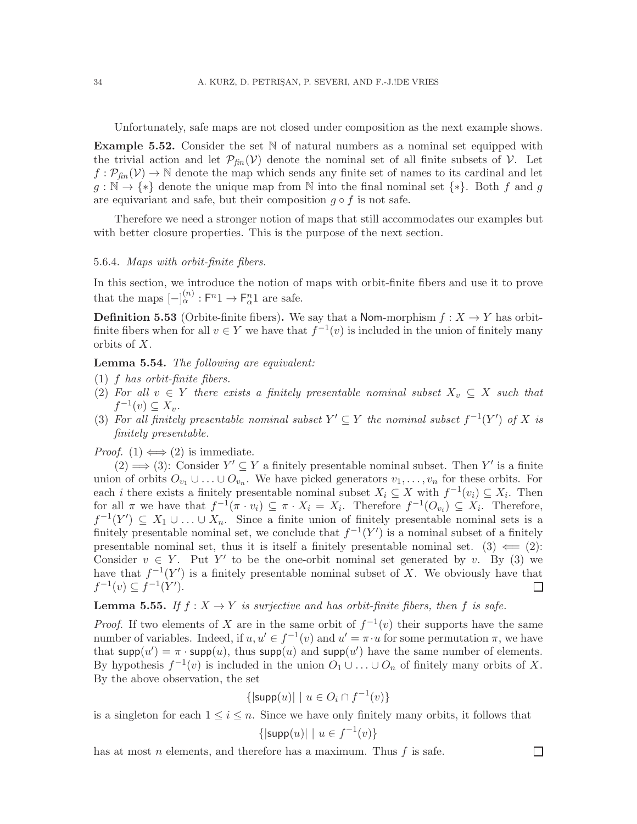Unfortunately, safe maps are not closed under composition as the next example shows.

**Example 5.52.** Consider the set  $\mathbb N$  of natural numbers as a nominal set equipped with the trivial action and let  $\mathcal{P}_{\text{fin}}(\mathcal{V})$  denote the nominal set of all finite subsets of  $\mathcal{V}$ . Let  $f: \mathcal{P}_{\text{fin}}(\mathcal{V}) \to \mathbb{N}$  denote the map which sends any finite set of names to its cardinal and let  $g : \mathbb{N} \to \{*\}$  denote the unique map from N into the final nominal set  $\{*\}$ . Both f and g are equivariant and safe, but their composition  $g \circ f$  is not safe.

Therefore we need a stronger notion of maps that still accommodates our examples but with better closure properties. This is the purpose of the next section.

#### 5.6.4. *Maps with orbit-finite fibers.*

In this section, we introduce the notion of maps with orbit-finite fibers and use it to prove that the maps  $\left[-\right]_{\alpha}^{(n)} : \mathsf{F}^n \mathbb{1} \to \mathsf{F}^n_{\alpha} \mathbb{1}$  are safe.

**Definition 5.53** (Orbite-finite fibers). We say that a Nom-morphism  $f: X \to Y$  has orbitfinite fibers when for all  $v \in Y$  we have that  $f^{-1}(v)$  is included in the union of finitely many orbits of X.

<span id="page-35-0"></span>Lemma 5.54. *The following are equivalent:*

- (1) f *has orbit-finite fibers.*
- (2) For all  $v \in Y$  there exists a finitely presentable nominal subset  $X_v \subseteq X$  such that  $f^{-1}(v) \subseteq X_v$ .
- (3) For all finitely presentable nominal subset  $Y' \subseteq Y$  the nominal subset  $f^{-1}(Y')$  of X is *finitely presentable.*

*Proof.* (1)  $\Longleftrightarrow$  (2) is immediate.

(2)  $\implies$  (3): Consider  $Y' \subseteq Y$  a finitely presentable nominal subset. Then Y' is a finite union of orbits  $O_{v_1} \cup \ldots \cup O_{v_n}$ . We have picked generators  $v_1, \ldots, v_n$  for these orbits. For each *i* there exists a finitely presentable nominal subset  $X_i \subseteq X$  with  $f^{-1}(v_i) \subseteq X_i$ . Then for all  $\pi$  we have that  $f^{-1}(\pi \cdot v_i) \subseteq \pi \cdot X_i = X_i$ . Therefore  $f^{-1}(O_{v_i}) \subseteq X_i$ . Therefore,  $f^{-1}(Y') \subseteq X_1 \cup \ldots \cup X_n$ . Since a finite union of finitely presentable nominal sets is a finitely presentable nominal set, we conclude that  $f^{-1}(Y')$  is a nominal subset of a finitely presentable nominal set, thus it is itself a finitely presentable nominal set.  $(3) \leftarrow (2)$ : Consider  $v \in Y$ . Put Y' to be the one-orbit nominal set generated by v. By (3) we have that  $f^{-1}(Y')$  is a finitely presentable nominal subset of X. We obviously have that  $f^{-1}(v) \subseteq f^{-1}(Y')$ . ⊔

<span id="page-35-1"></span>**Lemma 5.55.** If  $f : X \to Y$  *is surjective and has orbit-finite fibers, then* f *is safe.* 

*Proof.* If two elements of X are in the same orbit of  $f^{-1}(v)$  their supports have the same number of variables. Indeed, if  $u, u' \in f^{-1}(v)$  and  $u' = \pi \cdot u$  for some permutation  $\pi$ , we have that supp $(u') = \pi \cdot \text{supp}(u)$ , thus supp $(u)$  and supp $(u')$  have the same number of elements. By hypothesis  $f^{-1}(v)$  is included in the union  $O_1 \cup \ldots \cup O_n$  of finitely many orbits of X. By the above observation, the set

$$
\{|\mathsf{supp}(u)| \mid u \in O_i \cap f^{-1}(v)\}
$$

is a singleton for each  $1 \leq i \leq n$ . Since we have only finitely many orbits, it follows that

$$
\{|\mathsf{supp}(u)| \mid u \in f^{-1}(v)\}
$$

 $\Box$ 

has at most *n* elements, and therefore has a maximum. Thus  $f$  is safe.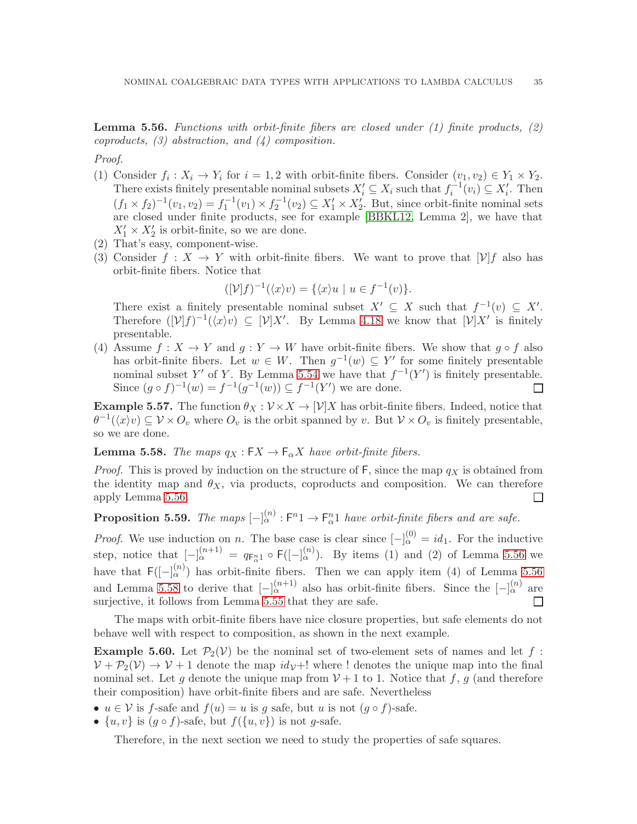<span id="page-36-0"></span>**Lemma 5.56.** Functions with orbit-finite fibers are closed under (1) finite products, (2) *coproducts, (3) abstraction, and (4) composition.*

*Proof.*

- (1) Consider  $f_i: X_i \to Y_i$  for  $i = 1, 2$  with orbit-finite fibers. Consider  $(v_1, v_2) \in Y_1 \times Y_2$ . There exists finitely presentable nominal subsets  $X'_i \subseteq X_i$  such that  $f_i^{-1}(v_i) \subseteq X'_i$ . Then  $(f_1 \times f_2)^{-1}(v_1, v_2) = f_1^{-1}(v_1) \times f_2^{-1}(v_2) \subseteq X'_1 \times X'_2$ . But, since orbit-finite nominal sets are closed under finite products, see for example [\[BBKL12,](#page-52-13) Lemma 2], we have that  $X'_1 \times X'_2$  is orbit-finite, so we are done.
- (2) That's easy, component-wise.
- (3) Consider  $f: X \to Y$  with orbit-finite fibers. We want to prove that  $[\mathcal{V}]f$  also has orbit-finite fibers. Notice that

$$
([\mathcal{V}]f)^{-1}(\langle x \rangle v) = \{ \langle x \rangle u \mid u \in f^{-1}(v) \}.
$$

There exist a finitely presentable nominal subset  $X' \subseteq X$  such that  $f^{-1}(v) \subseteq X'$ . Therefore  $([\mathcal{V}]f)^{-1}(\langle x\rangle v) \subseteq [\mathcal{V}]X'$ . By Lemma [4.18](#page-15-1) we know that  $[\mathcal{V}]X'$  is finitely presentable.

(4) Assume  $f: X \to Y$  and  $g: Y \to W$  have orbit-finite fibers. We show that  $g \circ f$  also has orbit-finite fibers. Let  $w \in W$ . Then  $g^{-1}(w) \subseteq Y'$  for some finitely presentable nominal subset Y' of Y. By Lemma [5.54](#page-35-0) we have that  $f^{-1}(Y')$  is finitely presentable. Since  $(g \circ f)^{-1}(w) = f^{-1}(g^{-1}(w)) \subseteq f^{-1}(Y')$  we are done.  $\Box$ 

**Example 5.57.** The function  $\theta_X : \mathcal{V} \times X \to [\mathcal{V}]X$  has orbit-finite fibers. Indeed, notice that  $\theta^{-1}(\langle x\rangle v) \subseteq V \times O_v$  where  $O_v$  is the orbit spanned by v. But  $V \times O_v$  is finitely presentable, so we are done.

<span id="page-36-1"></span>**Lemma 5.58.** *The maps*  $q_X : FX \to F_\alpha X$  *have orbit-finite fibers.* 

*Proof.* This is proved by induction on the structure of  $F$ , since the map  $q_X$  is obtained from the identity map and  $\theta_X$ , via products, coproducts and composition. We can therefore apply Lemma [5.56.](#page-36-0)  $\Box$ 

<span id="page-36-2"></span>**Proposition 5.59.** The maps  $[-]_{\alpha}^{(n)} : F^{n} \to F_{\alpha}^{n} \mathbb{1}$  have orbit-finite fibers and are safe.

*Proof.* We use induction on n. The base case is clear since  $[-]_{\alpha}^{(0)} = id_1$ . For the inductive step, notice that  $[-]_{\alpha}^{(n+1)} = q_{\mathsf{F}_{\alpha}^{n}} \circ \mathsf{F}([-]_{\alpha}^{(n)})$ . By items (1) and (2) of Lemma [5.56](#page-36-0) we have that  $\mathsf{F}([-]^{(n)}_{\alpha})$  has orbit-finite fibers. Then we can apply item (4) of Lemma [5.56](#page-36-0) and Lemma [5.58](#page-36-1) to derive that  $\left[-\right]_{\alpha}^{(n+1)}$  also has orbit-finite fibers. Since the  $\left[-\right]_{\alpha}^{(n)}$  are surjective, it follows from Lemma [5.55](#page-35-1) that they are safe. П

The maps with orbit-finite fibers have nice closure properties, but safe elements do not behave well with respect to composition, as shown in the next example.

**Example 5.60.** Let  $\mathcal{P}_2(\mathcal{V})$  be the nominal set of two-element sets of names and let f:  $V + \mathcal{P}_2(V) \rightarrow V + 1$  denote the map  $i d_V + 1$  where ! denotes the unique map into the final nominal set. Let g denote the unique map from  $V+1$  to 1. Notice that f, g (and therefore their composition) have orbit-finite fibers and are safe. Nevertheless

- $u \in V$  is f-safe and  $f(u) = u$  is q safe, but u is not  $(q \circ f)$ -safe.
- $\{u, v\}$  is  $(g \circ f)$ -safe, but  $f(\{u, v\})$  is not g-safe.

Therefore, in the next section we need to study the properties of safe squares.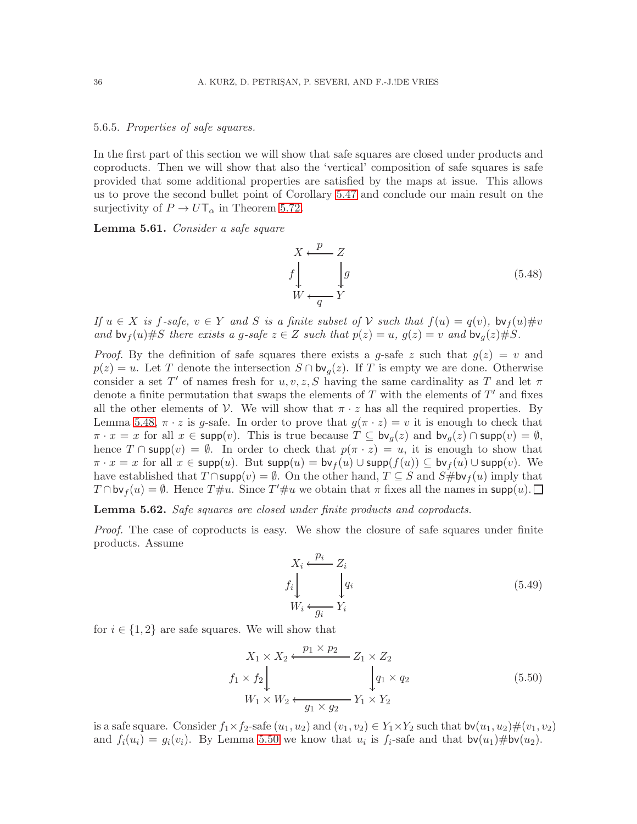#### <span id="page-37-0"></span>5.6.5. *Properties of safe squares.*

In the first part of this section we will show that safe squares are closed under products and coproducts. Then we will show that also the 'vertical' composition of safe squares is safe provided that some additional properties are satisfied by the maps at issue. This allows us to prove the second bullet point of Corollary [5.47](#page-32-2) and conclude our main result on the surjectivity of  $P \to U T_\alpha$  in Theorem [5.72.](#page-41-2)

<span id="page-37-1"></span>Lemma 5.61. *Consider a safe square*

$$
X \leftarrow \mathcal{P} - Z
$$
  
\n
$$
f \downarrow \qquad \qquad \downarrow g
$$
  
\n
$$
W \leftarrow \frac{q}{Y}
$$
  
\n(5.48)

*If*  $u \in X$  *is*  $f$ -safe,  $v \in Y$  *and*  $S$  *is a finite subset of*  $V$  *such that*  $f(u) = q(v)$ ,  $b v_f(u) \# v$ *and*  $\mathsf{bv}_f(u) \# S$  *there exists a g-safe*  $z \in Z$  *such that*  $p(z) = u$ ,  $g(z) = v$  *and*  $\mathsf{bv}_g(z) \# S$ .

*Proof.* By the definition of safe squares there exists a g-safe z such that  $g(z) = v$  and  $p(z) = u$ . Let T denote the intersection  $S \cap$  bv<sub>q</sub>(z). If T is empty we are done. Otherwise consider a set T' of names fresh for  $u, v, z, S$  having the same cardinality as T and let  $\pi$ denote a finite permutation that swaps the elements of  $T$  with the elements of  $T'$  and fixes all the other elements of V. We will show that  $\pi \cdot z$  has all the required properties. By Lemma [5.48,](#page-33-0)  $\pi \cdot z$  is g-safe. In order to prove that  $g(\pi \cdot z) = v$  it is enough to check that  $\pi \cdot x = x$  for all  $x \in \text{supp}(v)$ . This is true because  $T \subseteq \text{bv}_g(z)$  and  $\text{bv}_g(z) \cap \text{supp}(v) = \emptyset$ , hence  $T \cap \text{supp}(v) = \emptyset$ . In order to check that  $p(\pi \cdot z) = u$ , it is enough to show that  $\pi \cdot x = x$  for all  $x \in \text{supp}(u)$ . But  $\text{supp}(u) = \text{bv}_f(u) \cup \text{supp}(f(u)) \subseteq \text{bv}_f(u) \cup \text{supp}(v)$ . We have established that  $T \cap \text{supp}(v) = \emptyset$ . On the other hand,  $T \subseteq S$  and  $S \# \text{bv}_f(u)$  imply that  $T \cap \text{bv}_f(u) = \emptyset$ . Hence  $T \# u$ . Since  $T' \# u$  we obtain that  $\pi$  fixes all the names in supp $(u)$ .

<span id="page-37-2"></span>Lemma 5.62. *Safe squares are closed under finite products and coproducts.*

*Proof.* The case of coproducts is easy. We show the closure of safe squares under finite products. Assume

$$
X_i \xleftarrow{p_i} Z_i
$$
  
\n
$$
f_i \downarrow \qquad \qquad q_i
$$
  
\n
$$
W_i \xleftarrow{q_i} Y_i
$$
  
\n(5.49)

for  $i \in \{1,2\}$  are safe squares. We will show that

$$
X_1 \times X_2 \xleftarrow{p_1 \times p_2} Z_1 \times Z_2
$$
  
\n
$$
f_1 \times f_2 \downarrow \qquad \qquad \downarrow q_1 \times q_2
$$
  
\n
$$
W_1 \times W_2 \xleftarrow{q_1 \times q_2} Y_1 \times Y_2
$$
\n(5.50)

is a safe square. Consider  $f_1 \times f_2$ -safe  $(u_1, u_2)$  and  $(v_1, v_2) \in Y_1 \times Y_2$  such that  $\mathsf{bv}(u_1, u_2) \# (v_1, v_2)$ and  $f_i(u_i) = g_i(v_i)$ . By Lemma [5.50](#page-33-3) we know that  $u_i$  is  $f_i$ -safe and that  $bv(u_1)\#bv(u_2)$ .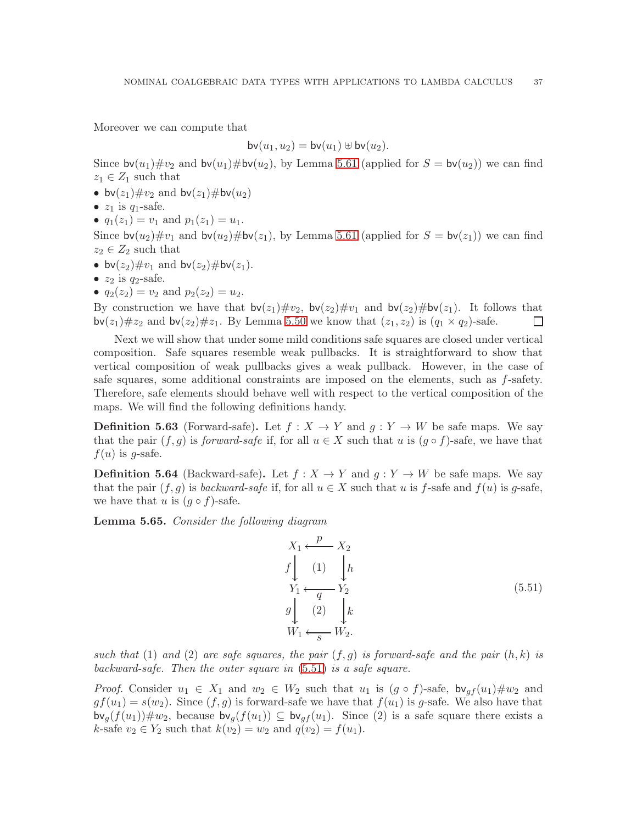Moreover we can compute that

$$
\mathsf{bv}(u_1,u_2)=\mathsf{bv}(u_1)\uplus \mathsf{bv}(u_2).
$$

Since  $\mathsf{bv}(u_1)\#\nu_2$  and  $\mathsf{bv}(u_1)\#\mathsf{bv}(u_2)$ , by Lemma [5.61](#page-37-1) (applied for  $S = \mathsf{bv}(u_2)$ ) we can find  $z_1 \in Z_1$  such that

- bv $(z_1)$ # $v_2$  and bv $(z_1)$ #bv $(u_2)$
- $z_1$  is  $q_1$ -safe.
- $q_1(z_1) = v_1$  and  $p_1(z_1) = u_1$ .

Since  $\mathsf{bv}(u_2)\#v_1$  and  $\mathsf{bv}(u_2)\# \mathsf{bv}(z_1)$ , by Lemma [5.61](#page-37-1) (applied for  $S = \mathsf{bv}(z_1)$ ) we can find  $z_2 \in Z_2$  such that

- bv $(z_2)$ # $v_1$  and bv $(z_2)$ #bv $(z_1)$ .
- $z_2$  is  $q_2$ -safe.
- $q_2(z_2) = v_2$  and  $p_2(z_2) = u_2$ .

By construction we have that  $\mathsf{bv}(z_1)\#v_2$ ,  $\mathsf{bv}(z_2)\#v_1$  and  $\mathsf{bv}(z_2)\# \mathsf{bv}(z_1)$ . It follows that  $\mathsf{bv}(z_1)\# z_2$  and  $\mathsf{bv}(z_2)\# z_1$ . By Lemma [5.50](#page-33-3) we know that  $(z_1, z_2)$  is  $(q_1 \times q_2)$ -safe.  $\Box$ 

Next we will show that under some mild conditions safe squares are closed under vertical composition. Safe squares resemble weak pullbacks. It is straightforward to show that vertical composition of weak pullbacks gives a weak pullback. However, in the case of safe squares, some additional constraints are imposed on the elements, such as f-safety. Therefore, safe elements should behave well with respect to the vertical composition of the maps. We will find the following definitions handy.

**Definition 5.63** (Forward-safe). Let  $f : X \to Y$  and  $g : Y \to W$  be safe maps. We say that the pair  $(f, g)$  is *forward-safe* if, for all  $u \in X$  such that u is  $(g \circ f)$ -safe, we have that  $f(u)$  is g-safe.

**Definition 5.64** (Backward-safe). Let  $f : X \to Y$  and  $g : Y \to W$  be safe maps. We say that the pair  $(f, g)$  is *backward-safe* if, for all  $u \in X$  such that u is f-safe and  $f(u)$  is g-safe, we have that u is  $(g \circ f)$ -safe.

<span id="page-38-1"></span>Lemma 5.65. *Consider the following diagram*

<span id="page-38-0"></span>
$$
X_1 \xleftarrow{p} X_2
$$
  
\n $f \downarrow (1) \downarrow h$   
\n $Y_1 \xleftarrow{q} Y_2$   
\n $g \downarrow (2) \downarrow k$   
\n $W_1 \xleftarrow{s} W_2.$  (5.51)

*such that* (1) *and* (2) *are safe squares, the pair*  $(f, g)$  *is forward-safe and the pair*  $(h, k)$  *is backward-safe. Then the outer square in* [\(5.51\)](#page-38-0) *is a safe square.*

*Proof.* Consider  $u_1 \in X_1$  and  $w_2 \in W_2$  such that  $u_1$  is  $(g \circ f)$ -safe,  $bv_{af}(u_1) \# w_2$  and  $gf(u_1) = s(w_2)$ . Since  $(f, g)$  is forward-safe we have that  $f(u_1)$  is g-safe. We also have that  $\mathsf{bv}_q(f(u_1)) \# w_2$ , because  $\mathsf{bv}_q(f(u_1)) \subseteq \mathsf{bv}_{q}(u_1)$ . Since (2) is a safe square there exists a k-safe  $v_2 \in Y_2$  such that  $k(v_2) = w_2$  and  $q(v_2) = f(u_1)$ .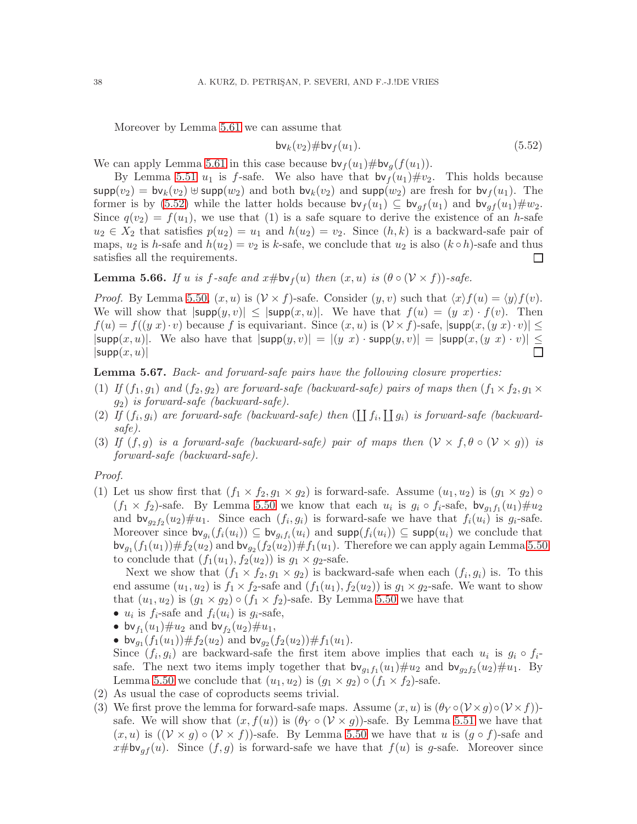Moreover by Lemma [5.61](#page-37-1) we can assume that

<span id="page-39-0"></span>
$$
\mathsf{bv}_k(v_2)\#\mathsf{bv}_f(u_1). \tag{5.52}
$$

We can apply Lemma [5.61](#page-37-1) in this case because  $\mathsf{bv}_f(u_1)\#\mathsf{bv}_g(f(u_1)).$ 

By Lemma [5.51](#page-34-4)  $u_1$  is f-safe. We also have that  $\mathsf{bv}_f(u_1)\#v_2$ . This holds because  $\text{supp}(v_2) = \text{bv}_k(v_2) \oplus \text{supp}(w_2)$  and both  $\text{bv}_k(v_2)$  and  $\text{supp}(w_2)$  are fresh for  $\text{bv}_f(u_1)$ . The former is by [\(5.52\)](#page-39-0) while the latter holds because  $\mathsf{bv}_f(u_1) \subseteq \mathsf{bv}_{qf}(u_1)$  and  $\mathsf{bv}_{qf}(u_1) \# w_2$ . Since  $q(v_2) = f(u_1)$ , we use that (1) is a safe square to derive the existence of an h-safe  $u_2 \in X_2$  that satisfies  $p(u_2) = u_1$  and  $h(u_2) = v_2$ . Since  $(h, k)$  is a backward-safe pair of maps,  $u_2$  is h-safe and  $h(u_2) = v_2$  is k-safe, we conclude that  $u_2$  is also  $(k \circ h)$ -safe and thus satisfies all the requirements.  $\Box$ 

<span id="page-39-1"></span>**Lemma 5.66.** *If* u *is* f-safe and  $x \# \mathsf{bv}_f(u)$  then  $(x, u)$  *is*  $(\theta \circ (\mathcal{V} \times f))$ -safe.

*Proof.* By Lemma [5.50,](#page-33-3)  $(x, u)$  is  $(\mathcal{V} \times f)$ -safe. Consider  $(y, v)$  such that  $\langle x \rangle f(u) = \langle y \rangle f(v)$ . We will show that  $|\textsf{supp}(y, v)| \leq |\textsf{supp}(x, u)|$ . We have that  $f(u) = (y \ x) \cdot f(v)$ . Then  $f(u) = f((y\ x) \cdot v)$  because f is equivariant. Since  $(x, u)$  is  $(\mathcal{V} \times f)$ -safe,  $|\textsf{supp}(x, (y \ x) \cdot v)| \le$  $|\textsf{supp}(x, u)|$ . We also have that  $|\textsf{supp}(y, v)| = |(y | x) \cdot \textsf{supp}(y, v)| = |\textsf{supp}(x, (y | x) \cdot v)| \le$  $|\mathsf{supp}(x,u)|$ 

#### <span id="page-39-2"></span>Lemma 5.67. *Back- and forward-safe pairs have the following closure properties:*

- (1) *If*  $(f_1, g_1)$  *and*  $(f_2, g_2)$  *are forward-safe (backward-safe) pairs of maps then*  $(f_1 \times f_2, g_1 \times f_2)$ g2) *is forward-safe (backward-safe).*
- (2) If  $(f_i, g_i)$  are forward-safe (backward-safe) then  $(\coprod f_i, \coprod g_i)$  is forward-safe (backward*safe).*
- (3) *If*  $(f, g)$  *is a forward-safe (backward-safe) pair of maps then*  $(\mathcal{V} \times f, \theta \circ (\mathcal{V} \times g))$  *is forward-safe (backward-safe).*

#### *Proof.*

(1) Let us show first that  $(f_1 \times f_2, g_1 \times g_2)$  is forward-safe. Assume  $(u_1, u_2)$  is  $(g_1 \times g_2) \circ$  $(f_1 \times f_2)$ -safe. By Lemma [5.50](#page-33-3) we know that each  $u_i$  is  $g_i \circ f_i$ -safe,  $bv_{g_1f_1}(u_1)\#u_2$ and  $\mathsf{bv}_{g_2f_2}(u_2)\#u_1$ . Since each  $(f_i,g_i)$  is forward-safe we have that  $f_i(u_i)$  is  $g_i$ -safe. Moreover since  $\mathsf{bv}_{g_i}(f_i(u_i)) \subseteq \mathsf{bv}_{g_i}f_i(u_i)$  and  $\mathsf{supp}(f_i(u_i)) \subseteq \mathsf{supp}(u_i)$  we conclude that  $\mathsf{bv}_{g_1}(f_1(u_1)) \# f_2(u_2)$  and  $\mathsf{bv}_{g_2}(f_2(u_2)) \# f_1(u_1)$ . Therefore we can apply again Lemma [5.50](#page-33-3) to conclude that  $(f_1(u_1), f_2(u_2))$  is  $g_1 \times g_2$ -safe.

Next we show that  $(f_1 \times f_2, g_1 \times g_2)$  is backward-safe when each  $(f_i, g_i)$  is. To this end assume  $(u_1, u_2)$  is  $f_1 \times f_2$ -safe and  $(f_1(u_1), f_2(u_2))$  is  $g_1 \times g_2$ -safe. We want to show that  $(u_1, u_2)$  is  $(g_1 \times g_2) \circ (f_1 \times f_2)$ -safe. By Lemma [5.50](#page-33-3) we have that

- $u_i$  is  $f_i$ -safe and  $f_i(u_i)$  is  $g_i$ -safe,
- bv $f_1(u_1) \# u_2$  and bv $f_2(u_2) \# u_1$ ,
- bv<sub>g1</sub> $(f_1(u_1)) \# f_2(u_2)$  and bv<sub>g2</sub> $(f_2(u_2)) \# f_1(u_1)$ .

Since  $(f_i, g_i)$  are backward-safe the first item above implies that each  $u_i$  is  $g_i \circ f_i$ safe. The next two items imply together that  $\mathsf{bv}_{g_1f_1}(u_1)\#u_2$  and  $\mathsf{bv}_{g_2f_2}(u_2)\#u_1$ . By Lemma [5.50](#page-33-3) we conclude that  $(u_1, u_2)$  is  $(g_1 \times g_2) \circ (f_1 \times f_2)$ -safe.

- (2) As usual the case of coproducts seems trivial.
- (3) We first prove the lemma for forward-safe maps. Assume  $(x, u)$  is  $(\theta_Y \circ (\mathcal{V} \times g) \circ (\mathcal{V} \times f))$ safe. We will show that  $(x, f(u))$  is  $(\theta_Y \circ (\mathcal{V} \times g))$ -safe. By Lemma [5.51](#page-34-4) we have that  $(x, u)$  is  $((\mathcal{V} \times g) \circ (\mathcal{V} \times f))$ -safe. By Lemma [5.50](#page-33-3) we have that u is  $(g \circ f)$ -safe and  $x \# b \mathsf{v}_{af}(u)$ . Since  $(f, g)$  is forward-safe we have that  $f(u)$  is g-safe. Moreover since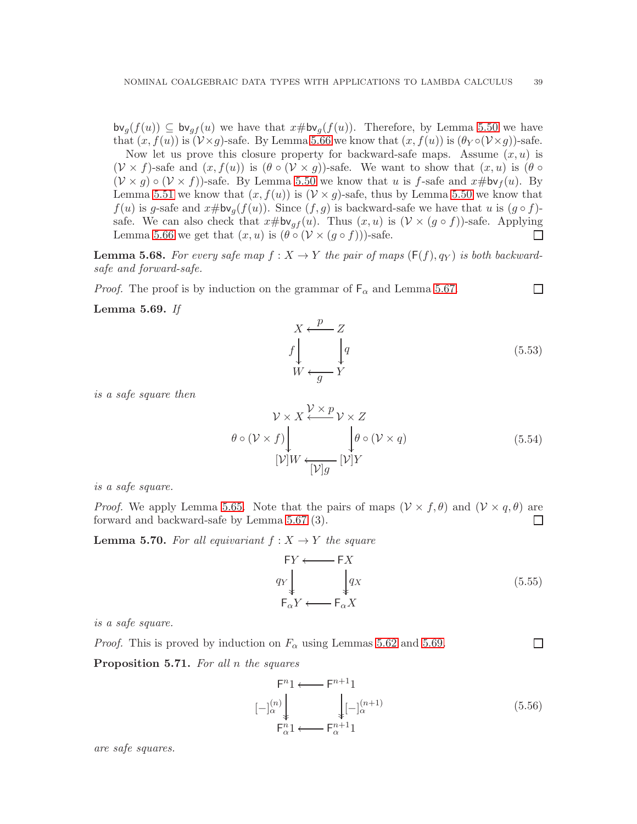$\mathsf{bv}_q(f(u)) \subseteq \mathsf{bv}_{qf}(u)$  we have that  $x \# \mathsf{bv}_q(f(u))$ . Therefore, by Lemma [5.50](#page-33-3) we have that  $(x, f(u))$  is  $(\mathcal{V} \times g)$ -safe. By Lemma [5.66](#page-39-1) we know that  $(x, f(u))$  is  $(\theta_Y \circ (\mathcal{V} \times g))$ -safe.

Now let us prove this closure property for backward-safe maps. Assume  $(x, u)$  is  $(\mathcal{V} \times f)$ -safe and  $(x, f(u))$  is  $(\theta \circ (\mathcal{V} \times g))$ -safe. We want to show that  $(x, u)$  is  $(\theta \circ$  $(\mathcal{V} \times g) \circ (\mathcal{V} \times f)$ -safe. By Lemma [5.50](#page-33-3) we know that u is f-safe and  $x \# \mathsf{bv}_f(u)$ . By Lemma [5.51](#page-34-4) we know that  $(x, f(u))$  is  $(\mathcal{V} \times g)$ -safe, thus by Lemma [5.50](#page-33-3) we know that  $f(u)$  is g-safe and  $x \# b v_g(f(u))$ . Since  $(f, g)$  is backward-safe we have that u is  $(g \circ f)$ safe. We can also check that  $x \# b v_{gf}(u)$ . Thus  $(x, u)$  is  $(\mathcal{V} \times (g \circ f))$ -safe. Applying Lemma [5.66](#page-39-1) we get that  $(x, u)$  is  $(\theta \circ (\mathcal{V} \times (g \circ f)))$ -safe.  $\Box$ 

<span id="page-40-2"></span>**Lemma 5.68.** For every safe map  $f: X \to Y$  the pair of maps  $(F(f), q_Y)$  is both backward*safe and forward-safe.*

*Proof.* The proof is by induction on the grammar of  $F_\alpha$  and Lemma [5.67.](#page-39-2)

<span id="page-40-0"></span>Lemma 5.69. *If*

 $X \leftarrow \frac{p}{p}$ f Ļ Z  $\overline{q}$ Ļ  $W \leftarrow g Y$ (5.53)

 $\Box$ 

 $\Box$ 

*is a safe square then*

$$
\mathcal{V} \times X \stackrel{\mathcal{V} \times p}{\longleftarrow} \mathcal{V} \times Z
$$
  
\n
$$
\theta \circ (\mathcal{V} \times f) \downarrow \qquad \qquad \downarrow \theta \circ (\mathcal{V} \times q)
$$
  
\n
$$
[\mathcal{V}]W \leftarrow [\mathcal{V}]g \qquad [\mathcal{V}]Y
$$
\n(5.54)

*is a safe square.*

*Proof.* We apply Lemma [5.65.](#page-38-1) Note that the pairs of maps  $(\mathcal{V} \times f, \theta)$  and  $(\mathcal{V} \times q, \theta)$  are forward and backward-safe by Lemma [5.67](#page-39-2) (3).  $\Box$ 

<span id="page-40-1"></span>**Lemma 5.70.** For all equivariant  $f: X \rightarrow Y$  the square

$$
FY \longleftarrow FX
$$
  
\n
$$
q_Y \downarrow \qquad \qquad q_X
$$
  
\n
$$
F_{\alpha}Y \longleftarrow F_{\alpha}X
$$
  
\n(5.55)

*is a safe square.*

*Proof.* This is proved by induction on  $F_{\alpha}$  using Lemmas [5.62](#page-37-2) and [5.69.](#page-40-0)

<span id="page-40-3"></span>Proposition 5.71. *For all* n *the squares*

$$
\begin{array}{ccc}\nF^{n_1} & \longleftarrow & F^{n+1}1 \\
[-\left.\right]_{\alpha}^{(n)} & & \downarrow \\
F_{\alpha}^{n_1} & & \downarrow \\
F_{\alpha}^{n_1} & & \downarrow \\
\end{array} \tag{5.56}
$$

*are safe squares.*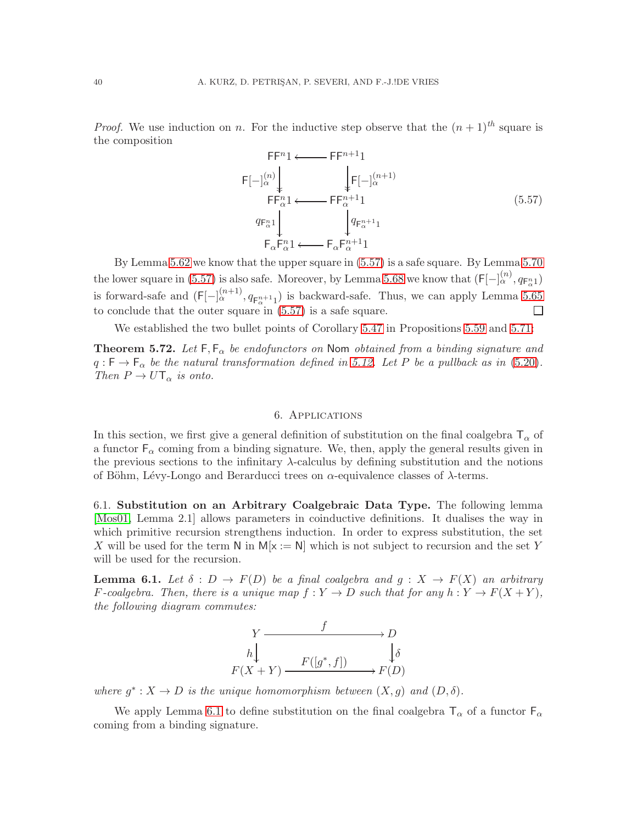*Proof.* We use induction on n. For the inductive step observe that the  $(n + 1)^{th}$  square is the composition

<span id="page-41-3"></span>
$$
\mathsf{F} \mathsf{F}^{n} 1 \longleftarrow \mathsf{F} \mathsf{F}^{n+1} 1
$$
\n
$$
\mathsf{F} \mathsf{F}_{\alpha}^{(n)} \downarrow \qquad \qquad \downarrow \mathsf{F} \mathsf{F}_{\alpha}^{(n+1)}
$$
\n
$$
\mathsf{F} \mathsf{F}_{\alpha}^{n} 1 \longleftarrow \mathsf{F} \mathsf{F}_{\alpha}^{n+1} 1
$$
\n
$$
q_{\mathsf{F}_{\alpha}^{n}} 1 \downarrow \qquad \qquad q_{\mathsf{F}_{\alpha}^{n+1}} 1
$$
\n
$$
\mathsf{F}_{\alpha} \mathsf{F}_{\alpha}^{n} 1 \longleftarrow \mathsf{F}_{\alpha} \mathsf{F}_{\alpha}^{n+1} 1
$$
\n
$$
(5.57)
$$

By Lemma [5.62](#page-37-2) we know that the upper square in [\(5.57\)](#page-41-3) is a safe square. By Lemma [5.70](#page-40-1) the lower square in [\(5.57\)](#page-41-3) is also safe. Moreover, by Lemma [5.68](#page-40-2) we know that  $(F[-]_{\alpha}^{(n)}, q_{F_{\alpha}^{n}})$ is forward-safe and  $(F[-]_{\alpha}^{(n+1)}, q_{F_{\alpha}^{n+1}1}]$  is backward-safe. Thus, we can apply Lemma [5.65](#page-38-1) to conclude that the outer square in [\(5.57\)](#page-41-3) is a safe square.  $\Box$ 

We established the two bullet points of Corollary [5.47](#page-32-2) in Propositions [5.59](#page-36-2) and [5.71:](#page-40-3)

<span id="page-41-2"></span>**Theorem 5.72.** Let  $F, F_{\alpha}$  be endofunctors on Nom obtained from a binding signature and  $q: \mathsf{F} \to \mathsf{F}_{\alpha}$  *be the natural transformation defined in* [5.12.](#page-20-1) Let P *be a pullback as in* [\(5.20\)](#page-25-3). *Then*  $P \to U \mathsf{T}_{\alpha}$  *is onto.* 

#### 6. Applications

<span id="page-41-0"></span>In this section, we first give a general definition of substitution on the final coalgebra  $\mathsf{T}_{\alpha}$  of a functor  $F_{\alpha}$  coming from a binding signature. We, then, apply the general results given in the previous sections to the infinitary  $\lambda$ -calculus by defining substitution and the notions of Böhm, Lévy-Longo and Berarducci trees on  $\alpha$ -equivalence classes of  $\lambda$ -terms.

<span id="page-41-1"></span>6.1. Substitution on an Arbitrary Coalgebraic Data Type. The following lemma [\[Mos01,](#page-53-10) Lemma 2.1] allows parameters in coinductive definitions. It dualises the way in which primitive recursion strengthens induction. In order to express substitution, the set X will be used for the term N in  $M[x := N]$  which is not subject to recursion and the set Y will be used for the recursion.

<span id="page-41-4"></span>**Lemma 6.1.** *Let*  $\delta$  :  $D \to F(D)$  *be a final coalgebra and*  $g : X \to F(X)$  *an arbitrary F*-coalgebra. Then, there is a unique map  $f: Y \to D$  such that for any  $h: Y \to F(X+Y)$ , *the following diagram commutes:*



where  $g^*: X \to D$  *is the unique homomorphism between*  $(X, g)$  *and*  $(D, \delta)$ *.* 

We apply Lemma [6.1](#page-41-4) to define substitution on the final coalgebra  $T_{\alpha}$  of a functor  $F_{\alpha}$ coming from a binding signature.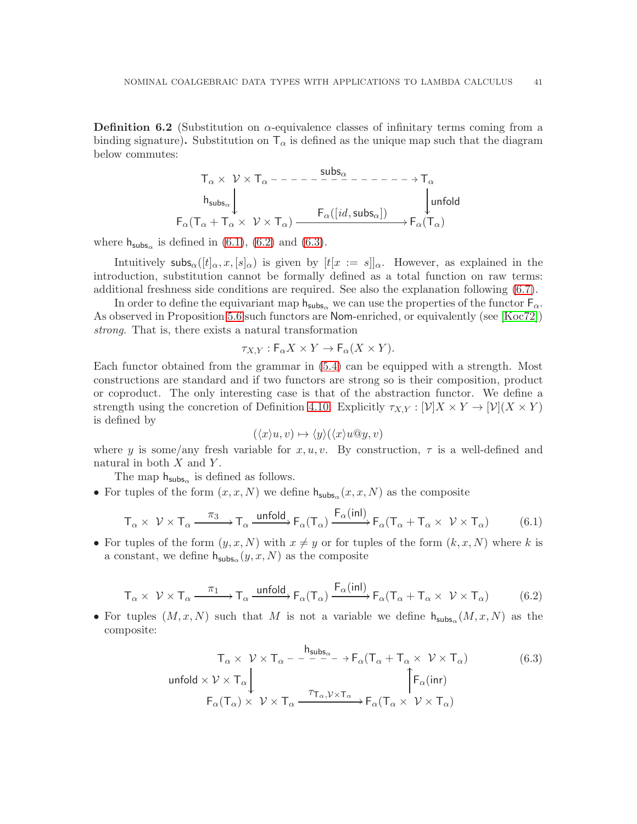<span id="page-42-3"></span>**Definition 6.2** (Substitution on  $\alpha$ -equivalence classes of infinitary terms coming from a binding signature). Substitution on  $T_{\alpha}$  is defined as the unique map such that the diagram below commutes:

$$
T_{\alpha} \times \nu \times T_{\alpha} - - - - - \frac{\text{subs}_{\alpha}}{2} - - - - - - \to T_{\alpha}
$$
\n
$$
h_{\text{subs}_{\alpha}} \downarrow \qquad \qquad \downarrow \text{unfold}
$$
\n
$$
F_{\alpha}(T_{\alpha} + T_{\alpha} \times \nu \times T_{\alpha}) \xrightarrow{F_{\alpha}([id, \text{subs}_{\alpha}])} F_{\alpha}(T_{\alpha})
$$

where  $h_{\text{subs}_\alpha}$  is defined in [\(6.1\)](#page-42-0), [\(6.2\)](#page-42-1) and [\(6.3\)](#page-42-2).

Intuitively subs<sub>α</sub>( $[t]_{\alpha}$ , x,  $[s]_{\alpha}$ ) is given by  $[t]_{x} := s]_{\alpha}$ . However, as explained in the introduction, substitution cannot be formally defined as a total function on raw terms: additional freshness side conditions are required. See also the explanation following [\(6.7\)](#page-44-0).

In order to define the equivariant map  $h_{subs}$  we can use the properties of the functor  $F_{\alpha}$ . As observed in Proposition [5.6](#page-18-2) such functors are Nom-enriched, or equivalently (see [\[Koc72\]](#page-52-14)) *strong*. That is, there exists a natural transformation

$$
\tau_{X,Y} : \mathsf{F}_{\alpha} X \times Y \to \mathsf{F}_{\alpha} (X \times Y).
$$

Each functor obtained from the grammar in [\(5.4\)](#page-18-0) can be equipped with a strength. Most constructions are standard and if two functors are strong so is their composition, product or coproduct. The only interesting case is that of the abstraction functor. We define a strength using the concretion of Definition [4.10.](#page-13-4) Explicitly  $\tau_{X,Y}: [\mathcal{V}]X \times Y \to [\mathcal{V}](X \times Y)$ is defined by

$$
(\langle x \rangle u, v) \mapsto \langle y \rangle (\langle x \rangle u @ y, v)
$$

where y is some/any fresh variable for  $x, u, v$ . By construction,  $\tau$  is a well-defined and natural in both  $X$  and  $Y$ .

The map  $h_{\text{subs}_\alpha}$  is defined as follows.

• For tuples of the form  $(x, x, N)$  we define  $h_{\text{subs}_\alpha}(x, x, N)$  as the composite

<span id="page-42-0"></span>
$$
T_{\alpha} \times \nu \times T_{\alpha} \xrightarrow{\pi_3} T_{\alpha} \xrightarrow{\text{unfold}} F_{\alpha}(T_{\alpha}) \xrightarrow{F_{\alpha}(\text{inl})} F_{\alpha}(T_{\alpha} + T_{\alpha} \times \nu \times T_{\alpha})
$$
(6.1)

• For tuples of the form  $(y, x, N)$  with  $x \neq y$  or for tuples of the form  $(k, x, N)$  where k is a constant, we define  $h_{\mathsf{subs}_\alpha}(y, x, N)$  as the composite

<span id="page-42-1"></span>
$$
T_{\alpha} \times \nu \times T_{\alpha} \xrightarrow{\pi_1} T_{\alpha} \xrightarrow{\text{unfold}} F_{\alpha}(T_{\alpha}) \xrightarrow{F_{\alpha}(inl)} F_{\alpha}(T_{\alpha} + T_{\alpha} \times \nu \times T_{\alpha})
$$
(6.2)

• For tuples  $(M, x, N)$  such that M is not a variable we define  $h_{\text{subs}_\alpha}(M, x, N)$  as the composite:

<span id="page-42-2"></span>
$$
T_{\alpha} \times \nu \times T_{\alpha} - \frac{h_{\text{subs}_{\alpha}}}{\tau_{\alpha} + T_{\alpha} \times \nu \times T_{\alpha}} \qquad (6.3)
$$
  
\n
$$
\text{unfold} \times \nu \times T_{\alpha} \downarrow \qquad \qquad \int_{F_{\alpha}(T_{\alpha})} F_{\alpha}(T_{\alpha}) \times \nu \times T_{\alpha} \xrightarrow{\tau_{T_{\alpha}, \mathcal{V} \times T_{\alpha}}} F_{\alpha}(T_{\alpha} \times \nu \times T_{\alpha})
$$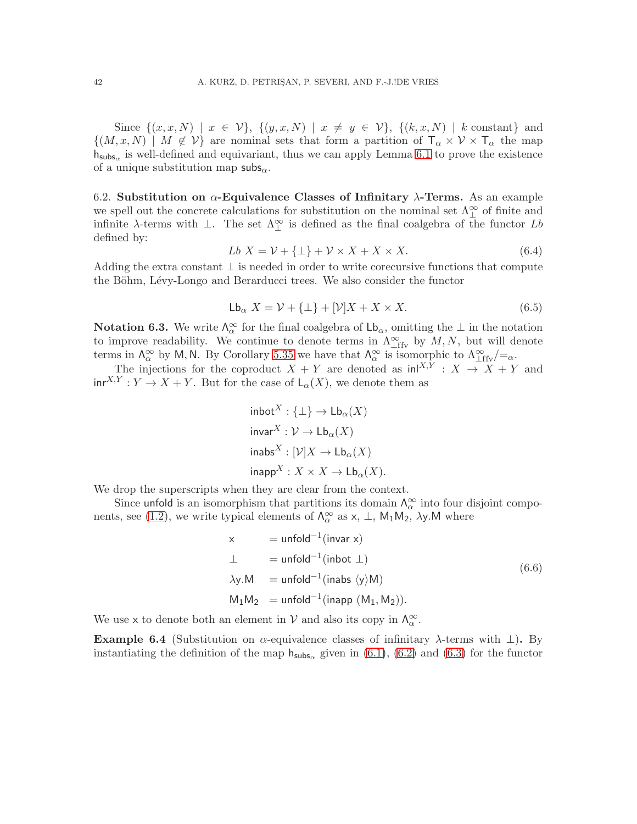Since  $\{(x, x, N) \mid x \in V\}$ ,  $\{(y, x, N) \mid x \neq y \in V\}$ ,  $\{(k, x, N) \mid k \text{ constant}\}$  and  $\{(M, x, N) \mid M \notin V\}$  are nominal sets that form a partition of  $\mathsf{T}_{\alpha} \times V \times \mathsf{T}_{\alpha}$  the map  $h_{subs_{\alpha}}$  is well-defined and equivariant, thus we can apply Lemma [6.1](#page-41-4) to prove the existence of a unique substitution map subs $_{\alpha}$ .

<span id="page-43-0"></span>6.2. Substitution on  $\alpha$ -Equivalence Classes of Infinitary  $\lambda$ -Terms. As an example we spell out the concrete calculations for substitution on the nominal set  $\Lambda_{\perp}^{\infty}$  of finite and infinite  $\lambda$ -terms with  $\perp$ . The set  $\Lambda_{\perp}^{\infty}$  is defined as the final coalgebra of the functor Lb defined by:

$$
Lb X = \mathcal{V} + \{\bot\} + \mathcal{V} \times X + X \times X. \tag{6.4}
$$

Adding the extra constant  $\perp$  is needed in order to write corecursive functions that compute the Böhm, Lévy-Longo and Berarducci trees. We also consider the functor

$$
\mathsf{Lb}_{\alpha} X = \mathcal{V} + \{\bot\} + [\mathcal{V}]X + X \times X. \tag{6.5}
$$

**Notation 6.3.** We write  $\Lambda_{\alpha}^{\infty}$  for the final coalgebra of  $\mathsf{Lb}_{\alpha}$ , omitting the  $\perp$  in the notation to improve readability. We continue to denote terms in  $\Lambda^{\infty}_{\text{Lffv}}$  by  $M, N$ , but will denote terms in  $\Lambda_{\alpha}^{\infty}$  by M, N. By Corollary [5.35](#page-29-2) we have that  $\Lambda_{\alpha}^{\infty}$  is isomorphic to  $\Lambda_{\perp \text{ffv}}^{\infty}/=_\alpha$ .

The injections for the coproduct  $X + Y$  are denoted as  $\text{in}^{X,Y}$  :  $X \to X + Y$  and  $\text{inr}^{X,Y}: Y \to X + Y$ . But for the case of  $\mathsf{L}_{\alpha}(X)$ , we denote them as

$$
\begin{aligned}\n\text{inbot}^X: \{\bot\} &\to \mathsf{Lb}_{\alpha}(X) \\
\text{invar}^X: \mathcal{V} &\to \mathsf{Lb}_{\alpha}(X) \\
\text{inabs}^X: [\mathcal{V}]X &\to \mathsf{Lb}_{\alpha}(X) \\
\text{inapp}^X: X \times X &\to \mathsf{Lb}_{\alpha}(X).\n\end{aligned}
$$

We drop the superscripts when they are clear from the context.

Since unfold is an isomorphism that partitions its domain  $\Lambda_{\alpha}^{\infty}$  into four disjoint compo-nents, see [\(1.2\)](#page-3-1), we write typical elements of  $\Lambda_{\alpha}^{\infty}$  as  $x, \perp, M_1M_2, \lambda y$ . M where

$$
\begin{aligned}\n &\times \qquad = \text{unfold}^{-1}(\text{invar } \times) \\
 &\perp \qquad = \text{unfold}^{-1}(\text{inbot } \perp) \\
 &\lambda \mathbf{y}. \mathbf{M} \qquad = \text{unfold}^{-1}(\text{inabs } \langle \mathbf{y} \rangle \mathbf{M}) \\
 &\mathbf{M}_1 \mathbf{M}_2 \qquad = \text{unfold}^{-1}(\text{inapp } (\mathbf{M}_1, \mathbf{M}_2)).\n \end{aligned}\n \tag{6.6}
$$

We use x to denote both an element in  $V$  and also its copy in  $\Lambda_{\alpha}^{\infty}$ .

<span id="page-43-1"></span>Example 6.4 (Substitution on  $\alpha$ -equivalence classes of infinitary  $\lambda$ -terms with  $\bot$ ). By instantiating the definition of the map  $h_{subs_{\alpha}}$  given in [\(6.1\)](#page-42-0), [\(6.2\)](#page-42-1) and [\(6.3\)](#page-42-2) for the functor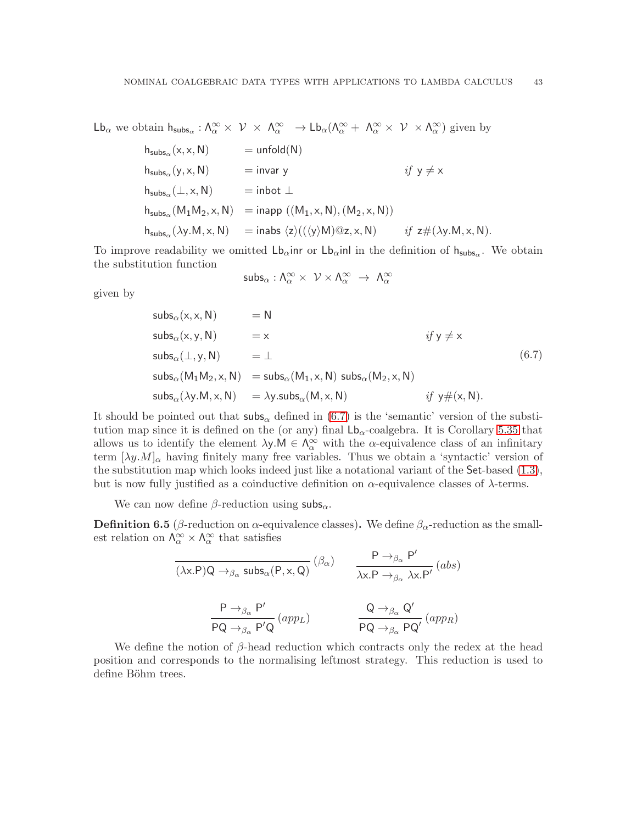$\mathsf{Lb}_{\alpha}$  we obtain  $\mathsf{h}_{\mathsf{subs}_{\alpha}} : \Lambda_{\alpha}^{\infty} \times \mathcal{V} \times \Lambda_{\alpha}^{\infty} \to \mathsf{Lb}_{\alpha}(\Lambda_{\alpha}^{\infty} + \Lambda_{\alpha}^{\infty} \times \mathcal{V} \times \Lambda_{\alpha}^{\infty})$  given by

$$
\begin{array}{lcl} h_{\mathsf{subs}_\alpha}({\sf x},{\sf x},{\sf N}) & = \mathsf{unfold}({\sf N}) \\[2mm] h_{\mathsf{subs}_\alpha}({\sf y},{\sf x},{\sf N}) & = \mathsf{invar}\; {\sf y} & \textit{if}\; {\sf y} \neq {\sf x} \\[2mm] h_{\mathsf{subs}_\alpha}(\bot,{\sf x},{\sf N}) & = \mathsf{inbot}\; \bot \\[2mm] h_{\mathsf{subs}_\alpha}({\sf M}_1{\sf M}_2,{\sf x},{\sf N}) & = \mathsf{inapp}\;(({\sf M}_1,{\sf x},{\sf N}),({\sf M}_2,{\sf x},{\sf N})) \\[2mm] h_{\mathsf{subs}_\alpha}(\lambda{\sf y}.{\sf M},{\sf x},{\sf N}) & = \mathsf{inabs}\; \langle z \rangle ((\langle {\sf y} \rangle {\sf M}) @ {\sf z},{\sf x},{\sf N}) & \textit{if}\; {\sf z} \# (\lambda{\sf y}.{\sf M},{\sf x},{\sf N}). \end{array}
$$

To improve readability we omitted  $\mathsf{Lb}_{\alpha}$ inr or  $\mathsf{Lb}_{\alpha}$ inl in the definition of  $\mathsf{h}_{\mathsf{subs}_{\alpha}}$ . We obtain the substitution function

$$
\mathsf{subs}_\alpha : \Lambda_\alpha^\infty \times \ \mathcal{V} \times \Lambda_\alpha^\infty \ \to \ \Lambda_\alpha^\infty
$$

given by

<span id="page-44-0"></span>
$$
subs_{\alpha}(x, x, N) = N
$$
  
\n
$$
subs_{\alpha}(x, y, N) = x
$$
  
\n
$$
s_{\alpha}(\bot, y, N) = \bot
$$
  
\n
$$
subs_{\alpha}(\bot, y, N) = subs_{\alpha}(M_1, x, N) \text{ subs}_{\alpha}(M_2, x, N)
$$
  
\n
$$
subs_{\alpha}(\lambda y.M, x, N) = \lambda y.subs_{\alpha}(M, x, N)
$$
  
\n
$$
if y \neq (x, N).
$$
  
\n(6.7)

It should be pointed out that  $\mathsf{subs}_\alpha$  defined in [\(6.7\)](#page-44-0) is the 'semantic' version of the substitution map since it is defined on the (or any) final  $L_{\alpha}$ -coalgebra. It is Corollary [5.35](#page-29-2) that allows us to identify the element  $\lambda y.M \in \Lambda_\alpha^\infty$  with the  $\alpha$ -equivalence class of an infinitary term  $[\lambda y. M]_{\alpha}$  having finitely many free variables. Thus we obtain a 'syntactic' version of the substitution map which looks indeed just like a notational variant of the Set-based  $(1.3)$ , but is now fully justified as a coinductive definition on  $\alpha$ -equivalence classes of  $\lambda$ -terms.

We can now define  $\beta$ -reduction using subs<sub>α</sub>.

**Definition 6.5** (β-reduction on  $\alpha$ -equivalence classes). We define  $\beta_{\alpha}$ -reduction as the smallest relation on  $\Lambda_{\alpha}^{\infty} \times \Lambda_{\alpha}^{\infty}$  that satisfies

$$
\frac{\mathsf{P} \to_{\beta_{\alpha}} \mathsf{P}'}{(\lambda \mathsf{x}.\mathsf{P})\mathsf{Q} \to_{\beta_{\alpha}} \mathsf{subs}_{\alpha}(\mathsf{P}, \mathsf{x}, \mathsf{Q})} (\beta_{\alpha}) \qquad \frac{\mathsf{P} \to_{\beta_{\alpha}} \mathsf{P}'}{\lambda \mathsf{x}.\mathsf{P} \to_{\beta_{\alpha}} \lambda \mathsf{x}.\mathsf{P}'} (abs)
$$
\n
$$
\frac{\mathsf{P} \to_{\beta_{\alpha}} \mathsf{P}'}{\mathsf{P}\mathsf{Q} \to_{\beta_{\alpha}} \mathsf{P}'\mathsf{Q}} (app_L) \qquad \frac{\mathsf{Q} \to_{\beta_{\alpha}} \mathsf{Q}'}{\mathsf{P}\mathsf{Q} \to_{\beta_{\alpha}} \mathsf{P}\mathsf{Q}'} (app_R)
$$

We define the notion of  $\beta$ -head reduction which contracts only the redex at the head position and corresponds to the normalising leftmost strategy. This reduction is used to define Böhm trees.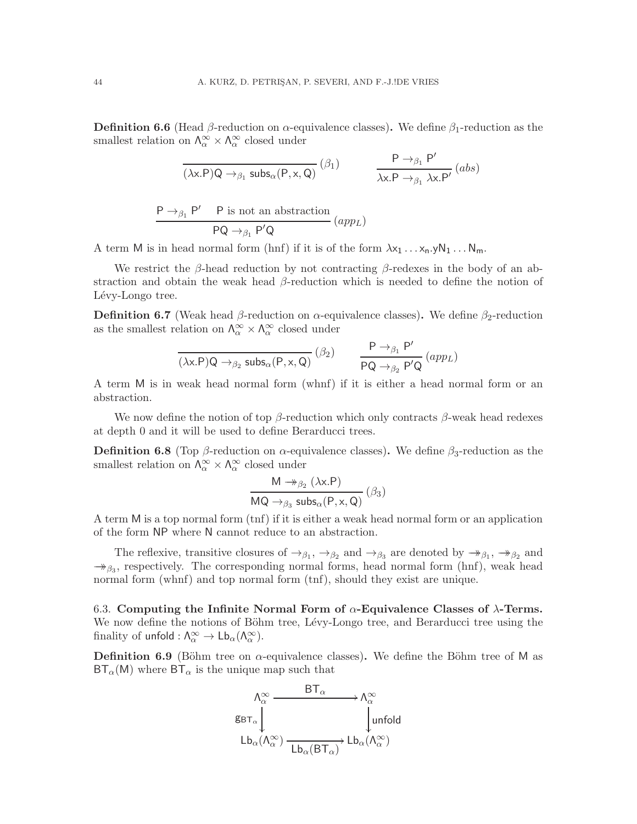**Definition 6.6** (Head  $\beta$ -reduction on  $\alpha$ -equivalence classes). We define  $\beta_1$ -reduction as the smallest relation on  $\Lambda_{\alpha}^{\infty} \times \Lambda_{\alpha}^{\infty}$  closed under

$$
\frac{\mathsf{P}\to_{\beta_1}\mathsf{P}'}{(\lambda x.\mathsf{P})\mathsf{Q}\to_{\beta_1} \mathsf{subs}_\alpha(\mathsf{P},x,\mathsf{Q})}\,(\beta_1) \qquad \qquad \frac{\mathsf{P}\to_{\beta_1}\mathsf{P}'}{\lambda x.\mathsf{P}\to_{\beta_1}\lambda x.\mathsf{P}'}\, (abs)
$$

$$
\frac{\mathsf{P}\rightarrow_{\beta_1}\mathsf{P}'\qquad\mathsf{P}\text{ is not an abstraction}}{\mathsf{P}\mathsf{Q}\rightarrow_{\beta_1}\mathsf{P}'\mathsf{Q}}\left(\text{app}_L\right)
$$

A term M is in head normal form (hnf) if it is of the form  $\lambda x_1 \ldots x_n y N_1 \ldots N_m$ .

We restrict the  $\beta$ -head reduction by not contracting  $\beta$ -redexes in the body of an abstraction and obtain the weak head β-reduction which is needed to define the notion of Lévy-Longo tree.

**Definition 6.7** (Weak head  $\beta$ -reduction on  $\alpha$ -equivalence classes). We define  $\beta_2$ -reduction as the smallest relation on  $\Lambda_\alpha^\infty \times \Lambda_\alpha^\infty$  closed under

$$
\frac{}{(\lambda x.P)Q\to_{\beta _2} \text{subs}_\alpha(P,x,Q)}\left(\beta _2\right) \qquad \frac{P\to_{\beta _1} P'}{PQ\to_{\beta _2} P'Q}\left(\text{app}_L\right)
$$

A term M is in weak head normal form (whnf) if it is either a head normal form or an abstraction.

We now define the notion of top  $\beta$ -reduction which only contracts  $\beta$ -weak head redexes at depth 0 and it will be used to define Berarducci trees.

**Definition 6.8** (Top  $\beta$ -reduction on  $\alpha$ -equivalence classes). We define  $\beta_3$ -reduction as the smallest relation on  $\Lambda_{\alpha}^{\infty} \times \Lambda_{\alpha}^{\infty}$  closed under

$$
\frac{\mathsf{M} \twoheadrightarrow_{\beta_2} (\lambda \mathsf{x}.\mathsf{P})}{\mathsf{MQ} \rightarrow_{\beta_3} \mathsf{subs}_{\alpha}(\mathsf{P}, \mathsf{x}, \mathsf{Q})} (\beta_3)
$$

A term M is a top normal form (tnf) if it is either a weak head normal form or an application of the form NP where N cannot reduce to an abstraction.

The reflexive, transitive closures of  $\rightarrow_{\beta_1}$ ,  $\rightarrow_{\beta_2}$  and  $\rightarrow_{\beta_3}$  are denoted by  $\rightarrow_{\beta_1}$ ,  $\rightarrow_{\beta_2}$  and  $\rightarrow_{\beta_3}$ , respectively. The corresponding normal forms, head normal form (hnf), weak head normal form (whnf) and top normal form (tnf), should they exist are unique.

<span id="page-45-0"></span>6.3. Computing the Infinite Normal Form of  $\alpha$ -Equivalence Classes of  $\lambda$ -Terms. We now define the notions of Böhm tree, Lévy-Longo tree, and Berarducci tree using the finality of unfold :  $\Lambda_{\alpha}^{\infty} \to \mathsf{Lb}_{\alpha}(\Lambda_{\alpha}^{\infty})$ .

<span id="page-45-1"></span>**Definition 6.9** (Böhm tree on  $\alpha$ -equivalence classes). We define the Böhm tree of M as  $BT_\alpha(M)$  where  $BT_\alpha$  is the unique map such that

$$
\begin{array}{ccc}\n\Lambda_{\alpha}^{\infty} & & \text{BT}_{\alpha} & \longrightarrow \Lambda_{\alpha}^{\infty} \\
\text{g}_{\text{BT}_{\alpha}} & & \downarrow \\
\text{Lb}_{\alpha}(\Lambda_{\alpha}^{\infty}) & \xrightarrow{\hspace{2cm}} \text{Lb}_{\alpha}(\text{BT}_{\alpha}) & \text{Lb}_{\alpha}(\Lambda_{\alpha}^{\infty})\n\end{array}
$$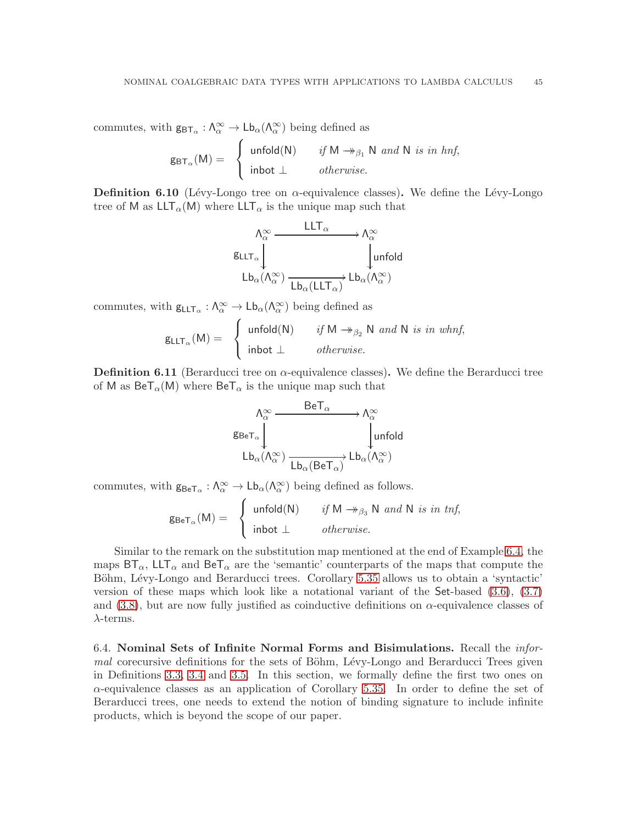commutes, with  $g_{\text{BT}_\alpha}: \Lambda^\infty_\alpha \to \mathsf{Lb}_\alpha(\Lambda^\infty_\alpha)$  being defined as

$$
g_{\text{BT}_\alpha}(M) = \begin{cases} \text{unfold}(N) & \text{if } M \rightarrow_{\beta_1} N \text{ and } N \text{ is in } h\text{nf,} \\ \text{inbot } \perp & \text{otherwise.} \end{cases}
$$

<span id="page-46-1"></span>**Definition 6.10** (Lévy-Longo tree on  $\alpha$ -equivalence classes). We define the Lévy-Longo tree of M as  $LLT_{\alpha}(M)$  where  $LLT_{\alpha}$  is the unique map such that

$$
\begin{array}{ccc}\n\Lambda_{\alpha}^{\infty} & & & \mathsf{LLT}_{\alpha} \\
\downarrow & & & \mathsf{KLT}_{\alpha} \\
\downarrow & & & \downarrow \text{unfold} \\
\downarrow & & & \downarrow \text{unfold} \\
\downarrow & & & \downarrow \text{unfold} \\
\downarrow & & & \downarrow \text{hofold} \\
\downarrow & & & \downarrow \text{hofold} \\
\downarrow & & & \downarrow \text{hofold} \\
\downarrow & & & \downarrow \text{Def} \\
\downarrow & & & \downarrow \text{Def} \\
\downarrow & & & \downarrow \text{Def} \\
\downarrow & & & \downarrow \text{Def} \\
\downarrow & & & \downarrow \text{Def} \\
\downarrow & & & \downarrow \text{Def} \\
\downarrow & & & \downarrow \text{Def} \\
\downarrow & & & \downarrow \text{Def} \\
\downarrow & & & \downarrow \text{Def} \\
\downarrow & & & \downarrow \text{Def} \\
\downarrow & & & \downarrow \text{Def} \\
\downarrow & & & \downarrow \text{Def} \\
\downarrow & & & \downarrow \text{Def} \\
\downarrow & & & \downarrow \text{Def} \\
\downarrow & & & \downarrow \text{Def} \\
\downarrow & & & \downarrow \text{Def} \\
\downarrow & & & \downarrow \text{Def} \\
\downarrow & & & \downarrow \text{Def} \\
\downarrow & & & \downarrow \text{Def} \\
\downarrow & & & \downarrow \text{Def} \\
\downarrow & & & \downarrow \text{Def} \\
\downarrow & & & \downarrow \text{Def} \\
\downarrow & & & \downarrow \text{Def} \\
\downarrow & & & \downarrow \text{Def} \\
\downarrow & & & \downarrow \text{Def} \\
\downarrow & & & \downarrow \text{Def} \\
\downarrow & & & \downarrow \text{Def} \\
\downarrow & & & \downarrow \text{Def} \\
\downarrow & & & \downarrow \text{Def} \\
\downarrow & & & \downarrow \text{Def} \\
\downarrow & & & \downarrow \text{Def} \\
\downarrow & & & \downarrow \text{Def} \\
\downarrow & & & \downarrow \text{Def} \\
\downarrow & & & \downarrow \text{Def} \\
\downarrow & & & \downarrow \text{Def} \\
\downarrow & & & \downarrow \text{Def} \\
\downarrow & & & \downarrow \text{Def} \\
\downarrow & & & \downarrow \text{Def} \\
\downarrow & & & \downarrow \text{Def} \\
\downarrow & & & \downarrow \text{Def} \\
\downarrow & & & \downarrow \text{Def} \\
\down
$$

commutes, with  $g_{LLT_{\alpha}} : \Lambda_{\alpha}^{\infty} \to Lb_{\alpha}(\Lambda_{\alpha}^{\infty})$  being defined as

$$
g_{LLT_{\alpha}}(M) = \begin{cases} \text{unfold}(N) & \text{if } M \rightarrow_{\beta_2} N \text{ and } N \text{ is in whnf,} \\ \text{inbot } \perp & \text{otherwise.} \end{cases}
$$

**Definition 6.11** (Berarducci tree on  $\alpha$ -equivalence classes). We define the Berarducci tree of M as  $\text{BeT}_{\alpha}(\text{M})$  where  $\text{BeT}_{\alpha}$  is the unique map such that

$$
\begin{array}{ccc}\n\Lambda_{\alpha}^{\infty} & \xrightarrow{\text{BeT}_{\alpha}} & \Lambda_{\alpha}^{\infty} \\
\downarrow^{\text{BeT}_{\alpha}} & & \downarrow^{\text{unfold}} \\
\downarrow^{\text{Lb}_{\alpha}(\Lambda_{\alpha}^{\infty})} & \xrightarrow{\text{Lb}_{\alpha}(\text{BeT}_{\alpha})} & \downarrow^{\text{Lb}_{\alpha}(\Lambda_{\alpha}^{\infty})}\n\end{array}
$$

commutes, with  $g_{\text{BeT}_{\alpha}} : \Lambda_{\alpha}^{\infty} \to \mathsf{Lb}_{\alpha}(\Lambda_{\alpha}^{\infty})$  being defined as follows.

 $\mathsf{g}_{\mathsf{BeT}_\alpha}(\mathsf{M}) =$  $\int$  $\int$  $\mathcal{L}$  $\text{unfold}(\mathsf{N}) \qquad \text{if } \mathsf{M} \twoheadrightarrow_{\beta_3} \mathsf{N} \text{ and } \mathsf{N} \text{ is in } \text{tnf},$ inbot ⊥ *otherwise*.

Similar to the remark on the substitution map mentioned at the end of Example [6.4,](#page-43-1) the maps  $BT_\alpha$ ,  $LLT_\alpha$  and  $Ber_\alpha$  are the 'semantic' counterparts of the maps that compute the Böhm, Lévy-Longo and Berarducci trees. Corollary [5.35](#page-29-2) allows us to obtain a 'syntactic' version of these maps which look like a notational variant of the Set-based [\(3.6\)](#page-10-0), [\(3.7\)](#page-10-1) and [\(3.8\)](#page-11-0), but are now fully justified as coinductive definitions on  $\alpha$ -equivalence classes of  $\lambda$ -terms.

<span id="page-46-0"></span>6.4. Nominal Sets of Infinite Normal Forms and Bisimulations. Recall the *informal* corecursive definitions for the sets of Böhm, Lévy-Longo and Berarducci Trees given in Definitions [3.3,](#page-10-2) [3.4](#page-10-3) and [3.5.](#page-11-2) In this section, we formally define the first two ones on  $\alpha$ -equivalence classes as an application of Corollary [5.35.](#page-29-2) In order to define the set of Berarducci trees, one needs to extend the notion of binding signature to include infinite products, which is beyond the scope of our paper.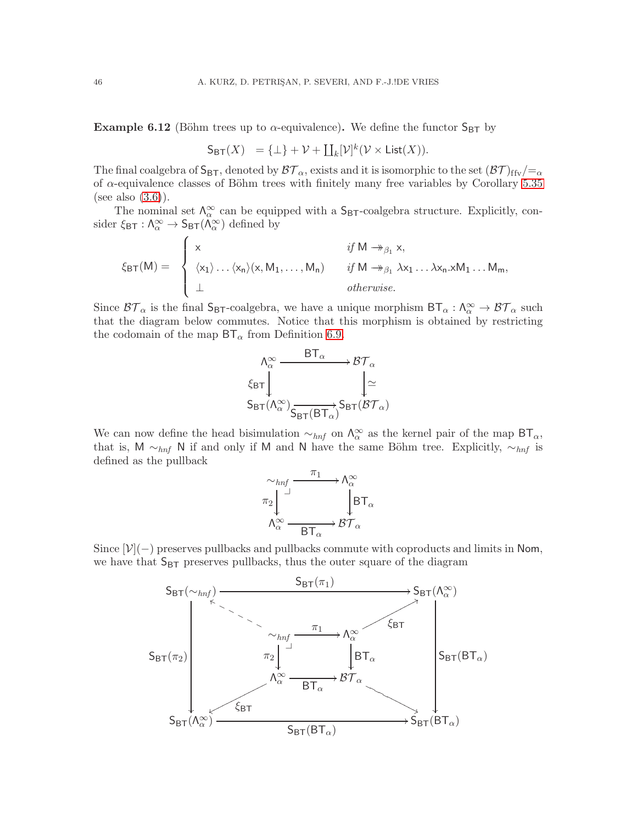**Example 6.12** (Böhm trees up to  $\alpha$ -equivalence). We define the functor  $S_{BT}$  by

$$
\mathsf{S}_{\textsf{BT}}(X) = \{\bot\} + \mathcal{V} + \coprod_k [\mathcal{V}]^k (\mathcal{V} \times \textsf{List}(X)).
$$

The final coalgebra of  $S_{BT}$ , denoted by  $\mathcal{BT}_{\alpha}$ , exists and it is isomorphic to the set  $(\mathcal{BT})_{ffv}/=_\alpha$ of  $\alpha$ -equivalence classes of Böhm trees with finitely many free variables by Corollary [5.35](#page-29-2) (see also  $(3.6)$ ).

The nominal set  $\Lambda_{\alpha}^{\infty}$  can be equipped with a  $S_{\text{BT}}$ -coalgebra structure. Explicitly, consider  $\xi_{\text{BT}}: \Lambda_{\alpha}^{\infty} \to S_{\text{BT}}(\Lambda_{\alpha}^{\infty})$  defined by

ξBT(M) = x *if* M →→β<sup>1</sup> x, hx1i. . .hxni(x, M1, . . . , Mn) *if* M →→β<sup>1</sup> λx<sup>1</sup> . . . λxn.xM<sup>1</sup> . . . Mm, ⊥ *otherwise*.

Since  $\mathcal{BT}_\alpha$  is the final  $S_{\text{BT}}$ -coalgebra, we have a unique morphism  $BT_\alpha: \Lambda_\alpha^\infty \to \mathcal{BT}_\alpha$  such that the diagram below commutes. Notice that this morphism is obtained by restricting the codomain of the map  $BT_\alpha$  from Definition [6.9.](#page-45-1)

$$
\begin{array}{ccc}\n\Lambda_{\alpha}^{\infty} & & \mathsf{BT}_{\alpha} \\
\hline\n\xi_{\mathsf{BT}} & & \downarrow \simeq \\
\mathsf{S}_{\mathsf{BT}}(\Lambda_{\alpha}^{\infty}) & & \downarrow \simeq \\
\mathsf{S}_{\mathsf{BT}}(\Lambda_{\alpha}^{\infty}) & & \mathsf{S}_{\mathsf{BT}}(\mathcal{BT}_{\alpha})\n\end{array}
$$

We can now define the head bisimulation  $\sim_{hnf}$  on  $\Lambda_{\alpha}^{\infty}$  as the kernel pair of the map BT<sub>α</sub>, that is, M  $\sim_{hnf}$  N if and only if M and N have the same Böhm tree. Explicitly,  $\sim_{hnf}$  is defined as the pullback



Since  $[\mathcal{V}](-)$  preserves pullbacks and pullbacks commute with coproducts and limits in Nom, we have that  $S_{BT}$  preserves pullbacks, thus the outer square of the diagram

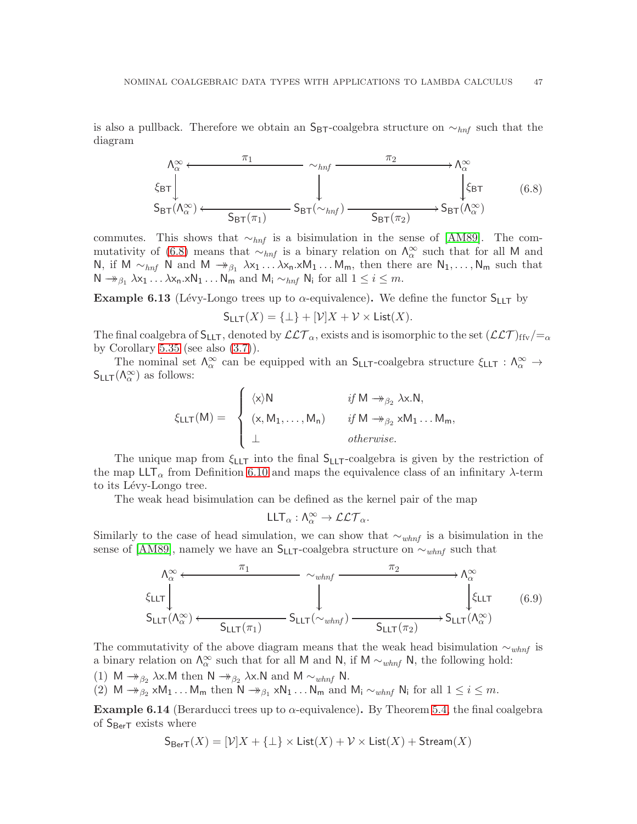is also a pullback. Therefore we obtain an  $S_{BT}$ -coalgebra structure on  $\sim_{hnf}$  such that the diagram

<span id="page-48-0"></span>
$$
\Lambda_{\alpha}^{\infty} \longleftarrow \pi_{1} \longrightarrow \Lambda_{\alpha}^{\infty}
$$
\n
$$
\xi_{\text{BT}} \downarrow \qquad \qquad \downarrow \qquad \qquad \Lambda_{\alpha}^{\infty}
$$
\n
$$
S_{\text{BT}}(\Lambda_{\alpha}^{\infty}) \longleftarrow S_{\text{BT}}(\pi_{1}) \longrightarrow S_{\text{BT}}(\pi_{2}) \longrightarrow S_{\text{BT}}(\Lambda_{\alpha}^{\infty})
$$
\n
$$
(6.8)
$$

commutes. This shows that  $\sim_{hnf}$  is a bisimulation in the sense of [\[AM89\]](#page-51-7). The com-mutativity of [\(6.8\)](#page-48-0) means that  $\sim_{hnf}$  is a binary relation on  $\Lambda_{\alpha}^{\infty}$  such that for all M and N, if M ∼<sub>hnf</sub> N and M → <sub> $\beta_1$ </sub>  $\lambda x_1 \ldots \lambda x_n$ .xM<sub>1</sub> ... M<sub>m</sub>, then there are N<sub>1</sub>,..., N<sub>m</sub> such that  $\mathsf{N} \twoheadrightarrow_{\beta_1} \lambda x_1 \ldots \lambda x_n.x\mathsf{N}_1 \ldots \mathsf{N}_m$  and  $\mathsf{M}_i \sim_{hnf} \mathsf{N}_i$  for all  $1 \leq i \leq m$ .

**Example 6.13** (Lévy-Longo trees up to  $\alpha$ -equivalence). We define the functor  $S_{LLT}$  by

$$
S_{LLT}(X) = {\perp} + [\mathcal{V}]X + \mathcal{V} \times \text{List}(X).
$$

The final coalgebra of  $S_{LLT}$ , denoted by  $\mathcal{LLT}_{\alpha}$ , exists and is isomorphic to the set  $(\mathcal{LLT})_{\text{ffv}}/=_\alpha$ by Corollary  $5.35$  (see also  $(3.7)$ ).

The nominal set  $\Lambda_{\alpha}^{\infty}$  can be equipped with an  $S_{LLT}$ -coalgebra structure  $\xi_{LLT}$ :  $\Lambda_{\alpha}^{\infty}$   $\to$  $S_{LLT}(\Lambda_{\alpha}^{\infty})$  as follows:

$$
\xi_{\text{LLT}}(M) = \begin{cases} \langle x \rangle N & \text{if } M \rightarrow_{\beta_2} \lambda x.N, \\ (x, M_1, \dots, M_n) & \text{if } M \rightarrow_{\beta_2} xM_1 \dots M_m, \\ \bot & \text{otherwise.} \end{cases}
$$

The unique map from  $\xi_{LT}$  into the final  $S_{LT}$ -coalgebra is given by the restriction of the map  $LLT_{\alpha}$  from Definition [6.10](#page-46-1) and maps the equivalence class of an infinitary  $\lambda$ -term to its Lévy-Longo tree.

The weak head bisimulation can be defined as the kernel pair of the map

$$
\mathsf{LLT}_\alpha:\Lambda_\alpha^\infty\to\mathcal{LLT}_\alpha.
$$

Similarly to the case of head simulation, we can show that  $\sim_{whnf}$  is a bisimulation in the sense of [\[AM89\]](#page-51-7), namely we have an  $S_{LLT}$ -coalgebra structure on  $\sim_{whnf}$  such that

$$
\Lambda_{\alpha}^{\infty} \leftarrow \frac{\pi_1}{\text{SLIT}} \longrightarrow \Lambda_{\alpha}^{\infty}
$$
\n
$$
\xi_{\text{LLT}} \downarrow \qquad \qquad \downarrow \qquad \qquad \downarrow \qquad \qquad \downarrow \qquad \qquad \downarrow \qquad \qquad \downarrow \qquad \qquad \downarrow \qquad \qquad \downarrow \qquad \qquad \downarrow \qquad \qquad \downarrow \qquad \qquad \downarrow \qquad \qquad \downarrow \qquad \qquad \downarrow \qquad \qquad \downarrow \qquad \qquad \downarrow \qquad \qquad \downarrow \qquad \qquad \downarrow \qquad \qquad \downarrow \qquad \qquad \downarrow \qquad \qquad \downarrow \qquad \qquad \downarrow \qquad \qquad \downarrow \qquad \qquad \downarrow \qquad \qquad \downarrow \qquad \qquad \downarrow \qquad \qquad \downarrow \qquad \qquad \downarrow \qquad \qquad \downarrow \qquad \qquad \downarrow \qquad \qquad \downarrow \qquad \qquad \downarrow \qquad \qquad \downarrow \qquad \qquad \downarrow \qquad \qquad \downarrow \qquad \qquad \downarrow \qquad \qquad \downarrow \qquad \qquad \downarrow \qquad \qquad \downarrow \qquad \qquad \downarrow \qquad \qquad \downarrow \qquad \qquad \downarrow \qquad \qquad \downarrow \qquad \qquad \downarrow \qquad \qquad \downarrow \qquad \qquad \downarrow \qquad \qquad \downarrow \qquad \qquad \downarrow \qquad \qquad \downarrow \qquad \qquad \downarrow \qquad \qquad \downarrow \qquad \qquad \downarrow \qquad \qquad \downarrow \qquad \qquad \downarrow \qquad \qquad \downarrow \qquad \qquad \downarrow \qquad \qquad \downarrow \qquad \qquad \downarrow \qquad \qquad \downarrow \qquad \qquad \downarrow \qquad \qquad \downarrow \qquad \qquad \downarrow \qquad \qquad \downarrow \qquad \qquad \downarrow \qquad \qquad \downarrow \qquad \qquad \downarrow \qquad \qquad \downarrow \qquad \qquad \downarrow \qquad \qquad \downarrow \qquad \qquad \downarrow \qquad \qquad \downarrow \qquad \qquad \downarrow \qquad \qquad \downarrow \qquad \qquad \downarrow \qquad \qquad \downarrow \qquad \qquad \downarrow \qquad \qquad \downarrow \qquad \qquad \downarrow \qquad \qquad \downarrow \qquad \qquad \
$$

The commutativity of the above diagram means that the weak head bisimulation  $\sim_{whnf}$  is a binary relation on  $\Lambda_{\alpha}^{\infty}$  such that for all M and N, if M  $\sim_{whnf} N$ , the following hold: (1) M  $\rightarrow_{\beta_2}$   $\lambda$ x.M then N  $\rightarrow_{\beta_2}$   $\lambda$ x.N and M  $\sim_{whnf}$  N. (2)  $M \rightarrow_{\beta_2} xM_1 \dots M_m$  then  $N \rightarrow_{\beta_1} xN_1 \dots N_m$  and  $M_i \sim_{whnf} N_i$  for all  $1 \leq i \leq m$ .

<span id="page-48-1"></span>**Example 6.14** (Berarducci trees up to  $\alpha$ -equivalence). By Theorem [5.4,](#page-17-0) the final coalgebra of  $S_{\text{Ber}T}$  exists where

 $S_{\text{Ber}}(X) = [\mathcal{V}|X + \{\bot\} \times \text{List}(X) + \mathcal{V} \times \text{List}(X) + \text{Stream}(X)]$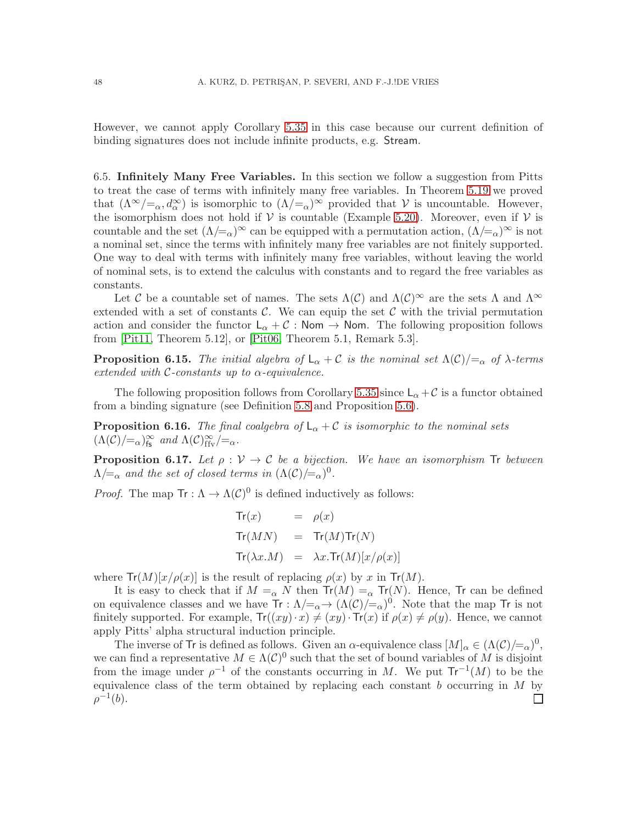However, we cannot apply Corollary [5.35](#page-29-2) in this case because our current definition of binding signatures does not include infinite products, e.g. Stream.

<span id="page-49-0"></span>6.5. Infinitely Many Free Variables. In this section we follow a suggestion from Pitts to treat the case of terms with infinitely many free variables. In Theorem [5.19](#page-23-2) we proved that  $(\Lambda^{\infty}/=_\alpha, d^{\infty}_{\alpha})$  is isomorphic to  $(\Lambda/=_\alpha)^{\infty}$  provided that V is uncountable. However, the isomorphism does not hold if  $V$  is countable (Example [5.20\)](#page-23-1). Moreover, even if  $V$  is countable and the set  $(\Lambda/\equiv_\alpha)^\infty$  can be equipped with a permutation action,  $(\Lambda/\equiv_\alpha)^\infty$  is not a nominal set, since the terms with infinitely many free variables are not finitely supported. One way to deal with terms with infinitely many free variables, without leaving the world of nominal sets, is to extend the calculus with constants and to regard the free variables as constants.

Let C be a countable set of names. The sets  $\Lambda(\mathcal{C})$  and  $\Lambda(\mathcal{C})^{\infty}$  are the sets  $\Lambda$  and  $\Lambda^{\infty}$ extended with a set of constants  $\mathcal{C}$ . We can equip the set  $\mathcal{C}$  with the trivial permutation action and consider the functor  $L_{\alpha} + C$ : Nom  $\rightarrow$  Nom. The following proposition follows from [\[Pit11,](#page-53-2) Theorem 5.12], or [\[Pit06,](#page-53-1) Theorem 5.1, Remark 5.3].

**Proposition 6.15.** *The initial algebra of*  $L_{\alpha} + C$  *is the nominal set*  $\Lambda(C)/=_{\alpha}$  *of*  $\lambda$ -terms *extended with* C*-constants up to* α*-equivalence.*

The following proposition follows from Corollary [5.35](#page-29-2) since  $L_{\alpha} + C$  is a functor obtained from a binding signature (see Definition [5.8](#page-19-3) and Proposition [5.6\)](#page-18-2).

<span id="page-49-1"></span>**Proposition 6.16.** *The final coalgebra of*  $L_{\alpha} + C$  *is isomorphic to the nominal sets*  $(\Lambda(\mathcal{C})/\equiv_\alpha)_{\text{fs}}^\infty$  and  $\Lambda(\mathcal{C})_{\text{ffv}}^\infty/\equiv_\alpha$ .

**Proposition 6.17.** Let  $\rho: V \to C$  be a bijection. We have an isomorphism Tr between  $\Lambda/\!\!=_{\alpha}$  and the set of closed terms in  $(\Lambda(\mathcal{C})/\!\!=_{\alpha})^0$ .

*Proof.* The map  $Tr: \Lambda \to \Lambda(\mathcal{C})^0$  is defined inductively as follows:

$$
Tr(x) = \rho(x)
$$
  
\n
$$
Tr(MN) = Tr(M)Tr(N)
$$
  
\n
$$
Tr(\lambda x.M) = \lambda x.Tr(M)[x/\rho(x)]
$$

where  $Tr(M)[x/\rho(x)]$  is the result of replacing  $\rho(x)$  by x in  $Tr(M)$ .

It is easy to check that if  $M = \alpha N$  then  $Tr(M) = \alpha Tr(N)$ . Hence, Tr can be defined on equivalence classes and we have  $\text{Tr}: \Lambda/\text{=}_{\alpha} \to (\Lambda(\mathcal{C})/\text{=}_{\alpha})^0$ . Note that the map  $\text{Tr}$  is not finitely supported. For example,  $Tr((xy) \cdot x) \neq (xy) \cdot Tr(x)$  if  $\rho(x) \neq \rho(y)$ . Hence, we cannot apply Pitts' alpha structural induction principle.

The inverse of Tr is defined as follows. Given an  $\alpha$ -equivalence class  $[M]_{\alpha} \in (\Lambda(\mathcal{C})/_{\alpha})^0$ , we can find a representative  $M \in \Lambda(\mathcal{C})^0$  such that the set of bound variables of M is disjoint from the image under  $\rho^{-1}$  of the constants occurring in M. We put  $Tr^{-1}(M)$  to be the equivalence class of the term obtained by replacing each constant  $b$  occurring in  $M$  by  $\rho^{-1}(b)$ .  $\Box$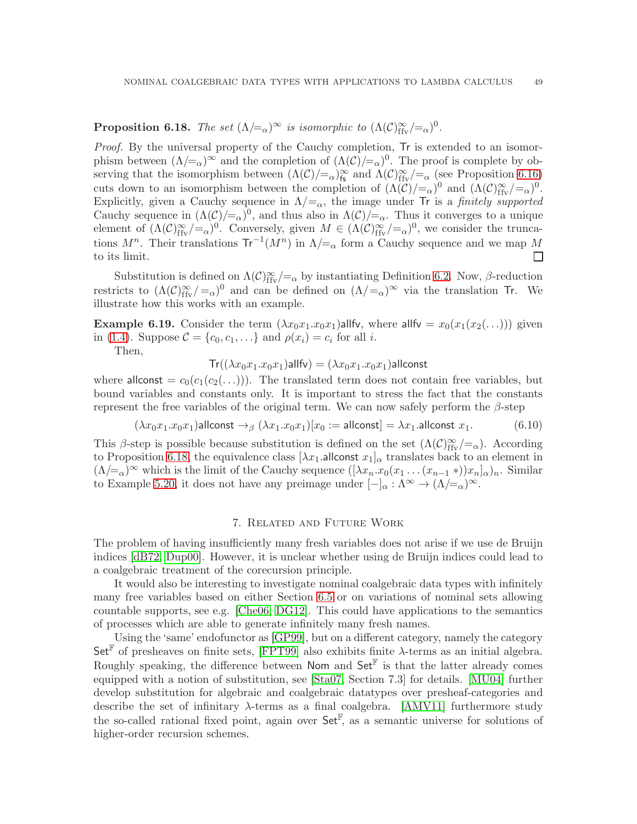## <span id="page-50-1"></span>**Proposition 6.18.** *The set*  $(\Lambda/\equiv_{\alpha})^{\infty}$  *is isomorphic to*  $(\Lambda(\mathcal{C})^{\infty}_{\text{ffv}}/\equiv_{\alpha})^0$ .

*Proof.* By the universal property of the Cauchy completion, Tr is extended to an isomorphism between  $(\Lambda/\equiv_\alpha)^\infty$  and the completion of  $(\Lambda(\mathcal{C})/\equiv_\alpha)^0$ . The proof is complete by observing that the isomorphism between  $(\Lambda(\mathcal{C})/\equiv_{\alpha})_{\text{fs}}^{\infty}$  and  $\Lambda(\mathcal{C})_{\text{ffv}}^{\infty}/\equiv_{\alpha}$  (see Proposition [6.16\)](#page-49-1) cuts down to an isomorphism between the completion of  $(\Lambda(\mathcal{C})/=_\alpha)^0$  and  $(\Lambda(\mathcal{C})^{\infty}_{\text{ffv}}/=_\alpha)^0$ . Explicitly, given a Cauchy sequence in  $\Lambda/\mathbf{=}_{\alpha}$ , the image under Tr is a *finitely supported* Cauchy sequence in  $(\Lambda(\mathcal{C})/_{\mathcal{A}})^0$ , and thus also in  $\Lambda(\mathcal{C})/_{\mathcal{A}}$ . Thus it converges to a unique element of  $(\Lambda(\mathcal{C})_{\text{ffv}}^{\infty}/\text{=}_{\alpha})^0$ . Conversely, given  $M \in (\Lambda(\mathcal{C})_{\text{ffv}}^{\infty}/\text{=}_{\alpha})^0$ , we consider the truncations  $M^n$ . Their translations  $Tr^{-1}(M^n)$  in  $\Lambda/\!\!=_{\alpha}$  form a Cauchy sequence and we map M to its limit.  $\Box$ 

Substitution is defined on  $\Lambda(\mathcal{C})_{\text{ffv}}^{\infty}/=\alpha$  by instantiating Definition [6.2.](#page-42-3) Now,  $\beta$ -reduction restricts to  $(\Lambda(\mathcal{C})_{\text{ffv}}^{\infty}/\text{=}_{\alpha})^0$  and can be defined on  $(\Lambda/\text{=}_{\alpha})^{\infty}$  via the translation Tr. We illustrate how this works with an example.

**Example 6.19.** Consider the term  $(\lambda x_0x_1.x_0x_1)$ allfv, where allfv =  $x_0(x_1(x_2(...)))$  given in [\(1.4\)](#page-4-1). Suppose  $C = \{c_0, c_1, ...\}$  and  $\rho(x_i) = c_i$  for all *i*.

Then,

 $Tr((\lambda x_0x_1.x_0x_1)$ allfv $) = (\lambda x_0x_1.x_0x_1)$ allconst

where allconst =  $c_0(c_1(c_2(\ldots)))$ . The translated term does not contain free variables, but bound variables and constants only. It is important to stress the fact that the constants represent the free variables of the original term. We can now safely perform the  $\beta$ -step

$$
(\lambda x_0 x_1 \ldots x_0 x_1) \text{allconst} \rightarrow_{\beta} (\lambda x_1 \ldots x_0 x_1)[x_0 := \text{allconst}] = \lambda x_1 \text{.allconst } x_1. \tag{6.10}
$$

This β-step is possible because substitution is defined on the set  $(\Lambda(\mathcal{C})_{\text{ffv}}^{\infty}/=_\alpha)$ . According to Proposition [6.18,](#page-50-1) the equivalence class  $[\lambda x_1$  allconst  $x_1]_{\alpha}$  translates back to an element in  $(\Lambda/\equiv_\alpha)^\infty$  which is the limit of the Cauchy sequence  $([\lambda x_n.x_0(x_1 \ldots (x_{n-1} *) )x_n]_\alpha)_n$ . Similar to Example [5.20,](#page-23-1) it does not have any preimage under  $[-]_{\alpha} : \Lambda^{\infty} \to (\Lambda/\equiv_{\alpha})^{\infty}$ .

#### 7. Related and Future Work

<span id="page-50-0"></span>The problem of having insufficiently many fresh variables does not arise if we use de Bruijn indices [\[dB72,](#page-52-15) [Dup00\]](#page-52-16). However, it is unclear whether using de Bruijn indices could lead to a coalgebraic treatment of the corecursion principle.

It would also be interesting to investigate nominal coalgebraic data types with infinitely many free variables based on either Section [6.5](#page-49-0) or on variations of nominal sets allowing countable supports, see e.g. [\[Che06,](#page-52-17) [DG12\]](#page-52-18). This could have applications to the semantics of processes which are able to generate infinitely many fresh names.

Using the 'same' endofunctor as [\[GP99\]](#page-52-0), but on a different category, namely the category Set<sup>F</sup> of presheaves on finite sets, [\[FPT99\]](#page-52-2) also exhibits finite  $\lambda$ -terms as an initial algebra. Roughly speaking, the difference between Nom and  $\mathsf{Set}^{\mathbb{F}}$  is that the latter already comes equipped with a notion of substitution, see [\[Sta07,](#page-53-11) Section 7.3] for details. [\[MU04\]](#page-53-12) further develop substitution for algebraic and coalgebraic datatypes over presheaf-categories and describe the set of infinitary λ-terms as a final coalgebra. [\[AMV11\]](#page-51-8) furthermore study the so-called rational fixed point, again over  $\mathsf{Set}^{\mathbb{F}}$ , as a semantic universe for solutions of higher-order recursion schemes.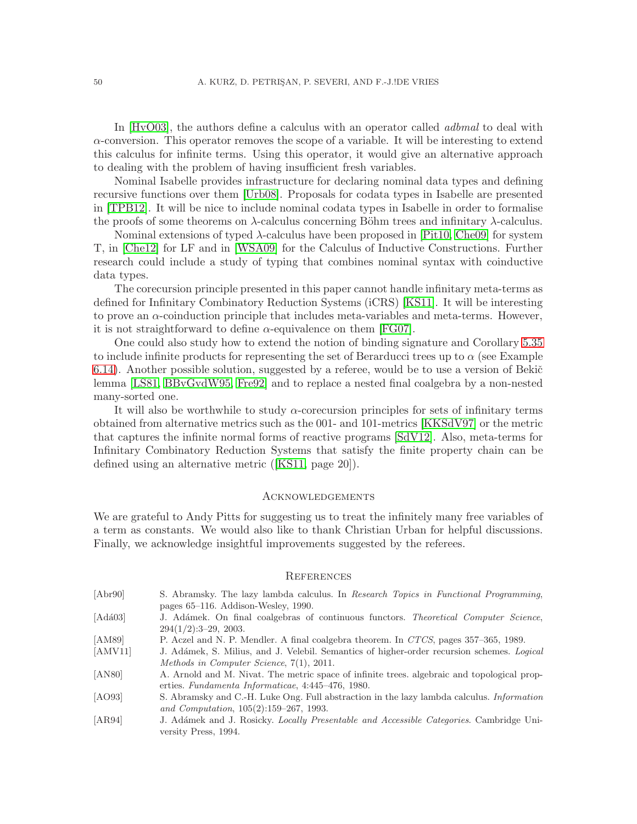In [\[HvO03\]](#page-52-19), the authors define a calculus with an operator called *adbmal* to deal with  $\alpha$ -conversion. This operator removes the scope of a variable. It will be interesting to extend this calculus for infinite terms. Using this operator, it would give an alternative approach to dealing with the problem of having insufficient fresh variables.

Nominal Isabelle provides infrastructure for declaring nominal data types and defining recursive functions over them [\[Urb08\]](#page-53-13). Proposals for codata types in Isabelle are presented in [\[TPB12\]](#page-53-14). It will be nice to include nominal codata types in Isabelle in order to formalise the proofs of some theorems on  $\lambda$ -calculus concerning Böhm trees and infinitary  $\lambda$ -calculus.

Nominal extensions of typed  $\lambda$ -calculus have been proposed in [\[Pit10,](#page-53-15) [Che09\]](#page-52-20) for system T, in [\[Che12\]](#page-52-21) for LF and in [\[WSA09\]](#page-53-16) for the Calculus of Inductive Constructions. Further research could include a study of typing that combines nominal syntax with coinductive data types.

The corecursion principle presented in this paper cannot handle infinitary meta-terms as defined for Infinitary Combinatory Reduction Systems (iCRS) [\[KS11\]](#page-52-22). It will be interesting to prove an  $\alpha$ -coinduction principle that includes meta-variables and meta-terms. However, it is not straightforward to define  $\alpha$ -equivalence on them [\[FG07\]](#page-52-23).

One could also study how to extend the notion of binding signature and Corollary [5.35](#page-29-2) to include infinite products for representing the set of Berarducci trees up to  $\alpha$  (see Example  $6.14$ ). Another possible solution, suggested by a referee, would be to use a version of Beki $\check{c}$ lemma [\[LS81,](#page-53-17) [BBvGvdW95,](#page-52-24) [Fre92\]](#page-52-25) and to replace a nested final coalgebra by a non-nested many-sorted one.

It will also be worthwhile to study  $\alpha$ -corecursion principles for sets of infinitary terms obtained from alternative metrics such as the 001- and 101-metrics [\[KKSdV97\]](#page-52-5) or the metric that captures the infinite normal forms of reactive programs [\[SdV12\]](#page-53-18). Also, meta-terms for Infinitary Combinatory Reduction Systems that satisfy the finite property chain can be defined using an alternative metric ([\[KS11,](#page-52-22) page 20]).

#### <span id="page-51-0"></span>**ACKNOWLEDGEMENTS**

We are grateful to Andy Pitts for suggesting us to treat the infinitely many free variables of a term as constants. We would also like to thank Christian Urban for helpful discussions. Finally, we acknowledge insightful improvements suggested by the referees.

#### <span id="page-51-1"></span>**REFERENCES**

<span id="page-51-8"></span><span id="page-51-7"></span><span id="page-51-6"></span><span id="page-51-5"></span><span id="page-51-4"></span><span id="page-51-3"></span><span id="page-51-2"></span>

| [Abr90]           | S. Abramsky. The lazy lambda calculus. In Research Topics in Functional Programming,              |
|-------------------|---------------------------------------------------------------------------------------------------|
|                   | pages $65-116$ . Addison-Wesley, 1990.                                                            |
| $[Ad\acute{a}03]$ | J. Adámek. On final coalgebras of continuous functors. Theoretical Computer Science,              |
|                   | $294(1/2):3-29$ , 2003.                                                                           |
| [AM89]            | P. Aczel and N. P. Mendler. A final coalgebra theorem. In CTCS, pages 357–365, 1989.              |
| [AMV11]           | J. Adámek, S. Milius, and J. Velebil. Semantics of higher-order recursion schemes. <i>Logical</i> |
|                   | Methods in Computer Science, $7(1)$ , 2011.                                                       |
| [ANS0]            | A. Arnold and M. Nivat. The metric space of infinite trees, algebraic and topological prop-       |
|                   | erties. Fundamenta Informaticae, 4:445-476, 1980.                                                 |
| [AO93]            | S. Abramsky and C.-H. Luke Ong. Full abstraction in the lazy lambda calculus. <i>Information</i>  |
|                   | and Computation, $105(2):159-267$ , 1993.                                                         |
| [AB94]            | J. Adámek and J. Rosicky. Locally Presentable and Accessible Categories. Cambridge Uni-           |
|                   | versity Press, 1994.                                                                              |
|                   |                                                                                                   |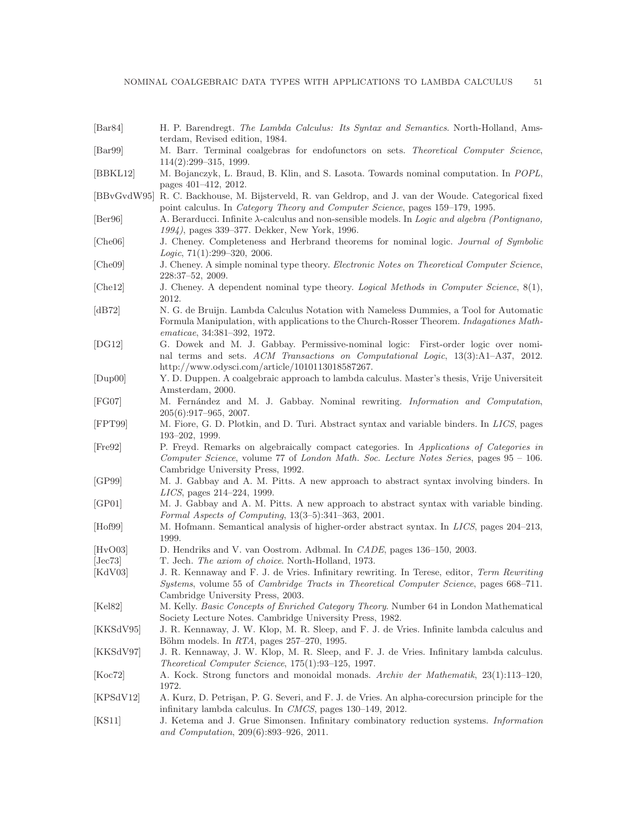<span id="page-52-25"></span><span id="page-52-24"></span><span id="page-52-23"></span><span id="page-52-22"></span><span id="page-52-21"></span><span id="page-52-20"></span><span id="page-52-19"></span><span id="page-52-18"></span><span id="page-52-17"></span><span id="page-52-16"></span><span id="page-52-15"></span><span id="page-52-14"></span><span id="page-52-13"></span><span id="page-52-12"></span><span id="page-52-11"></span><span id="page-52-10"></span><span id="page-52-9"></span><span id="page-52-8"></span><span id="page-52-7"></span><span id="page-52-6"></span><span id="page-52-5"></span><span id="page-52-4"></span><span id="page-52-3"></span><span id="page-52-2"></span><span id="page-52-1"></span><span id="page-52-0"></span>

| $\left[\text{Bar}84\right]$ | H. P. Barendregt. The Lambda Calculus: Its Syntax and Semantics. North-Holland, Ams-<br>terdam, Revised edition, 1984.                                                                                                                                                          |
|-----------------------------|---------------------------------------------------------------------------------------------------------------------------------------------------------------------------------------------------------------------------------------------------------------------------------|
| $\left[\text{Bar99}\right]$ | M. Barr. Terminal coalgebras for endofunctors on sets. Theoretical Computer Science,<br>$114(2):299-315, 1999.$                                                                                                                                                                 |
| [BBKL12]                    | M. Bojanczyk, L. Braud, B. Klin, and S. Lasota. Towards nominal computation. In POPL,<br>pages 401-412, 2012.                                                                                                                                                                   |
|                             | [BBvGvdW95] R. C. Backhouse, M. Bijsterveld, R. van Geldrop, and J. van der Woude. Categorical fixed<br>point calculus. In Category Theory and Computer Science, pages 159–179, 1995.                                                                                           |
| [Ber96]                     | A. Berarducci. Infinite $\lambda$ -calculus and non-sensible models. In Logic and algebra (Pontignano,<br>1994), pages 339-377. Dekker, New York, 1996.                                                                                                                         |
| [Che06]                     | J. Cheney. Completeness and Herbrand theorems for nominal logic. Journal of Symbolic<br>Logic, $71(1):299-320$ , $2006$ .                                                                                                                                                       |
| [Che09]                     | J. Cheney. A simple nominal type theory. Electronic Notes on Theoretical Computer Science,<br>228:37-52, 2009.                                                                                                                                                                  |
| [ <b>Che12</b> ]            | J. Cheney. A dependent nominal type theory. Logical Methods in Computer Science, 8(1),<br>2012.                                                                                                                                                                                 |
| [dB72]                      | N. G. de Bruijn. Lambda Calculus Notation with Nameless Dummies, a Tool for Automatic<br>Formula Manipulation, with applications to the Church-Rosser Theorem. Indagationes Math-<br>ematicae, 34:381-392, 1972.                                                                |
| [DG12]                      | G. Dowek and M. J. Gabbay. Permissive-nominal logic: First-order logic over nomi-<br>nal terms and sets. ACM Transactions on Computational Logic, 13(3):A1-A37, 2012.<br>http://www.odysci.com/article/1010113018587267.                                                        |
| [Dup00]                     | Y. D. Duppen. A coalgebraic approach to lambda calculus. Master's thesis, Vrije Universiteit<br>Amsterdam, 2000.                                                                                                                                                                |
| [FG07]                      | M. Fernández and M. J. Gabbay. Nominal rewriting. Information and Computation,<br>$205(6):917-965$ , 2007.                                                                                                                                                                      |
| [FPT99]                     | M. Fiore, G. D. Plotkin, and D. Turi. Abstract syntax and variable binders. In LICS, pages<br>$193 - 202$ , 1999.                                                                                                                                                               |
| [Fre92]                     | P. Freyd. Remarks on algebraically compact categories. In Applications of Categories in<br>Computer Science, volume 77 of London Math. Soc. Lecture Notes Series, pages $95 - 106$ .<br>Cambridge University Press, 1992.                                                       |
| [GP99]                      | M. J. Gabbay and A. M. Pitts. A new approach to abstract syntax involving binders. In<br>LICS, pages 214-224, 1999.                                                                                                                                                             |
| [GP01]                      | M. J. Gabbay and A. M. Pitts. A new approach to abstract syntax with variable binding.<br>Formal Aspects of Computing, $13(3-5)$ : 341-363, 2001.                                                                                                                               |
| [Hof99]                     | M. Hofmann. Semantical analysis of higher-order abstract syntax. In LICS, pages 204-213,<br>1999.                                                                                                                                                                               |
| [HvO03]<br>[Jec73]          | D. Hendriks and V. van Oostrom. Adbmal. In CADE, pages 136–150, 2003.                                                                                                                                                                                                           |
| [KdV03]                     | T. Jech. The axiom of choice. North-Holland, 1973.<br>J. R. Kennaway and F. J. de Vries. Infinitary rewriting. In Terese, editor, Term Rewriting<br>Systems, volume 55 of Cambridge Tracts in Theoretical Computer Science, pages 668-711.<br>Cambridge University Press, 2003. |
| [Kel82]                     | M. Kelly. Basic Concepts of Enriched Category Theory. Number 64 in London Mathematical<br>Society Lecture Notes. Cambridge University Press, 1982.                                                                                                                              |
| [KKSdV95]                   | J. R. Kennaway, J. W. Klop, M. R. Sleep, and F. J. de Vries. Infinite lambda calculus and<br>Böhm models. In $RTA$ , pages $257-270$ , 1995.                                                                                                                                    |
| [KKSdV97]                   | J. R. Kennaway, J. W. Klop, M. R. Sleep, and F. J. de Vries. Infinitary lambda calculus.<br><i>Theoretical Computer Science</i> , 175(1):93-125, 1997.                                                                                                                          |
| [Koc72]                     | A. Kock. Strong functors and monoidal monads. Archiv der Mathematik, 23(1):113-120,<br>1972.                                                                                                                                                                                    |
| [KPSdV12]                   | A. Kurz, D. Petrisan, P. G. Severi, and F. J. de Vries. An alpha-corecursion principle for the<br>infinitary lambda calculus. In CMCS, pages 130-149, 2012.                                                                                                                     |
| [KS11]                      | J. Ketema and J. Grue Simonsen. Infinitary combinatory reduction systems. Information<br>and Computation, $209(6):893-926$ , $2011$ .                                                                                                                                           |